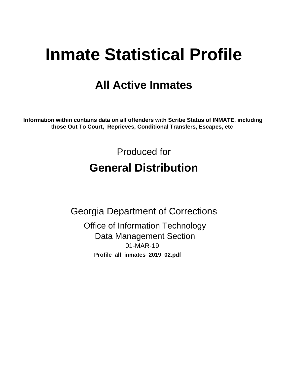# **Inmate Statistical Profile**

## **All Active Inmates**

Information within contains data on all offenders with Scribe Status of INMATE, including those Out To Court, Reprieves, Conditional Transfers, Escapes, etc

> Produced for **General Distribution**

**Georgia Department of Corrections Office of Information Technology Data Management Section** 01-MAR-19 Profile\_all\_inmates\_2019\_02.pdf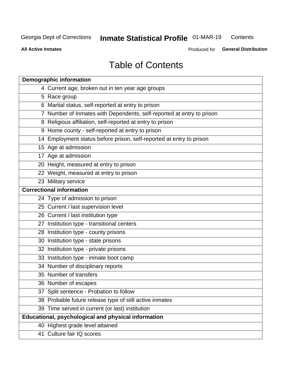#### **Inmate Statistical Profile 01-MAR-19** Contents

**All Active Inmates** 

Produced for General Distribution

## **Table of Contents**

| <b>Demographic information</b>                                        |
|-----------------------------------------------------------------------|
| 4 Current age, broken out in ten year age groups                      |
| 5 Race group                                                          |
| 6 Marital status, self-reported at entry to prison                    |
| 7 Number of Inmates with Dependents, self-reported at entry to prison |
| 8 Religious affiliation, self-reported at entry to prison             |
| 9 Home county - self-reported at entry to prison                      |
| 14 Employment status before prison, self-reported at entry to prison  |
| 15 Age at admission                                                   |
| 17 Age at admission                                                   |
| 20 Height, measured at entry to prison                                |
| 22 Weight, measured at entry to prison                                |
| 23 Military service                                                   |
| <b>Correctional information</b>                                       |
| 24 Type of admission to prison                                        |
| 25 Current / last supervision level                                   |
| 26 Current / last institution type                                    |
| 27 Institution type - transitional centers                            |
| 28 Institution type - county prisons                                  |
| 30 Institution type - state prisons                                   |
| 32 Institution type - private prisons                                 |
| 33 Institution type - inmate boot camp                                |
| 34 Number of disciplinary reports                                     |
| 35 Number of transfers                                                |
| 36 Number of escapes                                                  |
| 37 Split sentence - Probation to follow                               |
| 38 Probable future release type of still active inmates               |
| 39 Time served in current (or last) institution                       |
| Educational, psychological and physical information                   |
| 40 Highest grade level attained                                       |
| 41 Culture fair IQ scores                                             |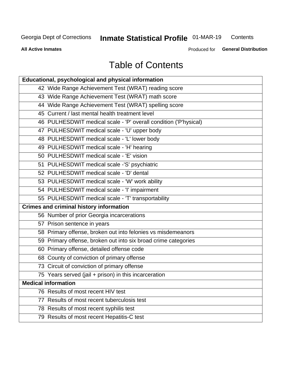## **Inmate Statistical Profile 01-MAR-19**

Contents

**All Active Inmates** 

Produced for General Distribution

## **Table of Contents**

| Educational, psychological and physical information              |
|------------------------------------------------------------------|
| 42 Wide Range Achievement Test (WRAT) reading score              |
| 43 Wide Range Achievement Test (WRAT) math score                 |
| 44 Wide Range Achievement Test (WRAT) spelling score             |
| 45 Current / last mental health treatment level                  |
| 46 PULHESDWIT medical scale - 'P' overall condition ('P'hysical) |
| 47 PULHESDWIT medical scale - 'U' upper body                     |
| 48 PULHESDWIT medical scale - 'L' lower body                     |
| 49 PULHESDWIT medical scale - 'H' hearing                        |
| 50 PULHESDWIT medical scale - 'E' vision                         |
| 51 PULHESDWIT medical scale -'S' psychiatric                     |
| 52 PULHESDWIT medical scale - 'D' dental                         |
| 53 PULHESDWIT medical scale - 'W' work ability                   |
| 54 PULHESDWIT medical scale - 'I' impairment                     |
| 55 PULHESDWIT medical scale - 'T' transportability               |
| <b>Crimes and criminal history information</b>                   |
| 56 Number of prior Georgia incarcerations                        |
| 57 Prison sentence in years                                      |
| 58 Primary offense, broken out into felonies vs misdemeanors     |
| 59 Primary offense, broken out into six broad crime categories   |
| 60 Primary offense, detailed offense code                        |
| 68 County of conviction of primary offense                       |
| 73 Circuit of conviction of primary offense                      |
| 75 Years served (jail + prison) in this incarceration            |
| <b>Medical information</b>                                       |
| 76 Results of most recent HIV test                               |
| 77 Results of most recent tuberculosis test                      |
| 78 Results of most recent syphilis test                          |
| 79 Results of most recent Hepatitis-C test                       |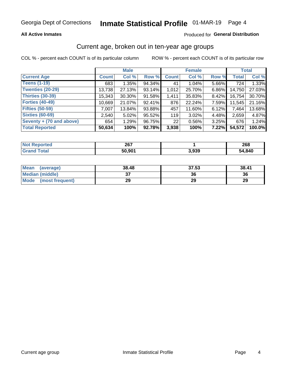#### **All Active Inmates**

#### Produced for General Distribution

### Current age, broken out in ten-year age groups

COL % - percent each COUNT is of its particular column

|                          | <b>Male</b>  |        |        | <b>Female</b> |        |       | <b>Total</b> |        |
|--------------------------|--------------|--------|--------|---------------|--------|-------|--------------|--------|
| <b>Current Age</b>       | <b>Count</b> | Col %  | Row %  | <b>Count</b>  | Col %  | Row % | Total        | Col %  |
| <b>Teens (1-19)</b>      | 683          | 1.35%  | 94.34% | 41            | 1.04%  | 5.66% | 724          | 1.33%  |
| <b>Twenties (20-29)</b>  | 13,738       | 27.13% | 93.14% | 1,012         | 25.70% | 6.86% | 14,750       | 27.03% |
| <b>Thirties (30-39)</b>  | 15,343       | 30.30% | 91.58% | 1,411         | 35.83% | 8.42% | 16,754       | 30.70% |
| <b>Forties (40-49)</b>   | 10,669       | 21.07% | 92.41% | 876           | 22.24% | 7.59% | 11,545       | 21.16% |
| <b>Fifties (50-59)</b>   | 7,007        | 13.84% | 93.88% | 457           | 11.60% | 6.12% | 7,464        | 13.68% |
| <b>Sixties (60-69)</b>   | 2,540        | 5.02%  | 95.52% | 119           | 3.02%  | 4.48% | 2,659        | 4.87%  |
| Seventy + (70 and above) | 654          | 1.29%  | 96.75% | 22            | 0.56%  | 3.25% | 676          | 1.24%  |
| <b>Total Reported</b>    | 50,634       | 100%   | 92.78% | 3,938         | 100%   | 7.22% | 54,572       | 100.0% |

| <b>Not</b>    | 267    |       | $\sim$ |
|---------------|--------|-------|--------|
| <b>ported</b> | 20 I   |       | 208.   |
| <b>Total</b>  | EN NNA | 3,939 | 54,840 |

| <b>Mean</b><br>(average) | 38.48    | 37.53 | 38.41 |
|--------------------------|----------|-------|-------|
| Median (middle)          | ^<br>ا پ | 36    | 36    |
| Mode<br>(most frequent)  | 29       | 29    | 29    |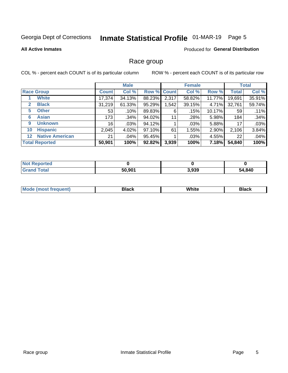## Inmate Statistical Profile 01-MAR-19 Page 5

#### **All Active Inmates**

### **Produced for General Distribution**

### Race group

COL % - percent each COUNT is of its particular column

|                                             |              | <b>Male</b> |        |             | <b>Female</b> |        |              | <b>Total</b> |  |
|---------------------------------------------|--------------|-------------|--------|-------------|---------------|--------|--------------|--------------|--|
| <b>Race Group</b>                           | <b>Count</b> | Col %       |        | Row % Count | Col %         | Row %  | <b>Total</b> | Col %        |  |
| <b>White</b>                                | 17,374       | 34.13%      | 88.23% | 2,317       | 58.82%        | 11.77% | 19,691       | 35.91%       |  |
| <b>Black</b><br>$\mathbf{2}$                | 31,219       | 61.33%      | 95.29% | .542        | 39.15%        | 4.71%  | 32,761       | 59.74%       |  |
| <b>Other</b><br>5.                          | 53           | .10%        | 89.83% | 6           | .15%          | 10.17% | 59           | .11%         |  |
| <b>Asian</b><br>6                           | 173          | .34%        | 94.02% | 11          | .28%          | 5.98%  | 184          | .34%         |  |
| <b>Unknown</b><br>9                         | 16           | $.03\%$     | 94.12% |             | .03%          | 5.88%  | 17           | .03%         |  |
| <b>Hispanic</b><br>10                       | 2,045        | 4.02%       | 97.10% | 61          | 1.55%         | 2.90%  | 2,106        | 3.84%        |  |
| <b>Native American</b><br>$12 \overline{ }$ | 21           | .04%        | 95.45% |             | .03%          | 4.55%  | 22           | .04%         |  |
| <b>Total Reported</b>                       | 50,901       | 100%        | 92.82% | 3,939       | 100%          | 7.18%  | 54,840       | 100%         |  |

| <b>ported</b><br>∵N∩∖ |        |       |        |
|-----------------------|--------|-------|--------|
| `otal<br>'Grand       | 50.901 | 3,939 | 54,840 |

| m | <br>w |  |
|---|-------|--|
|   |       |  |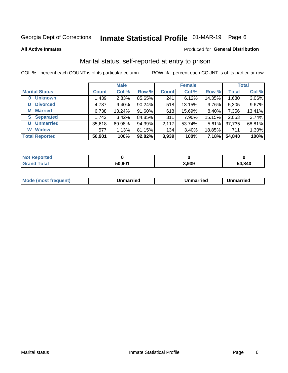## Inmate Statistical Profile 01-MAR-19 Page 6

**All Active Inmates** 

### Produced for General Distribution

### Marital status, self-reported at entry to prison

COL % - percent each COUNT is of its particular column

|                            | <b>Male</b>  |          |        |              | <b>Female</b> | <b>Total</b> |              |        |
|----------------------------|--------------|----------|--------|--------------|---------------|--------------|--------------|--------|
| <b>Marital Status</b>      | <b>Count</b> | Col %    | Row %  | <b>Count</b> | Col %         | Row %        | <b>Total</b> | Col %  |
| <b>Unknown</b><br>$\bf{0}$ | 1,439        | 2.83%    | 85.65% | 241          | 6.12%         | 14.35%       | 1,680        | 3.06%  |
| <b>Divorced</b><br>D       | 4,787        | $9.40\%$ | 90.24% | 518          | 13.15%        | 9.76%        | 5,305        | 9.67%  |
| <b>Married</b><br>М        | 6,738        | 13.24%   | 91.60% | 618          | 15.69%        | 8.40%        | 7,356        | 13.41% |
| <b>Separated</b><br>S.     | 1,742        | 3.42%    | 84.85% | 311          | 7.90%         | 15.15%       | 2,053        | 3.74%  |
| <b>Unmarried</b><br>U      | 35,618       | 69.98%   | 94.39% | 2,117        | 53.74%        | 5.61%        | 37,735       | 68.81% |
| <b>Widow</b><br>W          | 577          | 1.13%    | 81.15% | 134          | 3.40%         | 18.85%       | 711          | 1.30%  |
| <b>Total Reported</b>      | 50,901       | 100%     | 92.82% | 3,939        | 100%          | 7.18%        | 54,840       | 100%   |

| <b>Not Reported</b> |                    |              |        |
|---------------------|--------------------|--------------|--------|
| Total               | 50.90 <sup>4</sup> | റാറ<br>ა.ყაყ | 54.840 |

|--|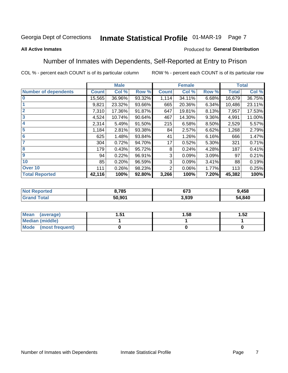## Inmate Statistical Profile 01-MAR-19 Page 7

#### **All Active Inmates**

#### Produced for General Distribution

### Number of Inmates with Dependents, Self-Reported at Entry to Prison

COL % - percent each COUNT is of its particular column

|                             |              | <b>Male</b> |        |              | <b>Female</b> |       |              | <b>Total</b> |
|-----------------------------|--------------|-------------|--------|--------------|---------------|-------|--------------|--------------|
| <b>Number of dependents</b> | <b>Count</b> | Col %       | Row %  | <b>Count</b> | Col %         | Row % | <b>Total</b> | Col %        |
| 10                          | 15,565       | 36.96%      | 93.32% | 1,114        | 34.11%        | 6.68% | 16,679       | 36.75%       |
|                             | 9,821        | 23.32%      | 93.66% | 665          | 20.36%        | 6.34% | 10,486       | 23.11%       |
| $\overline{2}$              | 7,310        | 17.36%      | 91.87% | 647          | 19.81%        | 8.13% | 7,957        | 17.53%       |
| $\mathbf{3}$                | 4,524        | 10.74%      | 90.64% | 467          | 14.30%        | 9.36% | 4,991        | 11.00%       |
| $\overline{\mathbf{4}}$     | 2,314        | 5.49%       | 91.50% | 215          | 6.58%         | 8.50% | 2,529        | 5.57%        |
| 5                           | 1,184        | 2.81%       | 93.38% | 84           | 2.57%         | 6.62% | 1,268        | 2.79%        |
| 6                           | 625          | 1.48%       | 93.84% | 41           | 1.26%         | 6.16% | 666          | 1.47%        |
| 7                           | 304          | 0.72%       | 94.70% | 17           | 0.52%         | 5.30% | 321          | 0.71%        |
| 8                           | 179          | 0.43%       | 95.72% | 8            | 0.24%         | 4.28% | 187          | 0.41%        |
| 9                           | 94           | 0.22%       | 96.91% | 3            | 0.09%         | 3.09% | 97           | 0.21%        |
| 10                          | 85           | 0.20%       | 96.59% | 3            | 0.09%         | 3.41% | 88           | 0.19%        |
| Over 10                     | 111          | 0.26%       | 98.23% | 2            | 0.06%         | 1.77% | 113          | 0.25%        |
| <b>Total Reported</b>       | 42,116       | 100%        | 92.80% | 3,266        | 100%          | 7.20% | 45,382       | 100%         |

| 3,785  | <b>C70</b><br>נ וט | ,458   |
|--------|--------------------|--------|
| 50.901 | 3.939              | 54,840 |

| Mean (average)          | ا ب. | 1.58 | 1.52 |
|-------------------------|------|------|------|
| <b>Median (middle)</b>  |      |      |      |
| Mode<br>(most frequent) |      |      |      |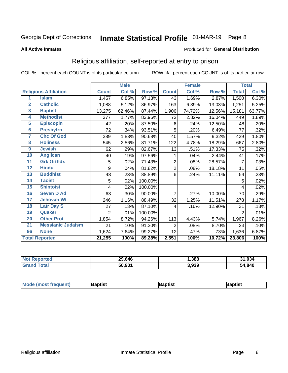## Inmate Statistical Profile 01-MAR-19 Page 8

#### **All Active Inmates**

#### Produced for General Distribution

### Religious affiliation, self-reported at entry to prison

COL % - percent each COUNT is of its particular column

|                         |                              |              | <b>Male</b> |         |                | <b>Female</b>              |        |                     | <b>Total</b> |
|-------------------------|------------------------------|--------------|-------------|---------|----------------|----------------------------|--------|---------------------|--------------|
|                         | <b>Religious Affiliation</b> | <b>Count</b> | Col %       | Row %   | <b>Count</b>   | $\overline{\text{Col }^9}$ | Row %  | <b>Total</b>        | Col %        |
| 1                       | <b>Islam</b>                 | 1,457        | 6.85%       | 97.13%  | 43             | 1.69%                      | 2.87%  | 1,500               | 6.30%        |
| $\overline{2}$          | <b>Catholic</b>              | 1,088        | 5.12%       | 86.97%  | 163            | 6.39%                      | 13.03% | 1,251               | 5.25%        |
| $\overline{\mathbf{3}}$ | <b>Baptist</b>               | 13,275       | 62.46%      | 87.44%  | 1,906          | 74.72%                     | 12.56% | 15,181              | 63.77%       |
| $\overline{\mathbf{4}}$ | <b>Methodist</b>             | 377          | 1.77%       | 83.96%  | 72             | 2.82%                      | 16.04% | 449                 | 1.89%        |
| $\overline{5}$          | <b>EpiscopIn</b>             | 42           | .20%        | 87.50%  | 6              | .24%                       | 12.50% | 48                  | .20%         |
| $6\phantom{a}$          | <b>Presbytrn</b>             | 72           | .34%        | 93.51%  | 5              | .20%                       | 6.49%  | 77                  | .32%         |
| 7                       | <b>Chc Of God</b>            | 389          | 1.83%       | 90.68%  | 40             | 1.57%                      | 9.32%  | 429                 | 1.80%        |
| 8                       | <b>Holiness</b>              | 545          | 2.56%       | 81.71%  | 122            | 4.78%                      | 18.29% | 667                 | 2.80%        |
| 9                       | <b>Jewish</b>                | 62           | .29%        | 82.67%  | 13             | .51%                       | 17.33% | 75                  | .32%         |
| 10                      | <b>Anglican</b>              | 40           | .19%        | 97.56%  | 1              | .04%                       | 2.44%  | 41                  | .17%         |
| 11                      | <b>Grk Orthdx</b>            | 5            | .02%        | 71.43%  | $\overline{2}$ | .08%                       | 28.57% | 7                   | .03%         |
| 12                      | <b>Hindu</b>                 | 9            | .04%        | 81.82%  | $\overline{2}$ | .08%                       | 18.18% | 11                  | .05%         |
| 13                      | <b>Buddhist</b>              | 48           | .23%        | 88.89%  | 6              | .24%                       | 11.11% | 54                  | .23%         |
| 14                      | <b>Taoist</b>                | 5            | .02%        | 100.00% |                |                            |        | 5                   | .02%         |
| 15                      | <b>Shintoist</b>             | 4            | .02%        | 100.00% |                |                            |        | 4                   | .02%         |
| 16                      | <b>Seven D Ad</b>            | 63           | .30%        | 90.00%  | 7              | .27%                       | 10.00% | 70                  | .29%         |
| 17                      | <b>Jehovah Wt</b>            | 246          | 1.16%       | 88.49%  | 32             | 1.25%                      | 11.51% | 278                 | 1.17%        |
| 18                      | <b>Latr Day S</b>            | 27           | .13%        | 87.10%  | 4              | .16%                       | 12.90% | 31                  | .13%         |
| 19                      | Quaker                       | 2            | .01%        | 100.00% |                |                            |        | $\overline{2}$      | .01%         |
| 20                      | <b>Other Prot</b>            | 1,854        | 8.72%       | 94.26%  | 113            | 4.43%                      | 5.74%  | 1,967               | 8.26%        |
| 21                      | <b>Messianic Judaism</b>     | 21           | .10%        | 91.30%  | 2              | .08%                       | 8.70%  | 23                  | .10%         |
| 96                      | <b>None</b>                  | 1,624        | 7.64%       | 99.27%  | 12             | .47%                       | .73%   | 1,636               | 6.87%        |
|                         | <b>Total Reported</b>        | 21,255       | 100%        | 89.28%  | 2,551          | 100%                       | 10.72% | $\overline{23,806}$ | 100%         |

| erteo<br>NO          | 29,646             | ,388  | .034<br>$^{\circ}$ |
|----------------------|--------------------|-------|--------------------|
| <b>otal</b><br>' Gra | 50.90 <sup>4</sup> | 3,939 | 54,840             |

| Mode (most frequent) | Baptist | aptist | Baptist |
|----------------------|---------|--------|---------|
|----------------------|---------|--------|---------|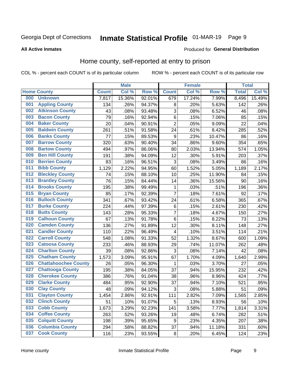## Inmate Statistical Profile 01-MAR-19 Page 9

#### **All Active Inmates**

#### Produced for General Distribution

## Home county, self-reported at entry to prison

COL % - percent each COUNT is of its particular column

|     |                             |              | <b>Male</b> |        |                         | <b>Female</b> |        | <b>Total</b> |        |
|-----|-----------------------------|--------------|-------------|--------|-------------------------|---------------|--------|--------------|--------|
|     | <b>Home County</b>          | <b>Count</b> | Col %       | Row %  | <b>Count</b>            | Col %         | Row %  | <b>Total</b> | Col %  |
| 000 | <b>Unknown</b>              | 7,817        | 15.36%      | 92.01% | 679                     | 17.24%        | 7.99%  | 8,496        | 15.49% |
| 001 | <b>Appling County</b>       | 134          | .26%        | 94.37% | 8                       | .20%          | 5.63%  | 142          | .26%   |
| 002 | <b>Atkinson County</b>      | 43           | .08%        | 93.48% | 3                       | .08%          | 6.52%  | 46           | .08%   |
| 003 | <b>Bacon County</b>         | 79           | .16%        | 92.94% | $\,6$                   | .15%          | 7.06%  | 85           | .15%   |
| 004 | <b>Baker County</b>         | 20           | .04%        | 90.91% | $\overline{2}$          | .05%          | 9.09%  | 22           | .04%   |
| 005 | <b>Baldwin County</b>       | 261          | .51%        | 91.58% | 24                      | .61%          | 8.42%  | 285          | .52%   |
| 006 | <b>Banks County</b>         | 77           | .15%        | 89.53% | $\boldsymbol{9}$        | .23%          | 10.47% | 86           | .16%   |
| 007 | <b>Barrow County</b>        | 320          | .63%        | 90.40% | 34                      | .86%          | 9.60%  | 354          | .65%   |
| 008 | <b>Bartow County</b>        | 494          | .97%        | 86.06% | 80                      | 2.03%         | 13.94% | 574          | 1.05%  |
| 009 | <b>Ben Hill County</b>      | 191          | .38%        | 94.09% | 12                      | .30%          | 5.91%  | 203          | .37%   |
| 010 | <b>Berrien County</b>       | 83           | .16%        | 96.51% | 3                       | .08%          | 3.49%  | 86           | .16%   |
| 011 | <b>Bibb County</b>          | 1,129        | 2.22%       | 94.95% | 60                      | 1.52%         | 5.05%  | 1,189        | 2.17%  |
| 012 | <b>Bleckley County</b>      | 74           | .15%        | 88.10% | 10                      | .25%          | 11.90% | 84           | .15%   |
| 013 | <b>Brantley County</b>      | 76           | .15%        | 84.44% | 14                      | .36%          | 15.56% | 90           | .16%   |
| 014 | <b>Brooks County</b>        | 195          | .38%        | 99.49% | 1                       | .03%          | .51%   | 196          | .36%   |
| 015 | <b>Bryan County</b>         | 85           | .17%        | 92.39% | $\overline{7}$          | .18%          | 7.61%  | 92           | .17%   |
| 016 | <b>Bulloch County</b>       | 341          | .67%        | 93.42% | 24                      | .61%          | 6.58%  | 365          | .67%   |
| 017 | <b>Burke County</b>         | 224          | .44%        | 97.39% | $\,6$                   | .15%          | 2.61%  | 230          | .42%   |
| 018 | <b>Butts County</b>         | 143          | .28%        | 95.33% | $\overline{7}$          | .18%          | 4.67%  | 150          | .27%   |
| 019 | <b>Calhoun County</b>       | 67           | .13%        | 91.78% | $\,6$                   | .15%          | 8.22%  | 73           | .13%   |
| 020 | <b>Camden County</b>        | 136          | .27%        | 91.89% | 12                      | .30%          | 8.11%  | 148          | .27%   |
| 021 | <b>Candler County</b>       | 110          | .22%        | 96.49% | $\overline{\mathbf{4}}$ | .10%          | 3.51%  | 114          | .21%   |
| 022 | <b>Carroll County</b>       | 548          | 1.08%       | 91.33% | 52                      | 1.32%         | 8.67%  | 600          | 1.09%  |
| 023 | <b>Catoosa County</b>       | 233          | .46%        | 88.93% | 29                      | .74%          | 11.07% | 262          | .48%   |
| 024 | <b>Charlton County</b>      | 39           | .08%        | 92.86% | 3                       | .08%          | 7.14%  | 42           | .08%   |
| 025 | <b>Chatham County</b>       | 1,573        | 3.09%       | 95.91% | 67                      | 1.70%         | 4.09%  | 1,640        | 2.99%  |
| 026 | <b>Chattahoochee County</b> | 26           | .05%        | 96.30% | 1                       | .03%          | 3.70%  | 27           | .05%   |
| 027 | <b>Chattooga County</b>     | 195          | .38%        | 84.05% | 37                      | .94%          | 15.95% | 232          | .42%   |
| 028 | <b>Cherokee County</b>      | 386          | .76%        | 91.04% | 38                      | .96%          | 8.96%  | 424          | .77%   |
| 029 | <b>Clarke County</b>        | 484          | .95%        | 92.90% | 37                      | .94%          | 7.10%  | 521          | .95%   |
| 030 | <b>Clay County</b>          | 48           | .09%        | 94.12% | $\mathbf{3}$            | .08%          | 5.88%  | 51           | .09%   |
| 031 | <b>Clayton County</b>       | 1,454        | 2.86%       | 92.91% | 111                     | 2.82%         | 7.09%  | 1,565        | 2.85%  |
| 032 | <b>Clinch County</b>        | 51           | .10%        | 91.07% | 5                       | .13%          | 8.93%  | 56           | .10%   |
| 033 | <b>Cobb County</b>          | 1,673        | 3.29%       | 92.23% | 141                     | 3.58%         | 7.77%  | 1,814        | 3.31%  |
| 034 | <b>Coffee County</b>        | 263          | .52%        | 93.26% | 19                      | .48%          | 6.74%  | 282          | .51%   |
| 035 | <b>Colquitt County</b>      | 198          | .39%        | 95.65% | 9                       | .23%          | 4.35%  | 207          | .38%   |
| 036 | <b>Columbia County</b>      | 294          | .58%        | 88.82% | 37                      | .94%          | 11.18% | 331          | .60%   |
| 037 | <b>Cook County</b>          | 116          | .23%        | 93.55% | $\bf 8$                 | .20%          | 6.45%  | 124          | .23%   |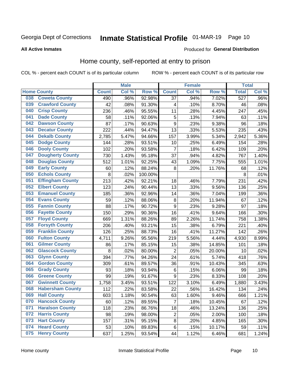## Inmate Statistical Profile 01-MAR-19 Page 10

**All Active Inmates** 

#### Produced for General Distribution

### Home county, self-reported at entry to prison

COL % - percent each COUNT is of its particular column

|     |                         |              | <b>Male</b> |         |                  | <b>Female</b> |        | <b>Total</b>     |       |
|-----|-------------------------|--------------|-------------|---------|------------------|---------------|--------|------------------|-------|
|     | <b>Home County</b>      | <b>Count</b> | Col %       | Row %   | <b>Count</b>     | Col %         | Row %  | <b>Total</b>     | Col % |
| 038 | <b>Coweta County</b>    | 490          | .96%        | 92.98%  | $\overline{37}$  | .94%          | 7.02%  | $\overline{527}$ | .96%  |
| 039 | <b>Crawford County</b>  | 42           | .08%        | 91.30%  | 4                | .10%          | 8.70%  | 46               | .08%  |
| 040 | <b>Crisp County</b>     | 236          | .46%        | 95.55%  | 11               | .28%          | 4.45%  | 247              | .45%  |
| 041 | <b>Dade County</b>      | 58           | .11%        | 92.06%  | 5                | .13%          | 7.94%  | 63               | .11%  |
| 042 | <b>Dawson County</b>    | 87           | .17%        | 90.63%  | $\boldsymbol{9}$ | .23%          | 9.38%  | 96               | .18%  |
| 043 | <b>Decatur County</b>   | 222          | .44%        | 94.47%  | 13               | .33%          | 5.53%  | 235              | .43%  |
| 044 | <b>Dekalb County</b>    | 2,785        | 5.47%       | 94.66%  | 157              | 3.99%         | 5.34%  | 2,942            | 5.36% |
| 045 | <b>Dodge County</b>     | 144          | .28%        | 93.51%  | 10               | .25%          | 6.49%  | 154              | .28%  |
| 046 | <b>Dooly County</b>     | 102          | .20%        | 93.58%  | $\overline{7}$   | .18%          | 6.42%  | 109              | .20%  |
| 047 | <b>Dougherty County</b> | 730          | 1.43%       | 95.18%  | 37               | .94%          | 4.82%  | 767              | 1.40% |
| 048 | <b>Douglas County</b>   | 512          | 1.01%       | 92.25%  | 43               | 1.09%         | 7.75%  | 555              | 1.01% |
| 049 | <b>Early County</b>     | 60           | .12%        | 88.24%  | 8                | .20%          | 11.76% | 68               | .12%  |
| 050 | <b>Echols County</b>    | 8            | .02%        | 100.00% |                  |               |        | 8                | .01%  |
| 051 | <b>Effingham County</b> | 213          | .42%        | 92.21%  | 18               | .46%          | 7.79%  | 231              | .42%  |
| 052 | <b>Elbert County</b>    | 123          | .24%        | 90.44%  | 13               | .33%          | 9.56%  | 136              | .25%  |
| 053 | <b>Emanuel County</b>   | 185          | .36%        | 92.96%  | 14               | .36%          | 7.04%  | 199              | .36%  |
| 054 | <b>Evans County</b>     | 59           | .12%        | 88.06%  | 8                | .20%          | 11.94% | 67               | .12%  |
| 055 | <b>Fannin County</b>    | 88           | .17%        | 90.72%  | 9                | .23%          | 9.28%  | 97               | .18%  |
| 056 | <b>Fayette County</b>   | 150          | .29%        | 90.36%  | 16               | .41%          | 9.64%  | 166              | .30%  |
| 057 | <b>Floyd County</b>     | 669          | 1.31%       | 88.26%  | 89               | 2.26%         | 11.74% | 758              | 1.38% |
| 058 | <b>Forsyth County</b>   | 206          | .40%        | 93.21%  | 15               | .38%          | 6.79%  | 221              | .40%  |
| 059 | <b>Franklin County</b>  | 126          | .25%        | 88.73%  | 16               | .41%          | 11.27% | 142              | .26%  |
| 060 | <b>Fulton County</b>    | 4,711        | 9.26%       | 95.56%  | 219              | 5.56%         | 4.44%  | 4,930            | 8.99% |
| 061 | <b>Gilmer County</b>    | 86           | .17%        | 85.15%  | 15               | .38%          | 14.85% | 101              | .18%  |
| 062 | <b>Glascock County</b>  | 8            | .02%        | 80.00%  | $\overline{2}$   | .05%          | 20.00% | 10               | .02%  |
| 063 | <b>Glynn County</b>     | 394          | .77%        | 94.26%  | 24               | .61%          | 5.74%  | 418              | .76%  |
| 064 | <b>Gordon County</b>    | 309          | .61%        | 89.57%  | 36               | .91%          | 10.43% | 345              | .63%  |
| 065 | <b>Grady County</b>     | 93           | .18%        | 93.94%  | $\,6$            | .15%          | 6.06%  | 99               | .18%  |
| 066 | <b>Greene County</b>    | 99           | .19%        | 91.67%  | 9                | .23%          | 8.33%  | 108              | .20%  |
| 067 | <b>Gwinnett County</b>  | 1,758        | 3.45%       | 93.51%  | 122              | 3.10%         | 6.49%  | 1,880            | 3.43% |
| 068 | <b>Habersham County</b> | 112          | .22%        | 83.58%  | 22               | .56%          | 16.42% | 134              | .24%  |
| 069 | <b>Hall County</b>      | 603          | 1.18%       | 90.54%  | 63               | 1.60%         | 9.46%  | 666              | 1.21% |
| 070 | <b>Hancock County</b>   | 60           | .12%        | 89.55%  | $\overline{7}$   | .18%          | 10.45% | 67               | .12%  |
| 071 | <b>Haralson County</b>  | 118          | .23%        | 86.76%  | 18               | .46%          | 13.24% | 136              | .25%  |
| 072 | <b>Harris County</b>    | 98           | .19%        | 98.00%  | $\mathbf 2$      | .05%          | 2.00%  | 100              | .18%  |
| 073 | <b>Hart County</b>      | 157          | .31%        | 95.15%  | 8                | .20%          | 4.85%  | 165              | .30%  |
| 074 | <b>Heard County</b>     | 53           | .10%        | 89.83%  | $\,6$            | .15%          | 10.17% | 59               | .11%  |
| 075 | <b>Henry County</b>     | 637          | 1.25%       | 93.54%  | 44               | 1.12%         | 6.46%  | 681              | 1.24% |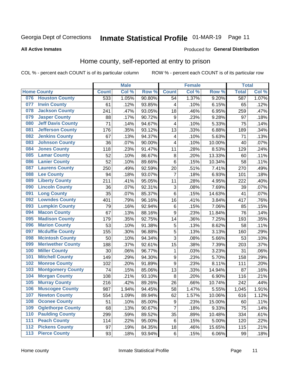## Inmate Statistical Profile 01-MAR-19 Page 11

#### **All Active Inmates**

#### Produced for General Distribution

### Home county, self-reported at entry to prison

COL % - percent each COUNT is of its particular column

|     |                          |              | <b>Male</b> |                  |                         | <b>Female</b> |        | <b>Total</b> |       |
|-----|--------------------------|--------------|-------------|------------------|-------------------------|---------------|--------|--------------|-------|
|     | <b>Home County</b>       | <b>Count</b> | Col %       | Row <sup>%</sup> | <b>Count</b>            | Col %         | Row %  | <b>Total</b> | Col % |
|     | 076 Houston County       | 533          | 1.05%       | 90.80%           | 54                      | 1.37%         | 9.20%  | 587          | 1.07% |
| 077 | <b>Irwin County</b>      | 61           | .12%        | 93.85%           | 4                       | .10%          | 6.15%  | 65           | .12%  |
| 078 | <b>Jackson County</b>    | 241          | .47%        | 93.05%           | 18                      | .46%          | 6.95%  | 259          | .47%  |
| 079 | <b>Jasper County</b>     | 88           | .17%        | 90.72%           | $\boldsymbol{9}$        | .23%          | 9.28%  | 97           | .18%  |
| 080 | <b>Jeff Davis County</b> | 71           | .14%        | 94.67%           | $\overline{\mathbf{4}}$ | .10%          | 5.33%  | 75           | .14%  |
| 081 | <b>Jefferson County</b>  | 176          | .35%        | 93.12%           | 13                      | .33%          | 6.88%  | 189          | .34%  |
| 082 | <b>Jenkins County</b>    | 67           | .13%        | 94.37%           | 4                       | .10%          | 5.63%  | 71           | .13%  |
| 083 | <b>Johnson County</b>    | 36           | .07%        | 90.00%           | $\overline{\mathbf{4}}$ | .10%          | 10.00% | 40           | .07%  |
| 084 | <b>Jones County</b>      | 118          | .23%        | 91.47%           | 11                      | .28%          | 8.53%  | 129          | .24%  |
| 085 | <b>Lamar County</b>      | 52           | .10%        | 86.67%           | 8                       | .20%          | 13.33% | 60           | .11%  |
| 086 | <b>Lanier County</b>     | 52           | .10%        | 89.66%           | $\,6$                   | .15%          | 10.34% | 58           | .11%  |
| 087 | <b>Laurens County</b>    | 250          | .49%        | 92.59%           | 20                      | .51%          | 7.41%  | 270          | .49%  |
| 088 | <b>Lee County</b>        | 94           | .18%        | 93.07%           | $\overline{7}$          | .18%          | 6.93%  | 101          | .18%  |
| 089 | <b>Liberty County</b>    | 211          | .41%        | 95.05%           | 11                      | .28%          | 4.95%  | 222          | .40%  |
| 090 | <b>Lincoln County</b>    | 36           | .07%        | 92.31%           | 3                       | .08%          | 7.69%  | 39           | .07%  |
| 091 | <b>Long County</b>       | 35           | .07%        | 85.37%           | $\,6$                   | .15%          | 14.63% | 41           | .07%  |
| 092 | <b>Lowndes County</b>    | 401          | .79%        | 96.16%           | 16                      | .41%          | 3.84%  | 417          | .76%  |
| 093 | <b>Lumpkin County</b>    | 79           | .16%        | 92.94%           | $\,6$                   | .15%          | 7.06%  | 85           | .15%  |
| 094 | <b>Macon County</b>      | 67           | .13%        | 88.16%           | $\boldsymbol{9}$        | .23%          | 11.84% | 76           | .14%  |
| 095 | <b>Madison County</b>    | 179          | .35%        | 92.75%           | 14                      | .36%          | 7.25%  | 193          | .35%  |
| 096 | <b>Marion County</b>     | 53           | .10%        | 91.38%           | 5                       | .13%          | 8.62%  | 58           | .11%  |
| 097 | <b>Mcduffie County</b>   | 155          | .30%        | 96.88%           | 5                       | .13%          | 3.13%  | 160          | .29%  |
| 098 | <b>Mcintosh County</b>   | 50           | .10%        | 94.34%           | 3                       | .08%          | 5.66%  | 53           | .10%  |
| 099 | <b>Meriwether County</b> | 188          | .37%        | 92.61%           | 15                      | .38%          | 7.39%  | 203          | .37%  |
| 100 | <b>Miller County</b>     | 30           | .06%        | 96.77%           | 1                       | .03%          | 3.23%  | 31           | .06%  |
| 101 | <b>Mitchell County</b>   | 149          | .29%        | 94.30%           | $\boldsymbol{9}$        | .23%          | 5.70%  | 158          | .29%  |
| 102 | <b>Monroe County</b>     | 102          | .20%        | 91.89%           | $\boldsymbol{9}$        | .23%          | 8.11%  | 111          | .20%  |
| 103 | <b>Montgomery County</b> | 74           | .15%        | 85.06%           | 13                      | .33%          | 14.94% | 87           | .16%  |
| 104 | <b>Morgan County</b>     | 108          | .21%        | 93.10%           | 8                       | .20%          | 6.90%  | 116          | .21%  |
| 105 | <b>Murray County</b>     | 216          | .42%        | 89.26%           | 26                      | .66%          | 10.74% | 242          | .44%  |
| 106 | <b>Muscogee County</b>   | 987          | 1.94%       | 94.45%           | 58                      | 1.47%         | 5.55%  | 1,045        | 1.91% |
| 107 | <b>Newton County</b>     | 554          | 1.09%       | 89.94%           | 62                      | 1.57%         | 10.06% | 616          | 1.12% |
| 108 | <b>Oconee County</b>     | 51           | .10%        | 85.00%           | 9                       | .23%          | 15.00% | 60           | .11%  |
| 109 | <b>Oglethorpe County</b> | 68           | .13%        | 90.67%           | $\overline{7}$          | .18%          | 9.33%  | 75           | .14%  |
| 110 | <b>Paulding County</b>   | 299          | .59%        | 89.52%           | 35                      | .89%          | 10.48% | 334          | .61%  |
| 111 | <b>Peach County</b>      | 114          | .22%        | 95.00%           | $\,6$                   | .15%          | 5.00%  | 120          | .22%  |
| 112 | <b>Pickens County</b>    | 97           | .19%        | 84.35%           | 18                      | .46%          | 15.65% | 115          | .21%  |
| 113 | <b>Pierce County</b>     | 93           | .18%        | 93.94%           | $\,6$                   | .15%          | 6.06%  | 99           | .18%  |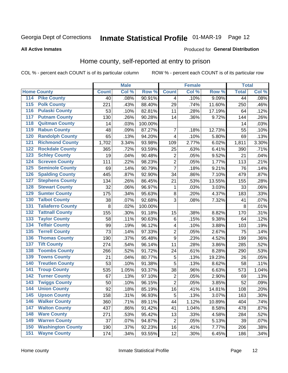## Inmate Statistical Profile 01-MAR-19 Page 12

#### **All Active Inmates**

#### Produced for General Distribution

### Home county, self-reported at entry to prison

COL % - percent each COUNT is of its particular column

|                  |                          |              | <b>Male</b> |         |                         | <b>Female</b> |        | <b>Total</b> |       |
|------------------|--------------------------|--------------|-------------|---------|-------------------------|---------------|--------|--------------|-------|
|                  | <b>Home County</b>       | <b>Count</b> | Col %       | Row %   | <b>Count</b>            | Col %         | Row %  | <b>Total</b> | Col % |
| 114              | <b>Pike County</b>       | 40           | .08%        | 90.91%  | 4                       | .10%          | 9.09%  | 44           | .08%  |
| 115              | <b>Polk County</b>       | 221          | .43%        | 88.40%  | 29                      | .74%          | 11.60% | 250          | .46%  |
| 116              | <b>Pulaski County</b>    | 53           | .10%        | 82.81%  | 11                      | .28%          | 17.19% | 64           | .12%  |
| 117              | <b>Putnam County</b>     | 130          | .26%        | 90.28%  | 14                      | .36%          | 9.72%  | 144          | .26%  |
| 118              | <b>Quitman County</b>    | 14           | .03%        | 100.00% |                         |               |        | 14           | .03%  |
| 119              | <b>Rabun County</b>      | 48           | .09%        | 87.27%  | 7                       | .18%          | 12.73% | 55           | .10%  |
| 120              | <b>Randolph County</b>   | 65           | .13%        | 94.20%  | $\overline{\mathbf{4}}$ | .10%          | 5.80%  | 69           | .13%  |
| 121              | <b>Richmond County</b>   | 1,702        | 3.34%       | 93.98%  | 109                     | 2.77%         | 6.02%  | 1,811        | 3.30% |
| 122              | <b>Rockdale County</b>   | 365          | .72%        | 93.59%  | 25                      | .63%          | 6.41%  | 390          | .71%  |
| 123              | <b>Schley County</b>     | 19           | .04%        | 90.48%  | $\overline{c}$          | .05%          | 9.52%  | 21           | .04%  |
| 124              | <b>Screven County</b>    | 111          | .22%        | 98.23%  | $\overline{2}$          | .05%          | 1.77%  | 113          | .21%  |
| 125              | <b>Seminole County</b>   | 69           | .14%        | 90.79%  | $\overline{7}$          | .18%          | 9.21%  | 76           | .14%  |
| 126              | <b>Spalding County</b>   | 445          | .87%        | 92.90%  | 34                      | .86%          | 7.10%  | 479          | .87%  |
| 127              | <b>Stephens County</b>   | 134          | .26%        | 86.45%  | 21                      | .53%          | 13.55% | 155          | .28%  |
| 128              | <b>Stewart County</b>    | 32           | .06%        | 96.97%  | 1                       | .03%          | 3.03%  | 33           | .06%  |
| 129              | <b>Sumter County</b>     | 175          | .34%        | 95.63%  | 8                       | .20%          | 4.37%  | 183          | .33%  |
| 130              | <b>Talbot County</b>     | 38           | .07%        | 92.68%  | 3                       | .08%          | 7.32%  | 41           | .07%  |
| 131              | <b>Taliaferro County</b> | 8            | .02%        | 100.00% |                         |               |        | 8            | .01%  |
| 132              | <b>Tattnall County</b>   | 155          | .30%        | 91.18%  | 15                      | .38%          | 8.82%  | 170          | .31%  |
| 133              | <b>Taylor County</b>     | 58           | .11%        | 90.63%  | $\,6$                   | .15%          | 9.38%  | 64           | .12%  |
| 134              | <b>Telfair County</b>    | 99           | .19%        | 96.12%  | 4                       | .10%          | 3.88%  | 103          | .19%  |
| 135              | <b>Terrell County</b>    | 73           | .14%        | 97.33%  | $\overline{2}$          | .05%          | 2.67%  | 75           | .14%  |
| 136              | <b>Thomas County</b>     | 190          | .37%        | 95.48%  | $\overline{9}$          | .23%          | 4.52%  | 199          | .36%  |
| 137              | <b>Tift County</b>       | 274          | .54%        | 96.14%  | 11                      | .28%          | 3.86%  | 285          | .52%  |
| 138              | <b>Toombs County</b>     | 266          | .52%        | 91.72%  | 24                      | .61%          | 8.28%  | 290          | .53%  |
| 139              | <b>Towns County</b>      | 21           | .04%        | 80.77%  | 5                       | .13%          | 19.23% | 26           | .05%  |
| 140              | <b>Treutlen County</b>   | 53           | .10%        | 91.38%  | 5                       | .13%          | 8.62%  | 58           | .11%  |
| 141              | <b>Troup County</b>      | 535          | 1.05%       | 93.37%  | 38                      | .96%          | 6.63%  | 573          | 1.04% |
| $\overline{142}$ | <b>Turner County</b>     | 67           | .13%        | 97.10%  | $\overline{2}$          | .05%          | 2.90%  | 69           | .13%  |
| 143              | <b>Twiggs County</b>     | 50           | .10%        | 96.15%  | $\overline{2}$          | .05%          | 3.85%  | 52           | .09%  |
| 144              | <b>Union County</b>      | 92           | .18%        | 85.19%  | 16                      | .41%          | 14.81% | 108          | .20%  |
| 145              | <b>Upson County</b>      | 158          | .31%        | 96.93%  | 5                       | .13%          | 3.07%  | 163          | .30%  |
| 146              | <b>Walker County</b>     | 360          | .71%        | 89.11%  | 44                      | 1.12%         | 10.89% | 404          | .74%  |
| 147              | <b>Walton County</b>     | 437          | .86%        | 91.42%  | 41                      | 1.04%         | 8.58%  | 478          | .87%  |
| 148              | <b>Ware County</b>       | 271          | .53%        | 95.42%  | 13                      | .33%          | 4.58%  | 284          | .52%  |
| 149              | <b>Warren County</b>     | 37           | .07%        | 94.87%  | $\overline{2}$          | .05%          | 5.13%  | 39           | .07%  |
| 150              | <b>Washington County</b> | 190          | .37%        | 92.23%  | 16                      | .41%          | 7.77%  | 206          | .38%  |
| 151              | <b>Wayne County</b>      | 174          | .34%        | 93.55%  | 12                      | .30%          | 6.45%  | 186          | .34%  |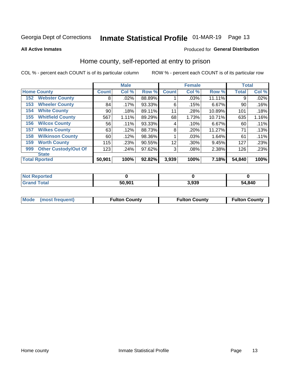## Inmate Statistical Profile 01-MAR-19 Page 13

**All Active Inmates** 

### Produced for General Distribution

### Home county, self-reported at entry to prison

COL % - percent each COUNT is of its particular column

|     |                             |              | <b>Male</b> |        |              | <b>Female</b> |        | <b>Total</b> |       |
|-----|-----------------------------|--------------|-------------|--------|--------------|---------------|--------|--------------|-------|
|     | <b>Home County</b>          | <b>Count</b> | Col %       | Row %  | <b>Count</b> | Col %         | Row %  | <b>Total</b> | Col % |
| 152 | <b>Webster County</b>       | 8            | .02%        | 88.89% |              | .03%          | 11.11% | 9            | .02%  |
| 153 | <b>Wheeler County</b>       | 84           | .17%        | 93.33% | 6            | .15%          | 6.67%  | 90           | .16%  |
| 154 | <b>White County</b>         | 90           | .18%        | 89.11% | 11           | .28%          | 10.89% | 101          | .18%  |
| 155 | <b>Whitfield County</b>     | 567          | 1.11%       | 89.29% | 68           | 1.73%         | 10.71% | 635          | 1.16% |
| 156 | <b>Wilcox County</b>        | 56           | .11%        | 93.33% | 4            | .10%          | 6.67%  | 60           | .11%  |
| 157 | <b>Wilkes County</b>        | 63           | .12%        | 88.73% | 8            | .20%          | 11.27% | 71           | .13%  |
| 158 | <b>Wilkinson County</b>     | 60           | .12%        | 98.36% |              | .03%          | 1.64%  | 61           | .11%  |
| 159 | <b>Worth County</b>         | 115          | .23%        | 90.55% | 12           | .30%          | 9.45%  | 127          | .23%  |
| 999 | <b>Other Custody/Out Of</b> | 123          | .24%        | 97.62% | 3            | .08%          | 2.38%  | 126          | .23%  |
|     | <b>State</b>                |              |             |        |              |               |        |              |       |
|     | <b>Total Rported</b>        | 50,901       | 100%        | 92.82% | 3,939        | 100%          | 7.18%  | 54,840       | 100%  |

| 'Not<br>Reported |        |       |        |
|------------------|--------|-------|--------|
| <b>Total</b>     | 50,901 | 3,939 | 54,840 |

|  | Mode (most frequent) | <b>Fulton County</b> | <b>Fulton County</b> | <b>Fulton County</b> |
|--|----------------------|----------------------|----------------------|----------------------|
|--|----------------------|----------------------|----------------------|----------------------|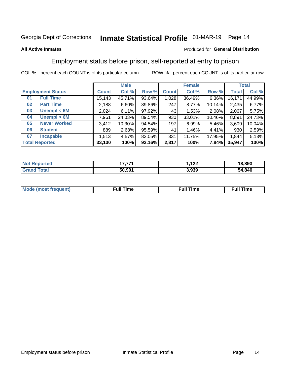## Inmate Statistical Profile 01-MAR-19 Page 14

#### **All Active Inmates**

#### Produced for General Distribution

### Employment status before prison, self-reported at entry to prison

COL % - percent each COUNT is of its particular column

|                           | <b>Male</b>  |           |        | <b>Female</b> |          |          | <b>Total</b> |        |
|---------------------------|--------------|-----------|--------|---------------|----------|----------|--------------|--------|
| <b>Employment Status</b>  | <b>Count</b> | Col %     | Row %  | <b>Count</b>  | Col %    | Row %    | <b>Total</b> | Col %  |
| <b>Full Time</b><br>01    | 15, 143      | 45.71%    | 93.64% | 1,028         | 36.49%   | $6.36\%$ | 16,171       | 44.99% |
| <b>Part Time</b><br>02    | 2,188        | 6.60%     | 89.86% | 247           | 8.77%    | 10.14%   | 2,435        | 6.77%  |
| Unempl $<$ 6M<br>03       | 2,024        | 6.11%     | 97.92% | 43            | 1.53%    | 2.08%    | 2,067        | 5.75%  |
| Unempl > 6M<br>04         | 7,961        | 24.03%    | 89.54% | 930           | 33.01%   | 10.46%   | 8,891        | 24.73% |
| <b>Never Worked</b><br>05 | 3,412        | $10.30\%$ | 94.54% | 197           | 6.99%    | 5.46%    | 3,609        | 10.04% |
| <b>Student</b><br>06      | 889          | 2.68%     | 95.59% | 41            | $1.46\%$ | 4.41%    | 930          | 2.59%  |
| 07<br><b>Incapable</b>    | 1,513        | 4.57%     | 82.05% | 331           | 11.75%   | 17.95%   | 1,844        | 5.13%  |
| <b>Total Reported</b>     | 33,130       | 100%      | 92.16% | 2,817         | 100%     | 7.84%    | 35,947       | 100%   |

| orted<br>NO | ィラ ラライ | ィっつ<br>174 | 18,893 |
|-------------|--------|------------|--------|
| int         | 50,901 | 3,939      | 54,840 |

| Mc | ----<br>me<br>ш | nc<br>. |
|----|-----------------|---------|
|    |                 |         |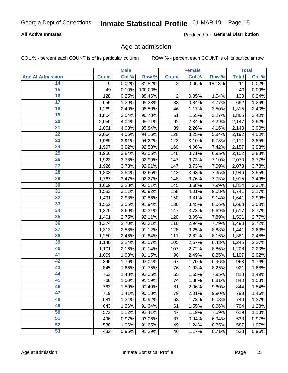### **All Active Inmates**

Produced for General Distribution

### Age at admission

COL % - percent each COUNT is of its particular column

|                         |              | <b>Male</b> |         |                | <b>Female</b> |        |              | <b>Total</b> |
|-------------------------|--------------|-------------|---------|----------------|---------------|--------|--------------|--------------|
| <b>Age At Admission</b> | <b>Count</b> | Col %       | Row %   | <b>Count</b>   | Col %         | Row %  | <b>Total</b> | Col %        |
| 14                      | 9            | 0.02%       | 81.82%  | $\overline{2}$ | 0.05%         | 18.18% | 11           | 0.02%        |
| $\overline{15}$         | 49           | 0.10%       | 100.00% |                |               |        | 49           | 0.09%        |
| 16                      | 128          | 0.25%       | 98.46%  | 2              | 0.05%         | 1.54%  | 130          | 0.24%        |
| $\overline{17}$         | 659          | 1.29%       | 95.23%  | 33             | 0.84%         | 4.77%  | 692          | 1.26%        |
| $\overline{18}$         | 1,269        | 2.49%       | 96.50%  | 46             | 1.17%         | 3.50%  | 1,315        | 2.40%        |
| 19                      | 1,804        | 3.54%       | 96.73%  | 61             | 1.55%         | 3.27%  | 1,865        | 3.40%        |
| 20                      | 2,055        | 4.04%       | 95.71%  | 92             | 2.34%         | 4.29%  | 2,147        | 3.92%        |
| $\overline{21}$         | 2,051        | 4.03%       | 95.84%  | 89             | 2.26%         | 4.16%  | 2,140        | 3.90%        |
| $\overline{22}$         | 2,064        | 4.06%       | 94.16%  | 128            | 3.25%         | 5.84%  | 2,192        | 4.00%        |
| $\overline{23}$         | 1,989        | 3.91%       | 94.22%  | 122            | 3.10%         | 5.78%  | 2,111        | 3.85%        |
| 24                      | 1,997        | 3.92%       | 92.58%  | 160            | 4.06%         | 7.42%  | 2,157        | 3.93%        |
| $\overline{25}$         | 1,956        | 3.84%       | 93.05%  | 146            | 3.71%         | 6.95%  | 2,102        | 3.83%        |
| $\overline{26}$         | 1,923        | 3.78%       | 92.90%  | 147            | 3.73%         | 7.10%  | 2,070        | 3.77%        |
| $\overline{27}$         | 1,926        | 3.78%       | 92.91%  | 147            | 3.73%         | 7.09%  | 2,073        | 3.78%        |
| 28                      | 1,803        | 3.54%       | 92.65%  | 143            | 3.63%         | 7.35%  | 1,946        | 3.55%        |
| 29                      | 1,767        | 3.47%       | 92.27%  | 148            | 3.76%         | 7.73%  | 1,915        | 3.49%        |
| 30                      | 1,669        | 3.28%       | 92.01%  | 145            | 3.68%         | 7.99%  | 1,814        | 3.31%        |
| 31                      | 1,583        | 3.11%       | 90.92%  | 158            | 4.01%         | 9.08%  | 1,741        | 3.17%        |
| 32                      | 1,491        | 2.93%       | 90.86%  | 150            | 3.81%         | 9.14%  | 1,641        | 2.99%        |
| 33                      | 1,552        | 3.05%       | 91.94%  | 136            | 3.45%         | 8.06%  | 1,688        | 3.08%        |
| 34                      | 1,370        | 2.69%       | 90.31%  | 147            | 3.73%         | 9.69%  | 1,517        | 2.77%        |
| 35                      | 1,401        | 2.75%       | 92.11%  | 120            | 3.05%         | 7.89%  | 1,521        | 2.77%        |
| 36                      | 1,374        | 2.70%       | 92.21%  | 116            | 2.94%         | 7.79%  | 1,490        | 2.72%        |
| 37                      | 1,313        | 2.58%       | 91.12%  | 128            | 3.25%         | 8.88%  | 1,441        | 2.63%        |
| 38                      | 1,250        | 2.46%       | 91.84%  | 111            | 2.82%         | 8.16%  | 1,361        | 2.48%        |
| 39                      | 1,140        | 2.24%       | 91.57%  | 105            | 2.67%         | 8.43%  | 1,245        | $2.27\%$     |
| 40                      | 1,101        | 2.16%       | 91.14%  | 107            | 2.72%         | 8.86%  | 1,208        | 2.20%        |
| 41                      | 1,009        | 1.98%       | 91.15%  | 98             | 2.49%         | 8.85%  | 1,107        | 2.02%        |
| 42                      | 896          | 1.76%       | 93.04%  | 67             | 1.70%         | 6.96%  | 963          | 1.76%        |
| 43                      | 845          | 1.66%       | 91.75%  | 76             | 1.93%         | 8.25%  | 921          | 1.68%        |
| 44                      | 753          | 1.48%       | 92.05%  | 65             | 1.65%         | 7.95%  | 818          | 1.49%        |
| 45                      | 766          | 1.50%       | 91.19%  | 74             | 1.88%         | 8.81%  | 840          | 1.53%        |
| 46                      | 763          | 1.50%       | 90.40%  | 81             | 2.06%         | 9.60%  | 844          | 1.54%        |
| 47                      | 719          | 1.41%       | 90.10%  | 79             | 2.01%         | 9.90%  | 798          | 1.46%        |
| 48                      | 681          | 1.34%       | 90.92%  | 68             | 1.73%         | 9.08%  | 749          | 1.37%        |
| 49                      | 643          | 1.26%       | 91.34%  | 61             | 1.55%         | 8.66%  | 704          | 1.28%        |
| 50                      | 572          | 1.12%       | 92.41%  | 47             | 1.19%         | 7.59%  | 619          | 1.13%        |
| 51                      | 496          | 0.97%       | 93.06%  | 37             | 0.94%         | 6.94%  | 533          | 0.97%        |
| 52                      | 538          | 1.06%       | 91.65%  | 49             | 1.24%         | 8.35%  | 587          | 1.07%        |
| 53                      | 482          | 0.95%       | 91.29%  | 46             | 1.17%         | 8.71%  | 528          | 0.96%        |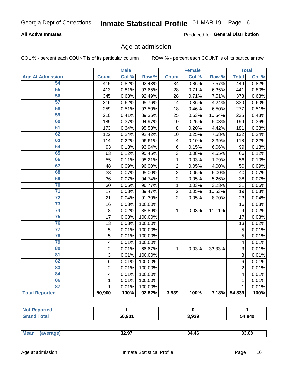### **All Active Inmates**

Produced for General Distribution

### Age at admission

COL % - percent each COUNT is of its particular column

|                         |                         | <b>Male</b> |         |                | <b>Female</b> |        |                | <b>Total</b> |
|-------------------------|-------------------------|-------------|---------|----------------|---------------|--------|----------------|--------------|
| <b>Age At Admission</b> | <b>Count</b>            | Col %       | Row %   | <b>Count</b>   | Col %         | Row %  | <b>Total</b>   | Col %        |
| 54                      | 415                     | 0.82%       | 92.43%  | 34             | 0.86%         | 7.57%  | 449            | 0.82%        |
| 55                      | 413                     | 0.81%       | 93.65%  | 28             | 0.71%         | 6.35%  | 441            | 0.80%        |
| 56                      | 345                     | 0.68%       | 92.49%  | 28             | 0.71%         | 7.51%  | 373            | 0.68%        |
| $\overline{57}$         | 316                     | 0.62%       | 95.76%  | 14             | 0.36%         | 4.24%  | 330            | 0.60%        |
| 58                      | 259                     | 0.51%       | 93.50%  | 18             | 0.46%         | 6.50%  | 277            | 0.51%        |
| 59                      | 210                     | 0.41%       | 89.36%  | 25             | 0.63%         | 10.64% | 235            | 0.43%        |
| 60                      | 189                     | 0.37%       | 94.97%  | 10             | 0.25%         | 5.03%  | 199            | 0.36%        |
| 61                      | 173                     | 0.34%       | 95.58%  | 8              | 0.20%         | 4.42%  | 181            | 0.33%        |
| 62                      | 122                     | 0.24%       | 92.42%  | 10             | 0.25%         | 7.58%  | 132            | 0.24%        |
| 63                      | 114                     | 0.22%       | 96.61%  | 4              | 0.10%         | 3.39%  | 118            | 0.22%        |
| 64                      | 93                      | 0.18%       | 93.94%  | $\,6$          | 0.15%         | 6.06%  | 99             | 0.18%        |
| 65                      | 63                      | 0.12%       | 95.45%  | $\overline{3}$ | 0.08%         | 4.55%  | 66             | 0.12%        |
| 66                      | 55                      | 0.11%       | 98.21%  | $\mathbf{1}$   | 0.03%         | 1.79%  | 56             | 0.10%        |
| 67                      | 48                      | 0.09%       | 96.00%  | $\overline{2}$ | 0.05%         | 4.00%  | 50             | 0.09%        |
| 68                      | 38                      | 0.07%       | 95.00%  | $\overline{c}$ | 0.05%         | 5.00%  | 40             | 0.07%        |
| 69                      | 36                      | 0.07%       | 94.74%  | $\overline{2}$ | 0.05%         | 5.26%  | 38             | 0.07%        |
| 70                      | 30                      | 0.06%       | 96.77%  | 1              | 0.03%         | 3.23%  | 31             | 0.06%        |
| $\overline{71}$         | 17                      | 0.03%       | 89.47%  | $\overline{2}$ | 0.05%         | 10.53% | 19             | 0.03%        |
| $\overline{72}$         | 21                      | 0.04%       | 91.30%  | $\overline{2}$ | 0.05%         | 8.70%  | 23             | 0.04%        |
| $\overline{73}$         | 16                      | 0.03%       | 100.00% |                |               |        | 16             | 0.03%        |
| $\overline{74}$         | 8                       | 0.02%       | 88.89%  | $\mathbf{1}$   | 0.03%         | 11.11% | $\mathsf g$    | 0.02%        |
| 75                      | 17                      | 0.03%       | 100.00% |                |               |        | 17             | 0.03%        |
| 76                      | 13                      | 0.03%       | 100.00% |                |               |        | 13             | 0.02%        |
| $\overline{77}$         | $\overline{5}$          | 0.01%       | 100.00% |                |               |        | $\overline{5}$ | 0.01%        |
| 78                      | $\overline{5}$          | 0.01%       | 100.00% |                |               |        | $\overline{5}$ | 0.01%        |
| 79                      | $\overline{\mathbf{4}}$ | 0.01%       | 100.00% |                |               |        | 4              | 0.01%        |
| 80                      | $\overline{2}$          | 0.01%       | 66.67%  | 1              | 0.03%         | 33.33% | 3              | 0.01%        |
| $\overline{81}$         | $\overline{3}$          | 0.01%       | 100.00% |                |               |        | 3              | 0.01%        |
| 82                      | 6                       | 0.01%       | 100.00% |                |               |        | 6              | 0.01%        |
| 83                      | $\overline{2}$          | 0.01%       | 100.00% |                |               |        | $\overline{2}$ | 0.01%        |
| 84                      | $\overline{\mathbf{4}}$ | 0.01%       | 100.00% |                |               |        | 4              | 0.01%        |
| 86                      | 1                       | 0.01%       | 100.00% |                |               |        | 1              | 0.01%        |
| 87                      | $\mathbf{1}$            | 0.01%       | 100.00% |                |               |        | $\mathbf{1}$   | 0.01%        |
| <b>Total Reported</b>   | 50,900                  | 100%        | 92.82%  | 3,939          | 100%          | 7.18%  | 54,839         | 100%         |

| тео<br>NO |        |       |        |
|-----------|--------|-------|--------|
|           | 50,901 | 3,939 | 54,840 |

|  | Mea. | 32.97<br>___ | 34.46 | 3.08 |
|--|------|--------------|-------|------|
|--|------|--------------|-------|------|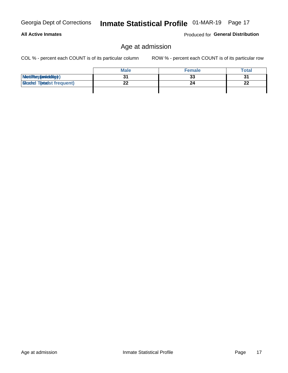| Georgia Dept of Corrections |  |
|-----------------------------|--|
|                             |  |

### **All Active Inmates**

Produced for General Distribution

## Age at admission

COL % - percent each COUNT is of its particular column

|                                  | <b>Male</b> | <b>Female</b> | <b>Total</b> |
|----------------------------------|-------------|---------------|--------------|
| MetiRep(aniektig)                |             | 33            | 31           |
| <b>Gloaded Tomadst frequent)</b> | ^^          |               | 22           |
|                                  |             |               |              |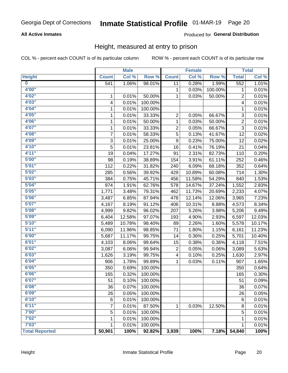### **All Active Inmates**

#### Produced for General Distribution

### Height, measured at entry to prison

COL % - percent each COUNT is of its particular column

|                         |              | <b>Male</b> |         |                  | <b>Female</b> |         |                | <b>Total</b> |
|-------------------------|--------------|-------------|---------|------------------|---------------|---------|----------------|--------------|
| <b>Height</b>           | <b>Count</b> | Col %       | Row %   | <b>Count</b>     | Col %         | Row %   | <b>Total</b>   | Col %        |
| $\overline{\mathbf{0}}$ | 541          | 1.06%       | 98.01%  | 11               | 0.28%         | 1.99%   | 552            | 1.01%        |
| 4'00"                   |              |             |         | 1                | 0.03%         | 100.00% | 1              | 0.01%        |
| 4'02''                  | 1            | 0.01%       | 50.00%  | 1                | 0.03%         | 50.00%  | 2              | 0.01%        |
| 4'03''                  | 4            | 0.01%       | 100.00% |                  |               |         | 4              | 0.01%        |
| 4'04"                   | 1            | 0.01%       | 100.00% |                  |               |         | 1              | 0.01%        |
| 4'05"                   | 1            | 0.01%       | 33.33%  | 2                | 0.05%         | 66.67%  | 3              | 0.01%        |
| 4'06"                   | 1            | 0.01%       | 50.00%  | 1                | 0.03%         | 50.00%  | $\overline{2}$ | 0.01%        |
| 4'07"                   | 1            | 0.01%       | 33.33%  | 2                | 0.05%         | 66.67%  | $\overline{3}$ | 0.01%        |
| 4'08"                   | 7            | 0.01%       | 58.33%  | 5                | 0.13%         | 41.67%  | 12             | 0.02%        |
| 4'09"                   | $\sqrt{3}$   | 0.01%       | 25.00%  | $\boldsymbol{9}$ | 0.23%         | 75.00%  | 12             | 0.02%        |
| 4'10"                   | 5            | 0.01%       | 23.81%  | 16               | 0.41%         | 76.19%  | 21             | 0.04%        |
| 4'11''                  | 19           | 0.04%       | 17.27%  | 91               | 2.31%         | 82.73%  | 110            | 0.20%        |
| 5'00''                  | 98           | 0.19%       | 38.89%  | 154              | 3.91%         | 61.11%  | 252            | 0.46%        |
| 5'01"                   | 112          | 0.22%       | 31.82%  | 240              | 6.09%         | 68.18%  | 352            | 0.64%        |
| 5'02"                   | 285          | 0.56%       | 39.92%  | 429              | 10.89%        | 60.08%  | 714            | 1.30%        |
| 5'03''                  | 384          | 0.75%       | 45.71%  | 456              | 11.58%        | 54.29%  | 840            | 1.53%        |
| 5'04"                   | 974          | 1.91%       | 62.76%  | 578              | 14.67%        | 37.24%  | 1,552          | 2.83%        |
| 5'05"                   | 1,771        | 3.48%       | 79.31%  | 462              | 11.73%        | 20.69%  | 2,233          | 4.07%        |
| 5'06''                  | 3,487        | 6.85%       | 87.94%  | 478              | 12.14%        | 12.06%  | 3,965          | 7.23%        |
| 5'07''                  | 4,167        | 8.19%       | 91.12%  | 406              | 10.31%        | 8.88%   | 4,573          | 8.34%        |
| 5'08''                  | 4,999        | 9.82%       | 96.02%  | 207              | 5.26%         | 3.98%   | 5,206          | 9.49%        |
| 5'09''                  | 6,404        | 12.58%      | 97.07%  | 193              | 4.90%         | 2.93%   | 6,597          | 12.03%       |
| 5'10''                  | 5,489        | 10.78%      | 98.40%  | 89               | 2.26%         | 1.60%   | 5,578          | 10.17%       |
| 5'11"                   | 6,090        | 11.96%      | 98.85%  | 71               | 1.80%         | 1.15%   | 6,161          | 11.23%       |
| 6'00''                  | 5,687        | 11.17%      | 99.75%  | 14               | 0.36%         | 0.25%   | 5,701          | 10.40%       |
| 6'01''                  | 4,103        | 8.06%       | 99.64%  | 15               | 0.38%         | 0.36%   | 4,118          | 7.51%        |
| 6'02"                   | 3,087        | 6.06%       | 99.94%  | $\overline{c}$   | 0.05%         | 0.06%   | 3,089          | 5.63%        |
| 6'03''                  | 1,626        | 3.19%       | 99.75%  | 4                | 0.10%         | 0.25%   | 1,630          | 2.97%        |
| 6'04"                   | 906          | 1.78%       | 99.89%  | $\mathbf{1}$     | 0.03%         | 0.11%   | 907            | 1.65%        |
| 6'05"                   | 350          | 0.69%       | 100.00% |                  |               |         | 350            | 0.64%        |
| 6'06''                  | 165          | 0.32%       | 100.00% |                  |               |         | 165            | 0.30%        |
| 6'07"                   | 51           | 0.10%       | 100.00% |                  |               |         | 51             | 0.09%        |
| 6'08"                   | 36           | 0.07%       | 100.00% |                  |               |         | 36             | 0.07%        |
| 6'09''                  | 26           | 0.05%       | 100.00% |                  |               |         | 26             | 0.05%        |
| 6'10''                  | 6            | 0.01%       | 100.00% |                  |               |         | $\,6$          | 0.01%        |
| 6'11''                  | 7            | 0.01%       | 87.50%  | 1                | 0.03%         | 12.50%  | 8              | 0.01%        |
| 7'00"                   | 5            | 0.01%       | 100.00% |                  |               |         | 5              | 0.01%        |
| 7'02"                   | 1            | 0.01%       | 100.00% |                  |               |         | 1              | 0.01%        |
| 7'03''                  | 1            | 0.01%       | 100.00% |                  |               |         | 1              | 0.01%        |
| <b>Total Reported</b>   | 50,901       | 100%        | 92.82%  | 3,939            | 100%          | 7.18%   | 54,840         | 100%         |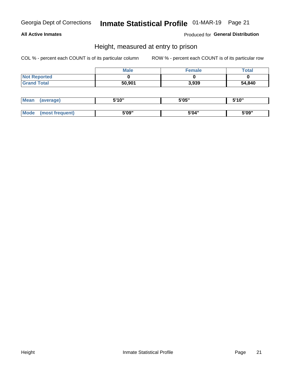#### **All Active Inmates**

Produced for General Distribution

### Height, measured at entry to prison

COL % - percent each COUNT is of its particular column

|                     | <b>Male</b> | Female | Total  |
|---------------------|-------------|--------|--------|
| <b>Not Reported</b> |             |        |        |
| <b>Grand Total</b>  | 50,901      | 3,939  | 54,840 |

| <b>Mean</b> | erage) | 5'10" | 5'05" | <b>CIA AIL</b><br>. . |
|-------------|--------|-------|-------|-----------------------|
|             |        |       |       |                       |
| <b>Mode</b> |        | 5'09" | 5'04" | 5'09"                 |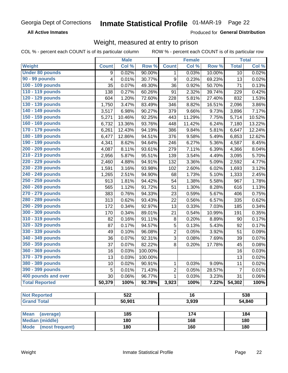**All Active Inmates** 

Produced for General Distribution

## Weight, measured at entry to prison

COL % - percent each COUNT is of its particular column

|                                |              | <b>Male</b> |         |                  | <b>Female</b> |        |                | <b>Total</b> |
|--------------------------------|--------------|-------------|---------|------------------|---------------|--------|----------------|--------------|
| Weight                         | <b>Count</b> | Col %       | Row %   | <b>Count</b>     | Col %         | Row %  | <b>Total</b>   | Col %        |
| <b>Under 80 pounds</b>         | 9            | 0.02%       | 90.00%  | $\mathbf{1}$     | 0.03%         | 10.00% | 10             | 0.02%        |
| 90 - 99 pounds                 | 4            | 0.01%       | 30.77%  | $\boldsymbol{9}$ | 0.23%         | 69.23% | 13             | 0.02%        |
| 100 - 109 pounds               | 35           | 0.07%       | 49.30%  | 36               | 0.92%         | 50.70% | 71             | 0.13%        |
| 110 - 119 pounds               | 138          | 0.27%       | 60.26%  | 91               | 2.32%         | 39.74% | 229            | 0.42%        |
| 120 - 129 pounds               | 604          | 1.20%       | 72.60%  | 228              | 5.81%         | 27.40% | 832            | 1.53%        |
| 130 - 139 pounds               | 1,750        | 3.47%       | 83.49%  | 346              | 8.82%         | 16.51% | 2,096          | 3.86%        |
| 140 - 149 pounds               | 3,517        | 6.98%       | 90.27%  | 379              | 9.66%         | 9.73%  | 3,896          | 7.17%        |
| 150 - 159 pounds               | 5,271        | 10.46%      | 92.25%  | 443              | 11.29%        | 7.75%  | 5,714          | 10.52%       |
| 160 - 169 pounds               | 6,732        | 13.36%      | 93.76%  | 448              | 11.42%        | 6.24%  | 7,180          | 13.22%       |
| 170 - 179 pounds               | 6,261        | 12.43%      | 94.19%  | 386              | 9.84%         | 5.81%  | 6,647          | 12.24%       |
| 180 - 189 pounds               | 6,477        | 12.86%      | 94.51%  | 376              | 9.58%         | 5.49%  | 6,853          | 12.62%       |
| 190 - 199 pounds               | 4,341        | 8.62%       | 94.64%  | 246              | 6.27%         | 5.36%  | 4,587          | 8.45%        |
| 200 - 209 pounds               | 4,087        | 8.11%       | 93.61%  | 279              | 7.11%         | 6.39%  | 4,366          | 8.04%        |
| 210 - 219 pounds               | 2,956        | 5.87%       | 95.51%  | 139              | 3.54%         | 4.49%  | 3,095          | 5.70%        |
| 220 - 229 pounds               | 2,460        | 4.88%       | 94.91%  | 132              | 3.36%         | 5.09%  | 2,592          | 4.77%        |
| 230 - 239 pounds               | 1,591        | 3.16%       | 93.98%  | 102              | 2.60%         | 6.02%  | 1,693          | 3.12%        |
| 240 - 249 pounds               | 1,265        | 2.51%       | 94.90%  | 68               | 1.73%         | 5.10%  | 1,333          | 2.45%        |
| 250 - 259 pounds               | 913          | 1.81%       | 94.42%  | 54               | 1.38%         | 5.58%  | 967            | 1.78%        |
| 260 - 269 pounds               | 565          | 1.12%       | 91.72%  | 51               | 1.30%         | 8.28%  | 616            | 1.13%        |
| 270 - 279 pounds               | 383          | 0.76%       | 94.33%  | 23               | 0.59%         | 5.67%  | 406            | 0.75%        |
| 280 - 289 pounds               | 313          | 0.62%       | 93.43%  | 22               | 0.56%         | 6.57%  | 335            | 0.62%        |
| 290 - 299 pounds               | 172          | 0.34%       | 92.97%  | 13               | 0.33%         | 7.03%  | 185            | 0.34%        |
| 300 - 309 pounds               | 170          | 0.34%       | 89.01%  | 21               | 0.54%         | 10.99% | 191            | 0.35%        |
| 310 - 319 pounds               | 82           | 0.16%       | 91.11%  | 8                | 0.20%         | 8.89%  | 90             | 0.17%        |
| 320 - 329 pounds               | 87           | 0.17%       | 94.57%  | $\sqrt{5}$       | 0.13%         | 5.43%  | 92             | 0.17%        |
| 330 - 339 pounds               | 49           | 0.10%       | 96.08%  | $\overline{2}$   | 0.05%         | 3.92%  | 51             | 0.09%        |
| 340 - 349 pounds               | 36           | 0.07%       | 92.31%  | $\sqrt{3}$       | 0.08%         | 7.69%  | 39             | 0.07%        |
| 350 - 359 pounds               | 37           | 0.07%       | 82.22%  | 8                | 0.20%         | 17.78% | 45             | 0.08%        |
| 360 - 369 pounds               | 16           | 0.03%       | 100.00% |                  |               |        | 16             | 0.03%        |
| 370 - 379 pounds               | 13           | 0.03%       | 100.00% |                  |               |        | 13             | 0.02%        |
| 380 - 389 pounds               | 10           | 0.02%       | 90.91%  | 1                | 0.03%         | 9.09%  | 11             | 0.02%        |
| 390 - 399 pounds               | 5            | 0.01%       | 71.43%  | 2                | 0.05%         | 28.57% | $\overline{7}$ | 0.01%        |
| 400 pounds and over            | 30           | 0.06%       | 96.77%  | 1                | 0.03%         | 3.23%  | 31             | 0.06%        |
| <b>Total Reported</b>          | 50,379       | 100%        | 92.78%  | 3,923            | 100%          | 7.22%  | 54,302         | 100%         |
| <b>Not Reported</b>            |              | 522         |         |                  | 16            |        |                | 538          |
|                                |              |             |         |                  |               |        |                |              |
| <b>Grand Total</b>             |              | 50,901      |         | 3,939            |               |        | 54,840         |              |
| <b>Mean</b><br>(average)       |              | 185         |         |                  | 174           |        |                | 184          |
| <b>Median (middle)</b>         |              | 180         |         |                  | 168           |        |                | 180          |
| <b>Mode</b><br>(most frequent) | 180          |             | 160     |                  |               | 180    |                |              |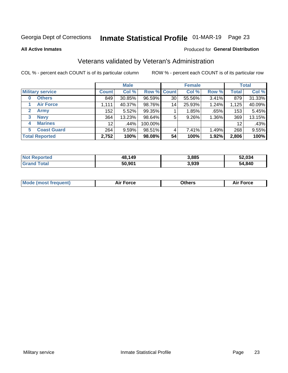## Inmate Statistical Profile 01-MAR-19 Page 23

**All Active Inmates** 

#### Produced for General Distribution

## Veterans validated by Veteran's Administration

COL % - percent each COUNT is of its particular column

|                          |                 | <b>Male</b> |         |       | <b>Female</b> |       |              | <b>Total</b> |
|--------------------------|-----------------|-------------|---------|-------|---------------|-------|--------------|--------------|
| <b>Military service</b>  | <b>Count</b>    | Col %       | Row %   | Count | Col %         | Row % | <b>Total</b> | Col %        |
| <b>Others</b><br>0       | 849             | 30.85%      | 96.59%  | 30    | 55.56%        | 3.41% | 879          | 31.33%       |
| <b>Air Force</b>         | 1,111           | 40.37%      | 98.76%  | 14    | 25.93%        | 1.24% | 1,125        | 40.09%       |
| <b>Army</b><br>2         | 152             | 5.52%       | 99.35%  |       | 1.85%         | .65%  | 153          | 5.45%        |
| <b>Navy</b><br>3         | 364             | 13.23%      | 98.64%  | 5     | 9.26%         | 1.36% | 369          | 13.15%       |
| <b>Marines</b><br>4      | 12 <sup>2</sup> | .44%        | 100.00% |       |               |       | 12           | .43%         |
| <b>Coast Guard</b><br>5. | 264             | $9.59\%$    | 98.51%  | 4     | 7.41%         | 1.49% | 268          | 9.55%        |
| <b>Total Reported</b>    | 2,752           | 100%        | 98.08%  | 54    | 100%          | 1.92% | 2,806        | 100%         |

| <b>Not</b><br><b>Reported</b> | 48,149 | 3,885 | 52.034 |
|-------------------------------|--------|-------|--------|
| <b>Total</b>                  | 50,901 | 3,939 | 54,840 |

| <b>Mode (most frequent)</b> | Force | )thers | orce |
|-----------------------------|-------|--------|------|
|                             |       |        |      |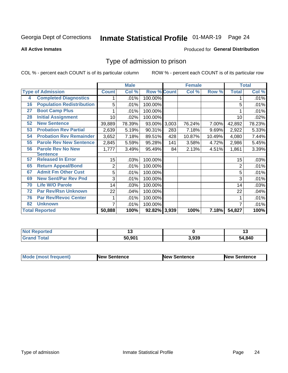## Inmate Statistical Profile 01-MAR-19 Page 24

**All Active Inmates** 

#### Produced for General Distribution

### Type of admission to prison

COL % - percent each COUNT is of its particular column

|    |                                  |                | <b>Male</b> |                    |     | <b>Female</b> |        |              | <b>Total</b> |
|----|----------------------------------|----------------|-------------|--------------------|-----|---------------|--------|--------------|--------------|
|    | <b>Type of Admission</b>         | <b>Count</b>   | Col %       | <b>Row % Count</b> |     | Col %         | Row %  | <b>Total</b> | Col %        |
| 4  | <b>Completed Diagnostics</b>     | 1              | .01%        | 100.00%            |     |               |        |              | .01%         |
| 16 | <b>Population Redistribution</b> | 5              | .01%        | 100.00%            |     |               |        | 5            | .01%         |
| 27 | <b>Boot Camp Plus</b>            |                | .01%        | 100.00%            |     |               |        |              | .01%         |
| 28 | <b>Initial Assignment</b>        | 10             | .02%        | 100.00%            |     |               |        | 10           | .02%         |
| 52 | <b>New Sentence</b>              | 39,889         | 78.39%      | 93.00% 3,003       |     | 76.24%        | 7.00%  | 42,892       | 78.23%       |
| 53 | <b>Probation Rev Partial</b>     | 2,639          | 5.19%       | 90.31%             | 283 | 7.18%         | 9.69%  | 2,922        | 5.33%        |
| 54 | <b>Probation Rev Remainder</b>   | 3,652          | 7.18%       | 89.51%             | 428 | 10.87%        | 10.49% | 4,080        | 7.44%        |
| 55 | <b>Parole Rev New Sentence</b>   | 2,845          | 5.59%       | 95.28%             | 141 | 3.58%         | 4.72%  | 2,986        | 5.45%        |
| 56 | <b>Parole Rev No New</b>         | 1,777          | 3.49%       | 95.49%             | 84  | 2.13%         | 4.51%  | 1,861        | 3.39%        |
|    | <b>Sentence</b>                  |                |             |                    |     |               |        |              |              |
| 57 | <b>Released In Error</b>         | 15             | .03%        | 100.00%            |     |               |        | 15           | .03%         |
| 65 | <b>Return Appeal/Bond</b>        | $\overline{2}$ | .01%        | 100.00%            |     |               |        | 2            | .01%         |
| 67 | <b>Admit Fm Other Cust</b>       | 5              | .01%        | 100.00%            |     |               |        | 5            | .01%         |
| 69 | <b>New Sent/Par Rev Pnd</b>      | 3              | .01%        | 100.00%            |     |               |        | 3            | .01%         |
| 70 | <b>Life W/O Parole</b>           | 14             | .03%        | 100.00%            |     |               |        | 14           | .03%         |
| 72 | <b>Par Rev/Rsn Unknown</b>       | 22             | .04%        | 100.00%            |     |               |        | 22           | .04%         |
| 76 | <b>Par Rev/Revoc Center</b>      | 1              | .01%        | 100.00%            |     |               |        |              | .01%         |
| 82 | <b>Unknown</b>                   | 7              | .01%        | 100.00%            |     |               |        |              | .01%         |
|    | <b>Total Reported</b>            | 50,888         | 100%        | 92.82% 3,939       |     | 100%          | 7.18%  | 54,827       | 100%         |

| <b>Not</b><br>Reported |        |       | '          |
|------------------------|--------|-------|------------|
| Total<br>Gran          | 50.901 | 3.939 | .840<br>54 |

| <b>Mode (most frequent)</b> | New Sentence | <b>New Sentence</b> | <b>New Sentence</b> |
|-----------------------------|--------------|---------------------|---------------------|
|                             |              |                     |                     |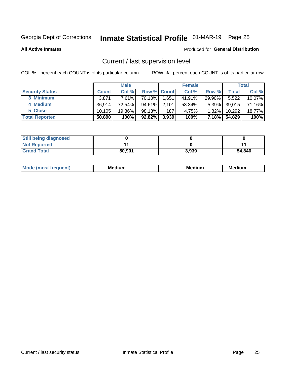## Inmate Statistical Profile 01-MAR-19 Page 25

**All Active Inmates** 

#### Produced for General Distribution

## Current / last supervision level

COL % - percent each COUNT is of its particular column

|                        |              | <b>Male</b> |                    |       | <b>Female</b> |          |                    | <b>Total</b> |
|------------------------|--------------|-------------|--------------------|-------|---------------|----------|--------------------|--------------|
| <b>Security Status</b> | <b>Count</b> | Col %       | <b>Row % Count</b> |       | Col %         | Row %    | Total <sub>1</sub> | Col %        |
| 3 Minimum              | 3,871        | 7.61%       | 70.10%             | 1,651 | 41.91%        | 29.90%   | 5,522              | $10.07\%$    |
| 4 Medium               | 36.914       | 72.54%      | $94.61\%$          | 2,101 | 53.34%        | $5.39\%$ | 39,015             | 71.16%       |
| 5 Close                | 10.105       | 19.86%      | 98.18%             | 187   | 4.75%         | 1.82%    | 10,292             | 18.77%       |
| <b>Total Reported</b>  | 50,890       | 100%        | $92.82\%$          | 3,939 | 100%          | $7.18\%$ | 54,829             | 100%         |

| <b>Still being diagnosed</b> |        |       |        |
|------------------------------|--------|-------|--------|
| <b>Not Reported</b>          |        |       |        |
| <b>Grand Total</b>           | 50,901 | 3,939 | 54,840 |

| M | M | . . |
|---|---|-----|
|   |   |     |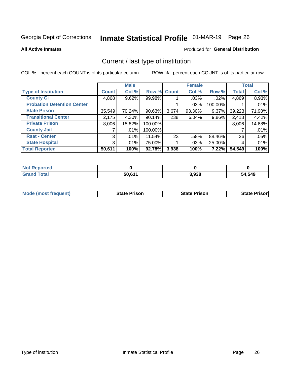## Inmate Statistical Profile 01-MAR-19 Page 26

**All Active Inmates** 

#### Produced for General Distribution

## Current / last type of institution

COL % - percent each COUNT is of its particular column

|                                   |                | <b>Male</b> |           |             | <b>Female</b> |         |              | <b>Total</b> |
|-----------------------------------|----------------|-------------|-----------|-------------|---------------|---------|--------------|--------------|
| <b>Type of Institution</b>        | <b>Count</b>   | Col %       |           | Row % Count | Col %         | Row %   | <b>Total</b> | Col %        |
| <b>County Ci</b>                  | 4,868          | 9.62%       | 99.98%    |             | .03%          | .02%    | 4,869        | 8.93%        |
| <b>Probation Detention Center</b> |                |             |           |             | .03%          | 100.00% |              | .01%         |
| <b>State Prison</b>               | 35,549         | 70.24%      | $90.63\%$ | 3,674       | 93.30%        | 9.37%   | 39,223       | 71.90%       |
| <b>Transitional Center</b>        | 2,175          | $4.30\%$    | $90.14\%$ | 238         | 6.04%         | 9.86%   | 2,413        | 4.42%        |
| <b>Private Prison</b>             | 8,006          | 15.82%      | 100.00%   |             |               |         | 8,006        | 14.68%       |
| <b>County Jail</b>                |                | $.01\%$     | 100.00%   |             |               |         |              | .01%         |
| <b>Rsat - Center</b>              | 3 <sup>1</sup> | $.01\%$     | 11.54%    | 23          | .58%          | 88.46%  | 26           | .05%         |
| <b>State Hospital</b>             | 3 <sup>1</sup> | .01%        | 75.00%    |             | .03%          | 25.00%  | 4            | .01%         |
| <b>Total Reported</b>             | 50,611         | 100%        | 92.78%    | 3,938       | 100%          | 7.22%   | 54,549       | 100%         |

| ported<br><b>Not</b>             |        |       |        |
|----------------------------------|--------|-------|--------|
| <sup>-</sup> otal<br><b>Grat</b> | 50,611 | 3,938 | 54,549 |

| Mode (most frequent) | <b>State Prison</b> | <b>State Prison</b> | <b>State Prisonl</b> |
|----------------------|---------------------|---------------------|----------------------|
|                      |                     |                     |                      |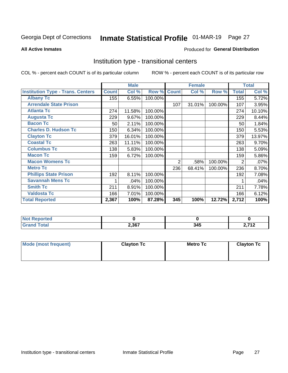## Inmate Statistical Profile 01-MAR-19 Page 27

#### **All Active Inmates**

### Produced for General Distribution

### Institution type - transitional centers

COL % - percent each COUNT is of its particular column

|                                          |              | <b>Male</b> |         |                | <b>Female</b> |         |              | <b>Total</b> |
|------------------------------------------|--------------|-------------|---------|----------------|---------------|---------|--------------|--------------|
| <b>Institution Type - Trans. Centers</b> | <b>Count</b> | Col %       | Row %   | <b>Count</b>   | Col %         | Row %   | <b>Total</b> | Col %        |
| <b>Albany Tc</b>                         | 155          | 6.55%       | 100.00% |                |               |         | 155          | 5.72%        |
| <b>Arrendale State Prison</b>            |              |             |         | 107            | 31.01%        | 100.00% | 107          | 3.95%        |
| <b>Atlanta Tc</b>                        | 274          | 11.58%      | 100.00% |                |               |         | 274          | 10.10%       |
| <b>Augusta Tc</b>                        | 229          | 9.67%       | 100.00% |                |               |         | 229          | 8.44%        |
| <b>Bacon Tc</b>                          | 50           | 2.11%       | 100.00% |                |               |         | 50           | 1.84%        |
| <b>Charles D. Hudson Tc</b>              | 150          | 6.34%       | 100.00% |                |               |         | 150          | 5.53%        |
| <b>Clayton Tc</b>                        | 379          | 16.01%      | 100.00% |                |               |         | 379          | 13.97%       |
| <b>Coastal Tc</b>                        | 263          | 11.11%      | 100.00% |                |               |         | 263          | 9.70%        |
| <b>Columbus Tc</b>                       | 138          | 5.83%       | 100.00% |                |               |         | 138          | 5.09%        |
| <b>Macon Tc</b>                          | 159          | 6.72%       | 100.00% |                |               |         | 159          | 5.86%        |
| <b>Macon Womens Tc</b>                   |              |             |         | $\overline{2}$ | .58%          | 100.00% | 2            | .07%         |
| <b>Metro Tc</b>                          |              |             |         | 236            | 68.41%        | 100.00% | 236          | 8.70%        |
| <b>Phillips State Prison</b>             | 192          | 8.11%       | 100.00% |                |               |         | 192          | 7.08%        |
| <b>Savannah Mens Tc</b>                  | 1            | .04%        | 100.00% |                |               |         |              | .04%         |
| <b>Smith Tc</b>                          | 211          | 8.91%       | 100.00% |                |               |         | 211          | 7.78%        |
| <b>Valdosta Tc</b>                       | 166          | 7.01%       | 100.00% |                |               |         | 166          | 6.12%        |
| <b>Total Reported</b>                    | 2,367        | 100%        | 87.28%  | 345            | 100%          | 12.72%  | 2,712        | 100%         |

| Reported |       |     |            |
|----------|-------|-----|------------|
| Total    | 2,367 | 345 | 74C<br>. . |

| Mode (most frequent) | <b>Clayton Tc</b> | Metro Tc | <b>Clayton Tc</b> |
|----------------------|-------------------|----------|-------------------|
|                      |                   |          |                   |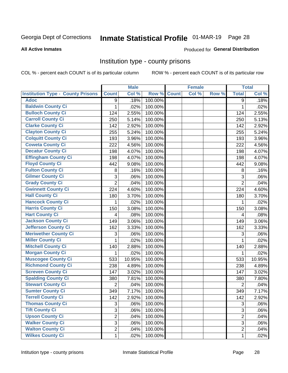## Inmate Statistical Profile 01-MAR-19 Page 28

#### **All Active Inmates**

#### Produced for General Distribution

### Institution type - county prisons

COL % - percent each COUNT is of its particular column

|                                          |                | <b>Male</b> |         |              | <b>Female</b> |       |                | <b>Total</b> |
|------------------------------------------|----------------|-------------|---------|--------------|---------------|-------|----------------|--------------|
| <b>Institution Type - County Prisons</b> | <b>Count</b>   | Col %       | Row %   | <b>Count</b> | Col %         | Row % | <b>Total</b>   | Col %        |
| <b>Adoc</b>                              | 9              | .18%        | 100.00% |              |               |       | 9              | .18%         |
| <b>Baldwin County Ci</b>                 | 1              | .02%        | 100.00% |              |               |       | 1              | .02%         |
| <b>Bulloch County Ci</b>                 | 124            | 2.55%       | 100.00% |              |               |       | 124            | 2.55%        |
| <b>Carroll County Ci</b>                 | 250            | 5.14%       | 100.00% |              |               |       | 250            | 5.13%        |
| <b>Clarke County Ci</b>                  | 142            | 2.92%       | 100.00% |              |               |       | 142            | 2.92%        |
| <b>Clayton County Ci</b>                 | 255            | 5.24%       | 100.00% |              |               |       | 255            | 5.24%        |
| <b>Colquitt County Ci</b>                | 193            | 3.96%       | 100.00% |              |               |       | 193            | 3.96%        |
| <b>Coweta County Ci</b>                  | 222            | 4.56%       | 100.00% |              |               |       | 222            | 4.56%        |
| <b>Decatur County Ci</b>                 | 198            | 4.07%       | 100.00% |              |               |       | 198            | 4.07%        |
| <b>Effingham County Ci</b>               | 198            | 4.07%       | 100.00% |              |               |       | 198            | 4.07%        |
| <b>Floyd County Ci</b>                   | 442            | 9.08%       | 100.00% |              |               |       | 442            | 9.08%        |
| <b>Fulton County Ci</b>                  | 8              | .16%        | 100.00% |              |               |       | 8              | .16%         |
| <b>Gilmer County Ci</b>                  | 3              | .06%        | 100.00% |              |               |       | 3              | .06%         |
| <b>Grady County Ci</b>                   | $\overline{2}$ | .04%        | 100.00% |              |               |       | $\overline{2}$ | .04%         |
| <b>Gwinnett County Ci</b>                | 224            | 4.60%       | 100.00% |              |               |       | 224            | 4.60%        |
| <b>Hall County Ci</b>                    | 180            | 3.70%       | 100.00% |              |               |       | 180            | 3.70%        |
| <b>Hancock County Ci</b>                 | 1              | .02%        | 100.00% |              |               |       | 1              | .02%         |
| <b>Harris County Ci</b>                  | 150            | 3.08%       | 100.00% |              |               |       | 150            | 3.08%        |
| <b>Hart County Ci</b>                    | 4              | .08%        | 100.00% |              |               |       | 4              | .08%         |
| <b>Jackson County Ci</b>                 | 149            | 3.06%       | 100.00% |              |               |       | 149            | 3.06%        |
| <b>Jefferson County Ci</b>               | 162            | 3.33%       | 100.00% |              |               |       | 162            | 3.33%        |
| <b>Meriwether County Ci</b>              | 3              | .06%        | 100.00% |              |               |       | 3              | .06%         |
| <b>Miller County Ci</b>                  | 1              | .02%        | 100.00% |              |               |       | 1              | .02%         |
| <b>Mitchell County Ci</b>                | 140            | 2.88%       | 100.00% |              |               |       | 140            | 2.88%        |
| <b>Morgan County Ci</b>                  | 1              | .02%        | 100.00% |              |               |       | 1              | .02%         |
| <b>Muscogee County Ci</b>                | 533            | 10.95%      | 100.00% |              |               |       | 533            | 10.95%       |
| <b>Richmond County Ci</b>                | 238            | 4.89%       | 100.00% |              |               |       | 238            | 4.89%        |
| <b>Screven County Ci</b>                 | 147            | 3.02%       | 100.00% |              |               |       | 147            | 3.02%        |
| <b>Spalding County Ci</b>                | 380            | 7.81%       | 100.00% |              |               |       | 380            | 7.80%        |
| <b>Stewart County Ci</b>                 | $\overline{2}$ | .04%        | 100.00% |              |               |       | $\overline{2}$ | .04%         |
| <b>Sumter County Ci</b>                  | 349            | 7.17%       | 100.00% |              |               |       | 349            | 7.17%        |
| <b>Terrell County Ci</b>                 | 142            | 2.92%       | 100.00% |              |               |       | 142            | 2.92%        |
| <b>Thomas County Ci</b>                  | 3              | .06%        | 100.00% |              |               |       | 3              | .06%         |
| <b>Tift County Ci</b>                    | 3              | .06%        | 100.00% |              |               |       | 3              | .06%         |
| <b>Upson County Ci</b>                   | $\overline{2}$ | .04%        | 100.00% |              |               |       | $\overline{2}$ | .04%         |
| <b>Walker County Ci</b>                  | 3              | .06%        | 100.00% |              |               |       | 3              | .06%         |
| <b>Walton County Ci</b>                  | $\overline{2}$ | .04%        | 100.00% |              |               |       | $\overline{2}$ | .04%         |
| <b>Wilkes County Ci</b>                  | 1              | .02%        | 100.00% |              |               |       | $\mathbf{1}$   | .02%         |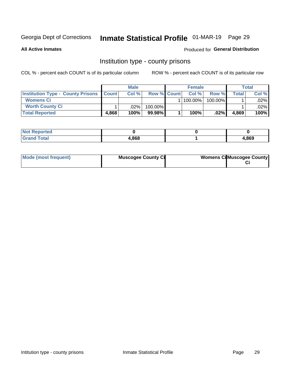## Inmate Statistical Profile 01-MAR-19 Page 29

**All Active Inmates** 

### **Produced for General Distribution**

### Institution type - county prisons

COL % - percent each COUNT is of its particular column

|                                                |       | <b>Male</b> |                    | <b>Female</b> |            |       | <b>Total</b> |
|------------------------------------------------|-------|-------------|--------------------|---------------|------------|-------|--------------|
| <b>Institution Type - County Prisons Count</b> |       | Col %       | <b>Row % Count</b> | Col%          | Row %      | Total | Col %        |
| <b>Womens Ci</b>                               |       |             |                    | $ 100.00\% $  | $100.00\%$ |       | $.02\%$      |
| <b>Worth County Ci</b>                         |       | $.02\%$     | 100.00%            |               |            |       | .02% l       |
| <b>Total Reported</b>                          | 4,868 | 100%        | $99.98\%$          | 100%          | $.02\%$    | 4,869 | 100%         |

| oorted<br><b>NOT</b> |       |       |
|----------------------|-------|-------|
| <b>ota</b>           | 4.868 | 4,869 |

| Mode (most frequent) | <b>Muscogee County Ci</b> | <b>Womens Ci</b> Muscogee County |
|----------------------|---------------------------|----------------------------------|
|----------------------|---------------------------|----------------------------------|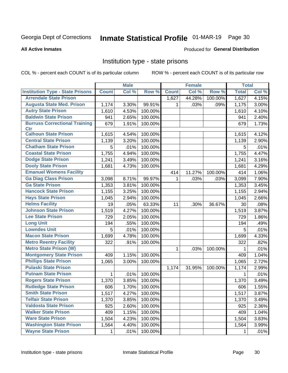## Inmate Statistical Profile 01-MAR-19 Page 30

#### **All Active Inmates**

### **Produced for General Distribution**

### Institution type - state prisons

COL % - percent each COUNT is of its particular column

|                                                    |              | <b>Male</b> |         |              | <b>Female</b> |         | <b>Total</b> |       |
|----------------------------------------------------|--------------|-------------|---------|--------------|---------------|---------|--------------|-------|
| <b>Institution Type - State Prisons</b>            | <b>Count</b> | Col %       | Row %   | <b>Count</b> | Col %         | Row %   | <b>Total</b> | Col % |
| <b>Arrendale State Prison</b>                      |              |             |         | 1,627        | 44.28%        | 100.00% | 1,627        | 4.15% |
| <b>Augusta State Med. Prison</b>                   | 1,174        | 3.30%       | 99.91%  |              | .03%          | .09%    | 1,175        | 3.00% |
| <b>Autry State Prison</b>                          | 1,610        | 4.53%       | 100.00% |              |               |         | 1,610        | 4.10% |
| <b>Baldwin State Prison</b>                        | 941          | 2.65%       | 100.00% |              |               |         | 941          | 2.40% |
| <b>Burruss Correctional Training</b><br><b>Ctr</b> | 679          | 1.91%       | 100.00% |              |               |         | 679          | 1.73% |
| <b>Calhoun State Prison</b>                        | 1,615        | 4.54%       | 100.00% |              |               |         | 1,615        | 4.12% |
| <b>Central State Prison</b>                        | 1,139        | 3.20%       | 100.00% |              |               |         | 1,139        | 2.90% |
| <b>Chatham State Prison</b>                        | 5            | .01%        | 100.00% |              |               |         | 5            | .01%  |
| <b>Coastal State Prison</b>                        | 1,755        | 4.94%       | 100.00% |              |               |         | 1,755        | 4.47% |
| <b>Dodge State Prison</b>                          | 1,241        | 3.49%       | 100.00% |              |               |         | 1,241        | 3.16% |
| <b>Dooly State Prison</b>                          | 1,681        | 4.73%       | 100.00% |              |               |         | 1,681        | 4.29% |
| <b>Emanuel Womens Facility</b>                     |              |             |         | 414          | 11.27%        | 100.00% | 414          | 1.06% |
| <b>Ga Diag Class Prison</b>                        | 3,098        | 8.71%       | 99.97%  | 1            | .03%          | .03%    | 3,099        | 7.90% |
| <b>Ga State Prison</b>                             | 1,353        | 3.81%       | 100.00% |              |               |         | 1,353        | 3.45% |
| <b>Hancock State Prison</b>                        | 1,155        | 3.25%       | 100.00% |              |               |         | 1,155        | 2.94% |
| <b>Hays State Prison</b>                           | 1,045        | 2.94%       | 100.00% |              |               |         | 1,045        | 2.66% |
| <b>Helms Facility</b>                              | 19           | .05%        | 63.33%  | 11           | .30%          | 36.67%  | 30           | .08%  |
| <b>Johnson State Prison</b>                        | 1,519        | 4.27%       | 100.00% |              |               |         | 1,519        | 3.87% |
| <b>Lee State Prison</b>                            | 729          | 2.05%       | 100.00% |              |               |         | 729          | 1.86% |
| <b>Long Unit</b>                                   | 194          | .55%        | 100.00% |              |               |         | 194          | .49%  |
| <b>Lowndes Unit</b>                                | 5            | .01%        | 100.00% |              |               |         | 5            | .01%  |
| <b>Macon State Prison</b>                          | 1,699        | 4.78%       | 100.00% |              |               |         | 1,699        | 4.33% |
| <b>Metro Reentry Facility</b>                      | 322          | .91%        | 100.00% |              |               |         | 322          | .82%  |
| <b>Metro State Prison (W)</b>                      |              |             |         | 1            | .03%          | 100.00% | 1            | .01%  |
| <b>Montgomery State Prison</b>                     | 409          | 1.15%       | 100.00% |              |               |         | 409          | 1.04% |
| <b>Phillips State Prison</b>                       | 1,065        | 3.00%       | 100.00% |              |               |         | 1,065        | 2.72% |
| <b>Pulaski State Prison</b>                        |              |             |         | 1,174        | 31.95%        | 100.00% | 1,174        | 2.99% |
| <b>Putnam State Prison</b>                         | $\mathbf 1$  | .01%        | 100.00% |              |               |         | 1            | .01%  |
| <b>Rogers State Prison</b>                         | 1,370        | 3.85%       | 100.00% |              |               |         | 1,370        | 3.49% |
| <b>Rutledge State Prison</b>                       | 606          | 1.70%       | 100.00% |              |               |         | 606          | 1.55% |
| <b>Smith State Prison</b>                          | 1,517        | 4.27%       | 100.00% |              |               |         | 1,517        | 3.87% |
| <b>Telfair State Prison</b>                        | 1,370        | 3.85%       | 100.00% |              |               |         | 1,370        | 3.49% |
| <b>Valdosta State Prison</b>                       | 925          | 2.60%       | 100.00% |              |               |         | 925          | 2.36% |
| <b>Walker State Prison</b>                         | 409          | 1.15%       | 100.00% |              |               |         | 409          | 1.04% |
| <b>Ware State Prison</b>                           | 1,504        | 4.23%       | 100.00% |              |               |         | 1,504        | 3.83% |
| <b>Washington State Prison</b>                     | 1,564        | 4.40%       | 100.00% |              |               |         | 1,564        | 3.99% |
| <b>Wayne State Prison</b>                          | $\mathbf{1}$ | .01%        | 100.00% |              |               |         | $\mathbf{1}$ | .01%  |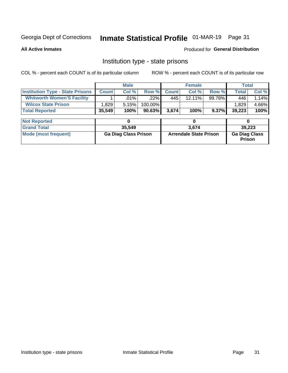## Inmate Statistical Profile 01-MAR-19 Page 31

**All Active Inmates** 

Produced for General Distribution

### Institution type - state prisons

COL % - percent each COUNT is of its particular column ROW % - percent each COUNT is of its particular row

|                                         |              | <b>Male</b>                 |         |              | <b>Female</b>                 |        | <b>Total</b>                   |       |
|-----------------------------------------|--------------|-----------------------------|---------|--------------|-------------------------------|--------|--------------------------------|-------|
| <b>Institution Type - State Prisons</b> | <b>Count</b> | Col %                       | Row %   | <b>Count</b> | Col %                         | Row %  | <b>Total</b>                   | Col % |
| <b>Whitworth Women'S Facility</b>       |              | $.01\%$                     | .22%    | 445          | 12.11%                        | 99.78% | 446                            | 1.14% |
| <b>Wilcox State Prison</b>              | 1,829        | 5.15%                       | 100.00% |              |                               |        | 1,829                          | 4.66% |
| <b>Total Reported</b>                   | 35,549       | 100%                        | 90.63%  | 3,674        | 100%                          | 9.37%  | 39,223                         | 100%  |
|                                         |              |                             |         |              |                               |        |                                |       |
| <b>Not Reported</b>                     |              | 0                           |         |              | 0                             |        | 0                              |       |
| <b>Grand Total</b>                      |              | 35,549                      |         | 3.674        |                               |        | 39,223                         |       |
| <b>Mode (most frequent)</b>             |              | <b>Ga Diag Class Prison</b> |         |              | <b>Arrendale State Prison</b> |        | <b>Ga Diag Class</b><br>Prison |       |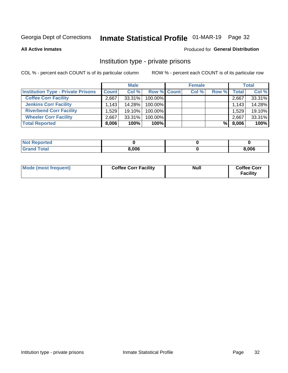## Inmate Statistical Profile 01-MAR-19 Page 32

**All Active Inmates** 

#### Produced for General Distribution

### Institution type - private prisons

COL % - percent each COUNT is of its particular column

|                                           |              | <b>Male</b> |                    | <b>Female</b> |       |       | <b>Total</b> |
|-------------------------------------------|--------------|-------------|--------------------|---------------|-------|-------|--------------|
| <b>Institution Type - Private Prisons</b> | <b>Count</b> | Col %       | <b>Row % Count</b> | Col %         | Row % | Total | Col %        |
| <b>Coffee Corr Facility</b>               | 2.667        | 33.31%      | 100.00%            |               |       | 2,667 | 33.31%       |
| <b>Jenkins Corr Facility</b>              | 1,143        | 14.28%      | 100.00%            |               |       | 1,143 | 14.28%       |
| <b>Riverbend Corr Facility</b>            | 1.529        | 19.10%      | 100.00%            |               |       | 1,529 | 19.10%       |
| <b>Wheeler Corr Facility</b>              | 2.667        | $33.31\%$   | 100.00%            |               |       | 2,667 | 33.31%       |
| <b>Total Reported</b>                     | 8,006        | 100%        | $100\%$            |               | %Ⅰ    | 8,006 | 100%         |

| 'Noi<br><b>Reported</b> |       |       |
|-------------------------|-------|-------|
| <b>Total</b>            | 8,006 | 3,006 |

| Mode (most frequent) | <b>Coffee Corr Facility</b> | <b>Null</b> | <b>Coffee Corr</b><br><b>Facility</b> |
|----------------------|-----------------------------|-------------|---------------------------------------|
|----------------------|-----------------------------|-------------|---------------------------------------|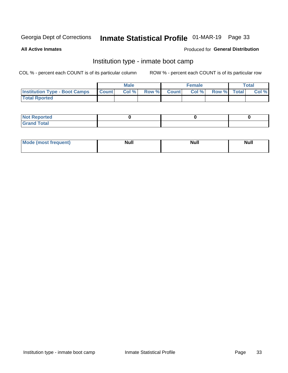## Inmate Statistical Profile 01-MAR-19 Page 33

**All Active Inmates** 

#### Produced for General Distribution

## Institution type - inmate boot camp

COL % - percent each COUNT is of its particular column

|                                      |              | <b>Male</b> |               |              | <b>Female</b> |             | <b>Total</b> |
|--------------------------------------|--------------|-------------|---------------|--------------|---------------|-------------|--------------|
| <b>Institution Type - Boot Camps</b> | <b>Count</b> | Col %       | <b>Row %I</b> | <b>Count</b> | Col %         | Row % Total | Col %        |
| <b>Total Rported</b>                 |              |             |               |              |               |             |              |

| <b>Not Reported</b>            |  |  |
|--------------------------------|--|--|
| <b>Total</b><br>C <sub>r</sub> |  |  |

| Mod<br>uamo | Nul.<br>$- - - - - -$ | <b>Null</b> | . .<br>uu.<br>------ |
|-------------|-----------------------|-------------|----------------------|
|             |                       |             |                      |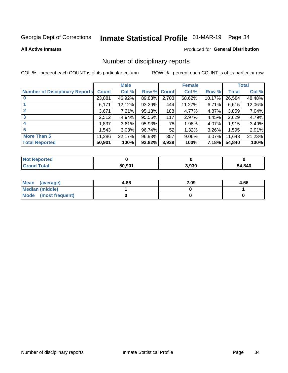## Inmate Statistical Profile 01-MAR-19 Page 34

#### **All Active Inmates**

### **Produced for General Distribution**

### Number of disciplinary reports

COL % - percent each COUNT is of its particular column

|                                       |              | <b>Male</b> |             |       | <b>Female</b> |          |        | <b>Total</b> |
|---------------------------------------|--------------|-------------|-------------|-------|---------------|----------|--------|--------------|
| <b>Number of Disciplinary Reports</b> | <b>Count</b> | Col %       | Row % Count |       | Col %         | Row %    | Total  | Col %        |
|                                       | 23,881       | 46.92%      | 89.83%      | 2,703 | 68.62%        | 10.17%   | 26,584 | 48.48%       |
|                                       | 6,171        | 12.12%      | 93.29%      | 444   | 11.27%        | 6.71%    | 6,615  | 12.06%       |
|                                       | 3,671        | 7.21%       | 95.13%      | 188   | 4.77%         | 4.87%    | 3,859  | 7.04%        |
| 3                                     | 2,512        | 4.94%       | 95.55%      | 117   | 2.97%         | 4.45%    | 2,629  | 4.79%        |
|                                       | 1,837        | 3.61%       | 95.93%      | 78    | 1.98%         | 4.07%    | 1,915  | 3.49%        |
| 5                                     | ,543         | 3.03%       | 96.74%      | 52    | 1.32%         | $3.26\%$ | 1,595  | 2.91%        |
| <b>More Than 5</b>                    | 11,286       | 22.17%      | 96.93%      | 357   | $9.06\%$      | 3.07%    | 11,643 | 21.23%       |
| <b>Total Reported</b>                 | 50,901       | 100%        | 92.82%      | 3,939 | 100%          | 7.18%    | 54,840 | 100%         |

| Reported<br>Not F |        |       |             |
|-------------------|--------|-------|-------------|
| Total             | 50.901 | 3,939 | 4,840<br>54 |

| Mean (average)       | 4.86 | 2.09 | 4.66 |
|----------------------|------|------|------|
| Median (middle)      |      |      |      |
| Mode (most frequent) |      |      |      |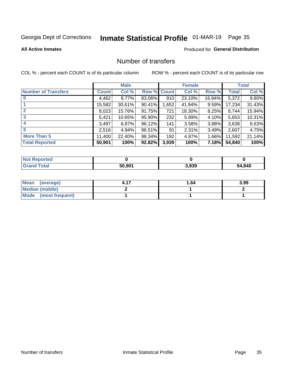## Inmate Statistical Profile 01-MAR-19 Page 35

**Produced for General Distribution** 

#### **All Active Inmates**

## Number of transfers

COL % - percent each COUNT is of its particular column

|                            |         | <b>Male</b> |                    |       | <b>Female</b> |          |        | <b>Total</b> |
|----------------------------|---------|-------------|--------------------|-------|---------------|----------|--------|--------------|
| <b>Number of Transfers</b> | Count l | Col %       | <b>Row % Count</b> |       | Col %         | Row %    | Total  | Col %        |
| $\bf{0}$                   | 4,462   | 8.77%       | 83.06%             | 910   | 23.10%        | 16.94%   | 5,372  | 9.80%        |
|                            | 15,582  | 30.61%      | 90.41%             | 1,652 | 41.94%        | 9.59%    | 17,234 | 31.43%       |
| $\overline{2}$             | 8,023   | 15.76%      | 91.75%             | 721   | 18.30%        | 8.25%    | 8,744  | 15.94%       |
| 3                          | 5,421   | 10.65%      | 95.90%             | 232   | 5.89%         | $4.10\%$ | 5,653  | 10.31%       |
| $\boldsymbol{4}$           | 3,497   | 6.87%       | 96.12%             | 141   | 3.58%         | 3.88%    | 3,638  | 6.63%        |
| 5                          | 2,516   | 4.94%       | 96.51%             | 91    | 2.31%         | 3.49%    | 2,607  | 4.75%        |
| <b>More Than 5</b>         | 11,400  | 22.40%      | 98.34%             | 192   | 4.87%         | $1.66\%$ | 11,592 | 21.14%       |
| <b>Total Reported</b>      | 50,901  | 100%        | 92.82%             | 3,939 | 100%          | 7.18%    | 54,840 | 100%         |

| Reported<br>Not F |        |       |             |
|-------------------|--------|-------|-------------|
| Total             | 50.901 | 3,939 | 4,840<br>54 |

| Mean (average)       | 1.64 | 3.99 |
|----------------------|------|------|
| Median (middle)      |      |      |
| Mode (most frequent) |      |      |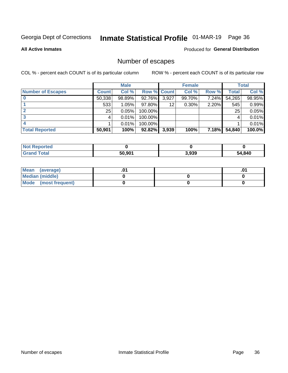## Inmate Statistical Profile 01-MAR-19 Page 36

**All Active Inmates** 

### Produced for General Distribution

## Number of escapes

COL % - percent each COUNT is of its particular column

|                          |              | <b>Male</b> |             |       | <b>Female</b> |          |              | <b>Total</b> |
|--------------------------|--------------|-------------|-------------|-------|---------------|----------|--------------|--------------|
| <b>Number of Escapes</b> | <b>Count</b> | Col %       | Row % Count |       | Col %         | Row %    | <b>Total</b> | Col %        |
|                          | 50,338       | 98.89%      | 92.76%      | 3,927 | 99.70%        | 7.24%    | 54,265       | 98.95%       |
|                          | 533          | 1.05%       | 97.80%      | 12    | 0.30%         | 2.20%    | 545          | 0.99%        |
|                          | 25           | 0.05%       | 100.00%     |       |               |          | 25           | $0.05\%$     |
|                          |              | 0.01%       | 100.00%     |       |               |          |              | $0.01\%$     |
|                          |              | 0.01%       | 100.00%     |       |               |          |              | 0.01%        |
| <b>Total Reported</b>    | 50,901       | 100%        | 92.82%      | 3,939 | 100%          | $7.18\%$ | 54,840       | $100.0\%$    |

| <b>Not Reported</b> |        |       |              |
|---------------------|--------|-------|--------------|
| <b>Total</b>        | 50,901 | 3,939 | 840,46<br>54 |

| Mean<br>(average)    |  | .0 |
|----------------------|--|----|
| Median (middle)      |  |    |
| Mode (most frequent) |  |    |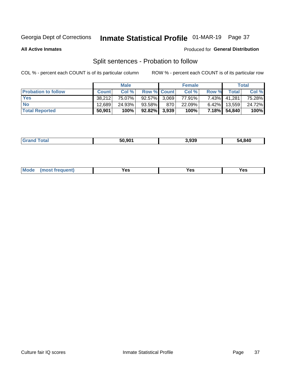## Inmate Statistical Profile 01-MAR-19 Page 37

**All Active Inmates** 

#### Produced for General Distribution

## Split sentences - Probation to follow

COL % - percent each COUNT is of its particular column

|                            |              | <b>Male</b> |                    |     | <b>Female</b> |          |              | <b>Total</b> |
|----------------------------|--------------|-------------|--------------------|-----|---------------|----------|--------------|--------------|
| <b>Probation to follow</b> | <b>Count</b> | Col%        | <b>Row % Count</b> |     | Col %         | Row %    | Total        | Col %        |
| <b>Yes</b>                 | 38.212       | 75.07%      | 92.57% 3.069       |     | 77.91%        | $7.43\%$ | 41.281       | 75.28%       |
| <b>No</b>                  | 12.689       | 24.93%      | 93.58%             | 870 | 22.09%        | $6.42\%$ | 13,559       | 24.72%       |
| <b>Total Reported</b>      | 50,901       | 100%        | $92.82\%$ 3,939    |     | 100%          |          | 7.18% 54,840 | 100%         |

|  |  | 50.901 | 3.939 | 54,840 |
|--|--|--------|-------|--------|
|--|--|--------|-------|--------|

| M<br>reauent)<br>/٥<br>$\sim$<br>v.,<br>.<br>w<br>$\cdot$ - $\cdot$ |  |  |  |  |  |
|---------------------------------------------------------------------|--|--|--|--|--|
|---------------------------------------------------------------------|--|--|--|--|--|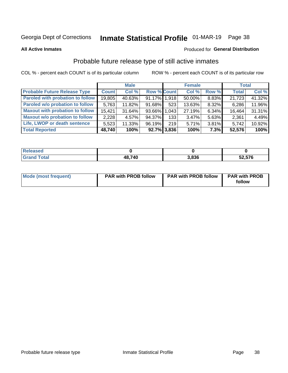## Inmate Statistical Profile 01-MAR-19 Page 38

**All Active Inmates** 

#### Produced for General Distribution

## Probable future release type of still active inmates

COL % - percent each COUNT is of its particular column

|                                         |              | <b>Male</b> |                    |     | <b>Female</b> |       | <b>Total</b> |        |
|-----------------------------------------|--------------|-------------|--------------------|-----|---------------|-------|--------------|--------|
| <b>Probable Future Release Type</b>     | <b>Count</b> | Col %       | <b>Row % Count</b> |     | Col %         | Row % | <b>Total</b> | Col %  |
| <b>Paroled with probation to follow</b> | 19,805       | 40.63%      | 91.17% 1.918       |     | 50.00%        | 8.83% | 21,723       | 41.32% |
| Paroled w/o probation to follow         | 5,763        | 11.82%      | 91.68%             | 523 | 13.63%        | 8.32% | 6,286        | 11.96% |
| <b>Maxout with probation to follow</b>  | 15.421       | 31.64%      | 93.66% 1.043       |     | 27.19%        | 6.34% | 16,464       | 31.31% |
| <b>Maxout w/o probation to follow</b>   | 2,228        | 4.57%       | 94.37%             | 133 | 3.47%         | 5.63% | 2,361        | 4.49%  |
| Life, LWOP or death sentence            | 5,523        | 11.33%      | 96.19%             | 219 | 5.71%         | 3.81% | 5,742        | 10.92% |
| <b>Total Reported</b>                   | 48,740       | 100%        | $92.7\%$ 3,836     |     | 100%          | 7.3%  | 52,576       | 100%   |

| 456U                   |        |       |        |
|------------------------|--------|-------|--------|
| $f \wedge f \wedge f'$ | 48,740 | 3.836 | 52,576 |

| <b>Mode (most frequent)</b> | <b>PAR with PROB follow</b> | <b>PAR with PROB follow</b> | <b>PAR with PROB</b> |
|-----------------------------|-----------------------------|-----------------------------|----------------------|
|                             |                             |                             | follow               |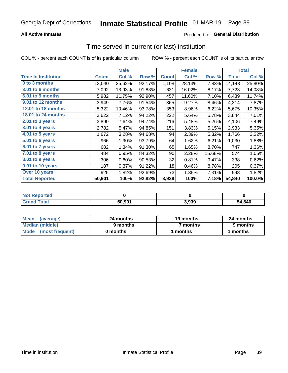### **All Active Inmates**

### Produced for General Distribution

## Time served in current (or last) institution

COL % - percent each COUNT is of its particular column

|                            |              | <b>Male</b> |        |              | <b>Female</b> |        |              | <b>Total</b> |
|----------------------------|--------------|-------------|--------|--------------|---------------|--------|--------------|--------------|
| <b>Time In Institution</b> | <b>Count</b> | Col %       | Row %  | <b>Count</b> | Col %         | Row %  | <b>Total</b> | Col %        |
| 0 to 3 months              | 13,040       | 25.62%      | 92.17% | 1,108        | 28.13%        | 7.83%  | 14,148       | 25.80%       |
| <b>3.01 to 6 months</b>    | 7,092        | 13.93%      | 91.83% | 631          | 16.02%        | 8.17%  | 7,723        | 14.08%       |
| 6.01 to 9 months           | 5,982        | 11.75%      | 92.90% | 457          | 11.60%        | 7.10%  | 6,439        | 11.74%       |
| 9.01 to 12 months          | 3,949        | 7.76%       | 91.54% | 365          | 9.27%         | 8.46%  | 4,314        | 7.87%        |
| 12.01 to 18 months         | 5,322        | 10.46%      | 93.78% | 353          | 8.96%         | 6.22%  | 5,675        | 10.35%       |
| <b>18.01 to 24 months</b>  | 3,622        | 7.12%       | 94.22% | 222          | 5.64%         | 5.78%  | 3,844        | 7.01%        |
| $2.01$ to 3 years          | 3,890        | 7.64%       | 94.74% | 216          | 5.48%         | 5.26%  | 4,106        | 7.49%        |
| $3.01$ to 4 years          | 2,782        | 5.47%       | 94.85% | 151          | 3.83%         | 5.15%  | 2,933        | 5.35%        |
| 4.01 to 5 years            | 1,672        | 3.28%       | 94.68% | 94           | 2.39%         | 5.32%  | 1,766        | 3.22%        |
| 5.01 to 6 years            | 966          | 1.90%       | 93.79% | 64           | 1.62%         | 6.21%  | 1,030        | 1.88%        |
| 6.01 to 7 years            | 682          | 1.34%       | 91.30% | 65           | 1.65%         | 8.70%  | 747          | 1.36%        |
| 7.01 to 8 years            | 484          | 0.95%       | 84.32% | 90           | 2.28%         | 15.68% | 574          | 1.05%        |
| $8.01$ to 9 years          | 306          | 0.60%       | 90.53% | 32           | 0.81%         | 9.47%  | 338          | 0.62%        |
| 9.01 to 10 years           | 187          | 0.37%       | 91.22% | 18           | 0.46%         | 8.78%  | 205          | 0.37%        |
| Over 10 years              | 925          | 1.82%       | 92.69% | 73           | 1.85%         | 7.31%  | 998          | 1.82%        |
| <b>Total Reported</b>      | 50,901       | 100%        | 92.82% | 3,939        | 100%          | 7.18%  | 54,840       | 100.0%       |

| <b>rorteo</b><br>I NOT H |        |        |        |
|--------------------------|--------|--------|--------|
| $int^{\bullet}$          | 50.901 | 930ء ر | 54,840 |

| <b>Mean</b><br>(average) | 24 months | 19 months | 24 months |
|--------------------------|-----------|-----------|-----------|
| Median (middle)          | 9 months  | 7 months  | 9 months  |
| Mode (most frequent)     | 0 months  | months    | 1 months  |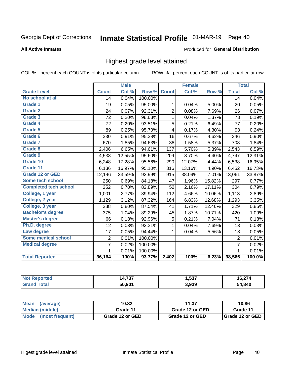# Inmate Statistical Profile 01-MAR-19 Page 40

#### **All Active Inmates**

#### Produced for General Distribution

### Highest grade level attained

COL % - percent each COUNT is of its particular column

|                              |                 | <b>Male</b> |         |                | <b>Female</b> |        |                 | <b>Total</b> |
|------------------------------|-----------------|-------------|---------|----------------|---------------|--------|-----------------|--------------|
| <b>Grade Level</b>           | <b>Count</b>    | Col %       | Row %   | <b>Count</b>   | Col %         | Row %  | <b>Total</b>    | Col %        |
| No school at all             | $\overline{14}$ | 0.04%       | 100.00% |                |               |        | $\overline{14}$ | 0.04%        |
| <b>Grade 1</b>               | 19              | 0.05%       | 95.00%  | 1              | 0.04%         | 5.00%  | 20              | 0.05%        |
| <b>Grade 2</b>               | 24              | 0.07%       | 92.31%  | $\overline{c}$ | 0.08%         | 7.69%  | 26              | 0.07%        |
| Grade 3                      | 72              | 0.20%       | 98.63%  | $\mathbf{1}$   | 0.04%         | 1.37%  | 73              | 0.19%        |
| Grade 4                      | 72              | 0.20%       | 93.51%  | 5              | 0.21%         | 6.49%  | 77              | 0.20%        |
| Grade 5                      | 89              | 0.25%       | 95.70%  | 4              | 0.17%         | 4.30%  | 93              | 0.24%        |
| Grade 6                      | 330             | 0.91%       | 95.38%  | 16             | 0.67%         | 4.62%  | 346             | 0.90%        |
| <b>Grade 7</b>               | 670             | 1.85%       | 94.63%  | 38             | 1.58%         | 5.37%  | 708             | 1.84%        |
| Grade 8                      | 2,406           | 6.65%       | 94.61%  | 137            | 5.70%         | 5.39%  | 2,543           | 6.59%        |
| Grade 9                      | 4,538           | 12.55%      | 95.60%  | 209            | 8.70%         | 4.40%  | 4,747           | 12.31%       |
| Grade 10                     | 6,248           | 17.28%      | 95.56%  | 290            | 12.07%        | 4.44%  | 6,538           | 16.95%       |
| Grade 11                     | 6,136           | 16.97%      | 95.10%  | 316            | 13.16%        | 4.90%  | 6,452           | 16.73%       |
| <b>Grade 12 or GED</b>       | 12,146          | 33.59%      | 92.99%  | 915            | 38.09%        | 7.01%  | 13,061          | 33.87%       |
| <b>Some tech school</b>      | 250             | 0.69%       | 84.18%  | 47             | 1.96%         | 15.82% | 297             | 0.77%        |
| <b>Completed tech school</b> | 252             | 0.70%       | 82.89%  | 52             | 2.16%         | 17.11% | 304             | 0.79%        |
| College, 1 year              | 1,001           | 2.77%       | 89.94%  | 112            | 4.66%         | 10.06% | 1,113           | 2.89%        |
| College, 2 year              | 1,129           | 3.12%       | 87.32%  | 164            | 6.83%         | 12.68% | 1,293           | 3.35%        |
| College, 3 year              | 288             | 0.80%       | 87.54%  | 41             | 1.71%         | 12.46% | 329             | 0.85%        |
| <b>Bachelor's degree</b>     | 375             | 1.04%       | 89.29%  | 45             | 1.87%         | 10.71% | 420             | 1.09%        |
| <b>Master's degree</b>       | 66              | 0.18%       | 92.96%  | 5              | 0.21%         | 7.04%  | 71              | 0.18%        |
| Ph.D. degree                 | 12              | 0.03%       | 92.31%  | 1              | 0.04%         | 7.69%  | 13              | 0.03%        |
| Law degree                   | 17              | 0.05%       | 94.44%  | 1              | 0.04%         | 5.56%  | 18              | 0.05%        |
| <b>Some medical school</b>   | $\overline{2}$  | 0.01%       | 100.00% |                |               |        | 2               | 0.01%        |
| <b>Medical degree</b>        | 7               | 0.02%       | 100.00% |                |               |        | $\overline{7}$  | 0.02%        |
|                              | 1.              | 0.01%       | 100.00% |                |               |        | 1               | 0.01%        |
| <b>Total Reported</b>        | 36,164          | 100%        | 93.77%  | 2,402          | 100%          | 6.23%  | 38,566          | 100.0%       |

| ---<br>וטו. | 537،، | $\sim$ $\sim$ $\sim$<br>10.Z. |
|-------------|-------|-------------------------------|
| 50.901      | 3,939 | ,840                          |

| Mean<br>(average)    | 10.82           | 11.37           | 10.86           |
|----------------------|-----------------|-----------------|-----------------|
| Median (middle)      | Grade 11        | Grade 12 or GED | Grade 11        |
| Mode (most frequent) | Grade 12 or GED | Grade 12 or GED | Grade 12 or GED |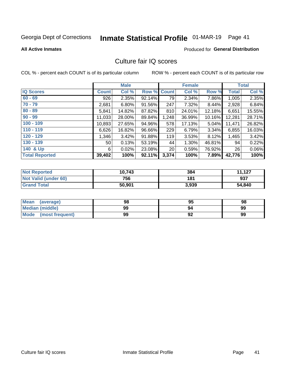# Inmate Statistical Profile 01-MAR-19 Page 41

#### **All Active Inmates**

### **Produced for General Distribution**

### Culture fair IQ scores

COL % - percent each COUNT is of its particular column

|                       |              | <b>Male</b> |             |                 | <b>Female</b> |          |              | <b>Total</b> |
|-----------------------|--------------|-------------|-------------|-----------------|---------------|----------|--------------|--------------|
| <b>IQ Scores</b>      | <b>Count</b> | Col %       | Row % Count |                 | Col %         | Row %    | <b>Total</b> | Col %        |
| $60 - 69$             | 926          | 2.35%       | 92.14%      | 79              | 2.34%         | 7.86%    | 1,005        | 2.35%        |
| $70 - 79$             | 2,681        | 6.80%       | 91.56%      | 247             | 7.32%         | 8.44%    | 2,928        | 6.84%        |
| $80 - 89$             | 5,841        | 14.82%      | 87.82%      | 810             | 24.01%        | 12.18%   | 6,651        | 15.55%       |
| $90 - 99$             | 11,033       | 28.00%      | 89.84%      | 1,248           | 36.99%        | 10.16%   | 12,281       | 28.71%       |
| $100 - 109$           | 10,893       | 27.65%      | 94.96%      | 578             | 17.13%        | $5.04\%$ | 11,471       | 26.82%       |
| $110 - 119$           | 6,626        | 16.82%      | 96.66%      | 229             | 6.79%         | 3.34%    | 6,855        | 16.03%       |
| $120 - 129$           | 1,346        | 3.42%       | 91.88%      | 119             | 3.53%         | 8.12%    | 1,465        | 3.42%        |
| $130 - 139$           | 50           | 0.13%       | 53.19%      | 44              | 1.30%         | 46.81%   | 94           | 0.22%        |
| 140 & Up              | 6            | 0.02%       | 23.08%      | 20 <sub>1</sub> | 0.59%         | 76.92%   | 26           | 0.06%        |
| <b>Total Reported</b> | 39,402       | 100%        | 92.11%      | 3,374           | 100%          | 7.89%    | 42,776       | 100%         |

| <b>Not Reported</b>         | 10,743 | 384   | 11,127 |
|-----------------------------|--------|-------|--------|
| <b>Not Valid (under 60)</b> | 756    | 181   | 937    |
| <b>Grand Total</b>          | 50,901 | 3,939 | 54,840 |

| Mean<br>(average)       | 98 | 95 | 98 |
|-------------------------|----|----|----|
| <b>Median (middle)</b>  | 99 | 94 | 99 |
| Mode<br>(most frequent) | 99 | 92 | 99 |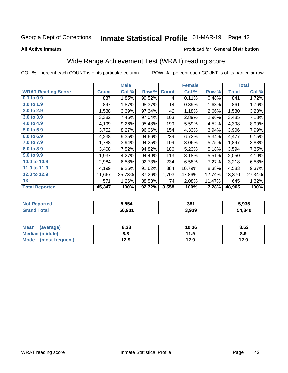# Inmate Statistical Profile 01-MAR-19 Page 42

**All Active Inmates** 

### Produced for General Distribution

## Wide Range Achievement Test (WRAT) reading score

COL % - percent each COUNT is of its particular column

|                           |              | <b>Male</b> |        |              | <b>Female</b> |        |              | <b>Total</b> |
|---------------------------|--------------|-------------|--------|--------------|---------------|--------|--------------|--------------|
| <b>WRAT Reading Score</b> | <b>Count</b> | Col %       | Row %  | <b>Count</b> | Col %         | Row %  | <b>Total</b> | Col %        |
| 0.1 to 0.9                | 837          | 1.85%       | 99.52% | 4            | 0.11%         | 0.48%  | 841          | 1.72%        |
| 1.0 to 1.9                | 847          | 1.87%       | 98.37% | 14           | 0.39%         | 1.63%  | 861          | 1.76%        |
| 2.0 to 2.9                | 1,538        | 3.39%       | 97.34% | 42           | 1.18%         | 2.66%  | 1,580        | 3.23%        |
| 3.0 to 3.9                | 3,382        | 7.46%       | 97.04% | 103          | 2.89%         | 2.96%  | 3,485        | 7.13%        |
| 4.0 to 4.9                | 4,199        | 9.26%       | 95.48% | 199          | 5.59%         | 4.52%  | 4,398        | 8.99%        |
| 5.0 to 5.9                | 3,752        | 8.27%       | 96.06% | 154          | 4.33%         | 3.94%  | 3,906        | 7.99%        |
| 6.0 to 6.9                | 4,238        | 9.35%       | 94.66% | 239          | 6.72%         | 5.34%  | 4,477        | 9.15%        |
| 7.0 to 7.9                | 1,788        | 3.94%       | 94.25% | 109          | 3.06%         | 5.75%  | 1,897        | 3.88%        |
| 8.0 to 8.9                | 3,408        | 7.52%       | 94.82% | 186          | 5.23%         | 5.18%  | 3,594        | 7.35%        |
| 9.0 to 9.9                | 1,937        | 4.27%       | 94.49% | 113          | 3.18%         | 5.51%  | 2,050        | 4.19%        |
| 10.0 to 10.9              | 2,984        | 6.58%       | 92.73% | 234          | 6.58%         | 7.27%  | 3,218        | 6.58%        |
| 11.0 to 11.9              | 4,199        | 9.26%       | 91.62% | 384          | 10.79%        | 8.38%  | 4,583        | 9.37%        |
| 12.0 to 12.9              | 11,667       | 25.73%      | 87.26% | 1,703        | 47.86%        | 12.74% | 13,370       | 27.34%       |
| 13                        | 571          | 1.26%       | 88.53% | 74           | 2.08%         | 11.47% | 645          | 1.32%        |
| <b>Total Reported</b>     | 45,347       | 100%        | 92.72% | 3,558        | 100%          | 7.28%  | 48,905       | 100%         |

| NO | 5.554  | 381   | 5,935  |
|----|--------|-------|--------|
|    | 50,901 | 3,939 | 54,840 |

| <b>Mean</b><br>(average) | 8.38 | 10.36 | 8.52 |
|--------------------------|------|-------|------|
| <b>Median (middle)</b>   | 8.8  | 11.9  | 8.9  |
| Mode (most frequent)     | 12.9 | 12.9  | 12.9 |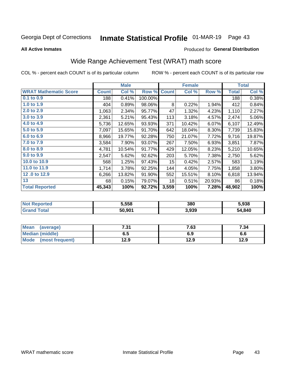# Inmate Statistical Profile 01-MAR-19 Page 43

**All Active Inmates** 

#### Produced for General Distribution

## Wide Range Achievement Test (WRAT) math score

COL % - percent each COUNT is of its particular column

|                              |              | <b>Male</b> |         |                 | <b>Female</b> |        |              | <b>Total</b> |
|------------------------------|--------------|-------------|---------|-----------------|---------------|--------|--------------|--------------|
| <b>WRAT Mathematic Score</b> | <b>Count</b> | Col %       | Row %   | <b>Count</b>    | Col %         | Row %  | <b>Total</b> | Col %        |
| 0.1 to 0.9                   | 188          | 0.41%       | 100.00% |                 |               |        | 188          | 0.38%        |
| 1.0 to 1.9                   | 404          | 0.89%       | 98.06%  | 8               | 0.22%         | 1.94%  | 412          | 0.84%        |
| 2.0 to 2.9                   | 1,063        | 2.34%       | 95.77%  | 47              | 1.32%         | 4.23%  | 1,110        | 2.27%        |
| 3.0 to 3.9                   | 2,361        | 5.21%       | 95.43%  | 113             | 3.18%         | 4.57%  | 2,474        | 5.06%        |
| 4.0 to 4.9                   | 5,736        | 12.65%      | 93.93%  | 371             | 10.42%        | 6.07%  | 6,107        | 12.49%       |
| 5.0 to 5.9                   | 7,097        | 15.65%      | 91.70%  | 642             | 18.04%        | 8.30%  | 7,739        | 15.83%       |
| 6.0 to 6.9                   | 8,966        | 19.77%      | 92.28%  | 750             | 21.07%        | 7.72%  | 9,716        | 19.87%       |
| 7.0 to 7.9                   | 3,584        | 7.90%       | 93.07%  | 267             | 7.50%         | 6.93%  | 3,851        | 7.87%        |
| 8.0 to 8.9                   | 4,781        | 10.54%      | 91.77%  | 429             | 12.05%        | 8.23%  | 5,210        | 10.65%       |
| 9.0 to 9.9                   | 2,547        | 5.62%       | 92.62%  | 203             | 5.70%         | 7.38%  | 2,750        | 5.62%        |
| 10.0 to 10.9                 | 568          | 1.25%       | 97.43%  | 15 <sub>1</sub> | 0.42%         | 2.57%  | 583          | 1.19%        |
| 11.0 to 11.9                 | 1,714        | 3.78%       | 92.25%  | 144             | 4.05%         | 7.75%  | 1,858        | 3.80%        |
| 12.0 to 12.9                 | 6,266        | 13.82%      | 91.90%  | 552             | 15.51%        | 8.10%  | 6,818        | 13.94%       |
| 13                           | 68           | 0.15%       | 79.07%  | 18              | 0.51%         | 20.93% | 86           | 0.18%        |
| <b>Total Reported</b>        | 45,343       | 100%        | 92.72%  | 3,559           | 100%          | 7.28%  | 48,902       | 100%         |

| <b>Not Reported</b> | 5,558  | 380   | 5,938  |
|---------------------|--------|-------|--------|
| Гоtal<br>'Grang     | 50,901 | 3,939 | 54,840 |

| Mean (average)         | 7.31 | 7.63 | 7.34 |
|------------------------|------|------|------|
| <b>Median (middle)</b> | ხ. J | 6.9  | ס.ס  |
| Mode (most frequent)   | 12.9 | 12.9 | 12.9 |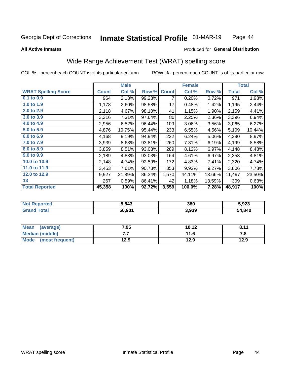#### Inmate Statistical Profile 01-MAR-19 Page 44

#### **All Active Inmates**

### Produced for General Distribution

### Wide Range Achievement Test (WRAT) spelling score

COL % - percent each COUNT is of its particular column

|                            |              | <b>Male</b> |        |              | <b>Female</b> |        |              | <b>Total</b> |
|----------------------------|--------------|-------------|--------|--------------|---------------|--------|--------------|--------------|
| <b>WRAT Spelling Score</b> | <b>Count</b> | Col %       | Row %  | <b>Count</b> | Col %         | Row %  | <b>Total</b> | Col %        |
| 0.1 to 0.9                 | 964          | 2.13%       | 99.28% | 7            | 0.20%         | 0.72%  | 971          | 1.98%        |
| 1.0 to 1.9                 | 1,178        | 2.60%       | 98.58% | 17           | 0.48%         | 1.42%  | 1,195        | 2.44%        |
| 2.0 to 2.9                 | 2,118        | 4.67%       | 98.10% | 41           | 1.15%         | 1.90%  | 2,159        | 4.41%        |
| 3.0 to 3.9                 | 3,316        | 7.31%       | 97.64% | 80           | 2.25%         | 2.36%  | 3,396        | 6.94%        |
| 4.0 to 4.9                 | 2,956        | 6.52%       | 96.44% | 109          | 3.06%         | 3.56%  | 3,065        | 6.27%        |
| 5.0 to 5.9                 | 4,876        | 10.75%      | 95.44% | 233          | 6.55%         | 4.56%  | 5,109        | 10.44%       |
| 6.0 to 6.9                 | 4,168        | 9.19%       | 94.94% | 222          | 6.24%         | 5.06%  | 4,390        | 8.97%        |
| 7.0 to 7.9                 | 3,939        | 8.68%       | 93.81% | 260          | 7.31%         | 6.19%  | 4,199        | 8.58%        |
| 8.0 to 8.9                 | 3,859        | 8.51%       | 93.03% | 289          | 8.12%         | 6.97%  | 4,148        | 8.48%        |
| 9.0 to 9.9                 | 2,189        | 4.83%       | 93.03% | 164          | 4.61%         | 6.97%  | 2,353        | 4.81%        |
| 10.0 to 10.9               | 2,148        | 4.74%       | 92.59% | 172          | 4.83%         | 7.41%  | 2,320        | 4.74%        |
| 11.0 to 11.9               | 3,453        | 7.61%       | 90.73% | 353          | 9.92%         | 9.27%  | 3,806        | 7.78%        |
| 12.0 to 12.9               | 9,927        | 21.89%      | 86.34% | 1,570        | 44.11%        | 13.66% | 11,497       | 23.50%       |
| 13                         | 267          | 0.59%       | 86.41% | 42           | 1.18%         | 13.59% | 309          | 0.63%        |
| <b>Total Reported</b>      | 45,358       | 100%        | 92.72% | 3,559        | 100.0%        | 7.28%  | 48,917       | 100%         |

| <b>vorted</b><br>NO | 5,543  | 380   | 5,923  |
|---------------------|--------|-------|--------|
| T <sub>1</sub>      | 50,901 | 3,939 | 54,840 |

| Mean<br>(average)      | 7.95 | 10.12 | 8.11 |
|------------------------|------|-------|------|
| <b>Median (middle)</b> | .    | 11.6  | ه. ، |
| Mode (most frequent)   | 12.9 | 12.9  | 12.9 |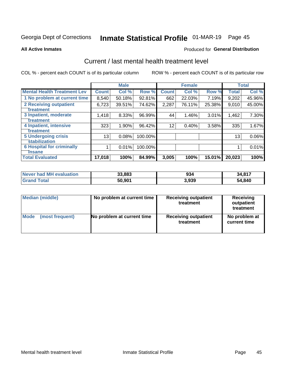# Inmate Statistical Profile 01-MAR-19 Page 45

**All Active Inmates** 

#### **Produced for General Distribution**

### Current / last mental health treatment level

COL % - percent each COUNT is of its particular column

|                                    |              | <b>Male</b> |         |              | <b>Female</b> |        |              | <b>Total</b> |
|------------------------------------|--------------|-------------|---------|--------------|---------------|--------|--------------|--------------|
| <b>Mental Health Treatment Lev</b> | <b>Count</b> | Col %       | Row %   | <b>Count</b> | Col %         | Row %  | <b>Total</b> | Col %        |
| 1 No problem at current time       | 8,540        | 50.18%      | 92.81%  | 662          | 22.03%        | 7.19%  | 9,202        | 45.96%       |
| 2 Receiving outpatient             | 6,723        | 39.51%      | 74.62%  | 2,287        | 76.11%        | 25.38% | 9,010        | 45.00%       |
| <b>Treatment</b>                   |              |             |         |              |               |        |              |              |
| 3 Inpatient, moderate              | 1,418        | 8.33%       | 96.99%  | 44           | 1.46%         | 3.01%  | 1,462        | 7.30%        |
| Treatment                          |              |             |         |              |               |        |              |              |
| 4 Inpatient, intensive             | 323          | 1.90%       | 96.42%  | 12           | 0.40%         | 3.58%  | 335          | 1.67%        |
| <b>Treatment</b>                   |              |             |         |              |               |        |              |              |
| <b>5 Undergoing crisis</b>         | 13           | 0.08%       | 100.00% |              |               |        | 13           | $0.06\%$     |
| <b>stabilization</b>               |              |             |         |              |               |        |              |              |
| <b>6 Hospital for criminally</b>   |              | 0.01%       | 100.00% |              |               |        |              | 0.01%        |
| <b>Tinsane</b>                     |              |             |         |              |               |        |              |              |
| <b>Total Evaluated</b>             | 17,018       | 100%        | 84.99%  | 3,005        | 100%          | 15.01% | 20,023       | 100%         |

| <b>Never had MH evaluation</b> | 33,883 | 934   | 34,817 |
|--------------------------------|--------|-------|--------|
| $\tau$ otal                    | 50.901 | 3.939 | 54,840 |

| Median (middle) | No problem at current time | <b>Receiving outpatient</b><br>treatment | <b>Receiving</b><br>outpatient<br>treatment |
|-----------------|----------------------------|------------------------------------------|---------------------------------------------|
| <b>Mode</b>     | No problem at current time | <b>Receiving outpatient</b>              | No problem at                               |
| (most frequent) |                            | treatment                                | current time                                |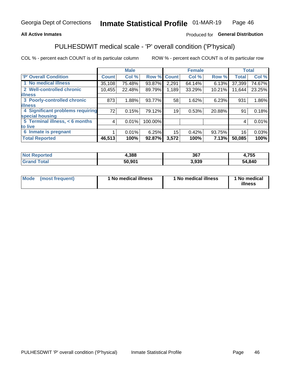#### **All Active Inmates**

### Produced for General Distribution

## PULHESDWIT medical scale - 'P' overall condition ('P'hysical)

COL % - percent each COUNT is of its particular column

|                                  |              | <b>Male</b> |         |              | <b>Female</b> |        |              | <b>Total</b> |
|----------------------------------|--------------|-------------|---------|--------------|---------------|--------|--------------|--------------|
| <b>P' Overall Condition</b>      | <b>Count</b> | Col %       | Row %   | <b>Count</b> | Col %         | Row %  | <b>Total</b> | Col %        |
| 1 No medical illness             | 35,108       | 75.48%      | 93.87%  | 2,291        | 64.14%        | 6.13%  | 37,399       | 74.67%       |
| 2 Well-controlled chronic        | 10,455       | 22.48%      | 89.79%  | 1,189        | 33.29%        | 10.21% | 11,644       | 23.25%       |
| <b>lilness</b>                   |              |             |         |              |               |        |              |              |
| 3 Poorly-controlled chronic      | 873          | 1.88%       | 93.77%  | 58           | 1.62%         | 6.23%  | 931          | 1.86%        |
| <b>illness</b>                   |              |             |         |              |               |        |              |              |
| 4 Significant problems requiring | 72           | 0.15%       | 79.12%  | 19           | 0.53%         | 20.88% | 91           | 0.18%        |
| special housing                  |              |             |         |              |               |        |              |              |
| 5 Terminal illness, < 6 months   | 4            | 0.01%       | 100.00% |              |               |        | 4            | 0.01%        |
| to live                          |              |             |         |              |               |        |              |              |
| 6 Inmate is pregnant             |              | 0.01%       | 6.25%   | 15           | 0.42%         | 93.75% | 16           | 0.03%        |
| <b>Total Reported</b>            | 46,513       | 100%        | 92.87%  | 3,572        | 100%          | 7.13%  | 50,085       | 100%         |

| uec | ₽.388  | 367  | ,755   |
|-----|--------|------|--------|
|     | EA AA4 | .939 | 54,840 |

| Mode | (most frequent) | 1 No medical illness | 1 No medical illness | 1 No medical<br>illness |
|------|-----------------|----------------------|----------------------|-------------------------|
|------|-----------------|----------------------|----------------------|-------------------------|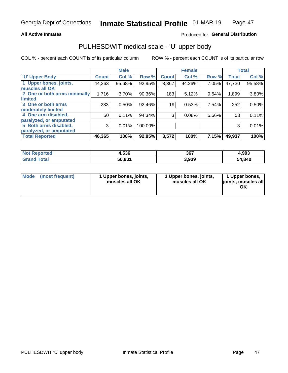#### **All Active Inmates**

### Produced for General Distribution

## PULHESDWIT medical scale - 'U' upper body

COL % - percent each COUNT is of its particular column

|                              |              | <b>Male</b> |         |              | <b>Female</b> |       |              | <b>Total</b> |
|------------------------------|--------------|-------------|---------|--------------|---------------|-------|--------------|--------------|
| <b>U' Upper Body</b>         | <b>Count</b> | Col %       | Row %   | <b>Count</b> | Col %         | Row % | <b>Total</b> | Col %        |
| 1 Upper bones, joints,       | 44,363       | 95.68%      | 92.95%  | 3,367        | 94.26%        | 7.05% | 47,730       | 95.58%       |
| muscles all OK               |              |             |         |              |               |       |              |              |
| 2 One or both arms minimally | 1,716        | 3.70%       | 90.36%  | 183          | 5.12%         | 9.64% | 1,899        | 3.80%        |
| limited                      |              |             |         |              |               |       |              |              |
| 3 One or both arms           | 233          | 0.50%       | 92.46%  | 19           | 0.53%         | 7.54% | 252          | 0.50%        |
| <b>moderately limited</b>    |              |             |         |              |               |       |              |              |
| 4 One arm disabled,          | 50           | 0.11%       | 94.34%  | 3            | 0.08%         | 5.66% | 53           | 0.11%        |
| paralyzed, or amputated      |              |             |         |              |               |       |              |              |
| 5 Both arms disabled,        | 3            | 0.01%       | 100.00% |              |               |       | 3            | 0.01%        |
| paralyzed, or amputated      |              |             |         |              |               |       |              |              |
| <b>Total Reported</b>        | 46,365       | 100%        | 92.85%  | 3,572        | 100%          | 7.15% | 49,937       | 100%         |

| <b>Not Reported</b>   | 4,536  | 367   | 4,903  |
|-----------------------|--------|-------|--------|
| <b>Total</b><br>Grand | 50,901 | 3,939 | 54,840 |

| Mode<br>(most frequent) | 1 Upper bones, joints,<br>muscles all OK | 1 Upper bones, joints,<br>muscles all OK | 1 Upper bones,<br>joints, muscles all<br>ΟK |
|-------------------------|------------------------------------------|------------------------------------------|---------------------------------------------|
|-------------------------|------------------------------------------|------------------------------------------|---------------------------------------------|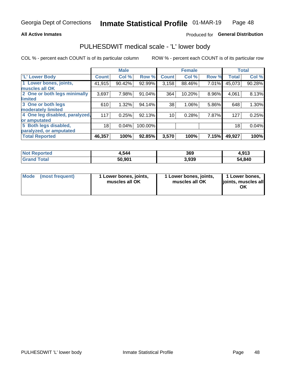#### **All Active Inmates**

### Produced for General Distribution

### PULHESDWIT medical scale - 'L' lower body

COL % - percent each COUNT is of its particular column

|                                |              | <b>Male</b> |           |              | <b>Female</b> |       |                 | <b>Total</b> |
|--------------------------------|--------------|-------------|-----------|--------------|---------------|-------|-----------------|--------------|
| 'L' Lower Body                 | <b>Count</b> | Col %       | Row %     | <b>Count</b> | Col %         | Row % | <b>Total</b>    | Col %        |
| 1 Lower bones, joints,         | 41,915       | 90.42%      | 92.99%    | 3,158        | 88.46%        | 7.01% | 45,073          | 90.28%       |
| muscles all OK                 |              |             |           |              |               |       |                 |              |
| 2 One or both legs minimally   | 3,697        | 7.98%       | 91.04%    | 364          | 10.20%        | 8.96% | 4,061           | 8.13%        |
| limited                        |              |             |           |              |               |       |                 |              |
| 3 One or both legs             | 610          | 1.32%       | 94.14%    | 38           | 1.06%         | 5.86% | 648             | 1.30%        |
| moderately limited             |              |             |           |              |               |       |                 |              |
| 4 One leg disabled, paralyzed, | 117          | 0.25%       | $92.13\%$ | 10           | 0.28%         | 7.87% | 127             | 0.25%        |
| or amputated                   |              |             |           |              |               |       |                 |              |
| 5 Both legs disabled,          | 18           | 0.04%       | 100.00%   |              |               |       | 18 <sub>1</sub> | 0.04%        |
| paralyzed, or amputated        |              |             |           |              |               |       |                 |              |
| <b>Total Reported</b>          | 46,357       | 100%        | 92.85%    | 3,570        | 100%          | 7.15% | 49,927          | 100%         |

| <b>Not Reported</b> | 4,544  | 369   | 4,913  |
|---------------------|--------|-------|--------|
| <b>Total</b>        | 50.901 | 3,939 | 54,840 |

| Mode (most frequent) | 1 Lower bones, joints,<br>muscles all OK | 1 Lower bones, joints,<br>muscles all OK | 1 Lower bones,<br>joints, muscles all<br>ΟK |
|----------------------|------------------------------------------|------------------------------------------|---------------------------------------------|
|----------------------|------------------------------------------|------------------------------------------|---------------------------------------------|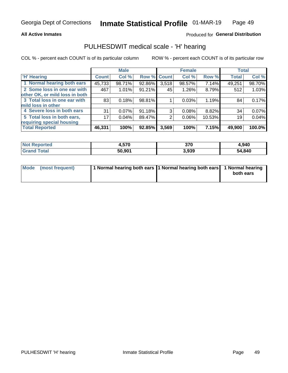#### **All Active Inmates**

### Produced for General Distribution

### PULHESDWIT medical scale - 'H' hearing

COL % - percent each COUNT is of its particular column

|                                |              | <b>Male</b> |        |             | <b>Female</b> |        | <b>Total</b> |        |
|--------------------------------|--------------|-------------|--------|-------------|---------------|--------|--------------|--------|
| <b>H' Hearing</b>              | <b>Count</b> | Col %       |        | Row % Count | Col %         | Row %  | <b>Total</b> | Col %  |
| 1 Normal hearing both ears     | 45,733       | 98.71%      | 92.86% | 3,518       | 98.57%        | 7.14%  | 49,251       | 98.70% |
| 2 Some loss in one ear with    | 467          | 1.01%       | 91.21% | 45          | $1.26\%$      | 8.79%  | 512          | 1.03%  |
| other OK, or mild loss in both |              |             |        |             |               |        |              |        |
| 3 Total loss in one ear with   | 83           | 0.18%       | 98.81% |             | 0.03%         | 1.19%  | 84           | 0.17%  |
| mild loss in other             |              |             |        |             |               |        |              |        |
| 4 Severe loss in both ears     | 31           | $0.07\%$    | 91.18% | 3           | $0.08\%$      | 8.82%  | 34           | 0.07%  |
| 5 Total loss in both ears,     | 17           | 0.04%       | 89.47% | 2           | $0.06\%$      | 10.53% | 19           | 0.04%  |
| requiring special housing      |              |             |        |             |               |        |              |        |
| <b>Total Reported</b>          | 46,331       | 100%        | 92.85% | 3,569       | 100%          | 7.15%  | 49,900       | 100.0% |

| <b>Not Reno</b> | .570   | っっへ   | .940،  |
|-----------------|--------|-------|--------|
| <b>ported</b>   | r.v    | JI U  |        |
| Total           | 50,901 | 3,939 | 54,840 |

| Mode (most frequent) | 1 Normal hearing both ears 11 Normal hearing both ears 1 Normal hearing | both ears |
|----------------------|-------------------------------------------------------------------------|-----------|
|                      |                                                                         |           |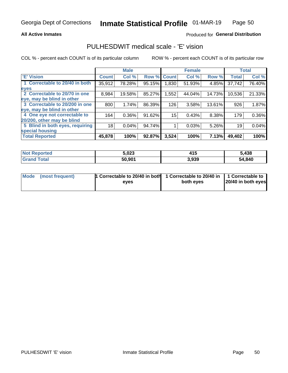#### **All Active Inmates**

### Produced for General Distribution

### PULHESDWIT medical scale - 'E' vision

COL % - percent each COUNT is of its particular column

|                                 |              | <b>Male</b> |        |              | <b>Female</b> |        |              | <b>Total</b> |
|---------------------------------|--------------|-------------|--------|--------------|---------------|--------|--------------|--------------|
| <b>E' Vision</b>                | <b>Count</b> | Col %       | Row %  | <b>Count</b> | Col %         | Row %  | <b>Total</b> | Col %        |
| 1 Correctable to 20/40 in both  | 35,912       | 78.28%      | 95.15% | ا 830.       | 51.93%        | 4.85%  | 37,742       | 76.40%       |
| eyes                            |              |             |        |              |               |        |              |              |
| 2 Correctable to 20/70 in one   | 8,984        | 19.58%      | 85.27% | 1,552        | 44.04%        | 14.73% | 10,536       | 21.33%       |
| eye, may be blind in other      |              |             |        |              |               |        |              |              |
| 3 Correctable to 20/200 in one  | 800          | 1.74%       | 86.39% | 126          | 3.58%         | 13.61% | 926          | 1.87%        |
| eye, may be blind in other      |              |             |        |              |               |        |              |              |
| 4 One eye not correctable to    | 164          | 0.36%       | 91.62% | 15           | 0.43%         | 8.38%  | 179          | 0.36%        |
| 20/200, other may be blind      |              |             |        |              |               |        |              |              |
| 5 Blind in both eyes, requiring | 18           | 0.04%       | 94.74% |              | 0.03%         | 5.26%  | 19           | 0.04%        |
| special housing                 |              |             |        |              |               |        |              |              |
| <b>Total Reported</b>           | 45,878       | 100%        | 92.87% | 3,524        | 100%          | 7.13%  | 49,402       | 100%         |

| <b>Not Reported</b>   | 5,023  | 11F<br>413 | 5,438  |
|-----------------------|--------|------------|--------|
| <b>Total</b><br>Grand | 50,901 | 3,939      | 54,840 |

| Mode (most frequent) | 1 Correctable to 20/40 in both<br>eves | 1 Correctable to 20/40 in   1 Correctable to  <br>both eves | 20/40 in both eyes |
|----------------------|----------------------------------------|-------------------------------------------------------------|--------------------|
|                      |                                        |                                                             |                    |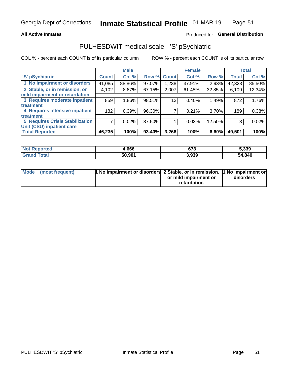#### **All Active Inmates**

### Produced for General Distribution

## PULHESDWIT medical scale - 'S' pSychiatric

COL % - percent each COUNT is of its particular column

|                                        |              | <b>Male</b> |        |              | <b>Female</b> |        |              | <b>Total</b> |
|----------------------------------------|--------------|-------------|--------|--------------|---------------|--------|--------------|--------------|
| 'S' pSychiatric                        | <b>Count</b> | Col %       | Row %  | <b>Count</b> | Col %         | Row %  | <b>Total</b> | Col %        |
| 1 No impairment or disorders           | 41,085       | 88.86%      | 97.07% | ,238         | 37.91%        | 2.93%  | 42,323       | 85.50%       |
| 2 Stable, or in remission, or          | 4,102        | 8.87%       | 67.15% | 2,007        | 61.45%        | 32.85% | 6,109        | 12.34%       |
| mild impairment or retardation         |              |             |        |              |               |        |              |              |
| 3 Requires moderate inpatient          | 859          | 1.86%       | 98.51% | 13           | 0.40%         | 1.49%  | 872          | 1.76%        |
| treatment                              |              |             |        |              |               |        |              |              |
| 4 Requires intensive inpatient         | 182          | 0.39%       | 96.30% |              | 0.21%         | 3.70%  | 189          | 0.38%        |
| treatment                              |              |             |        |              |               |        |              |              |
| <b>5 Requires Crisis Stabilization</b> |              | 0.02%       | 87.50% |              | 0.03%         | 12.50% | 8            | 0.02%        |
| Unit (CSU) inpatient care              |              |             |        |              |               |        |              |              |
| <b>Total Reported</b>                  | 46,235       | 100%        | 93.40% | 3,266        | 100%          | 6.60%  | 49,501       | 100%         |

| <b>Not Reported</b>   | 1,666  | 673   | 5,339  |
|-----------------------|--------|-------|--------|
| Total<br><b>Grand</b> | 50,901 | 3,939 | 54,840 |

| Mode | (most frequent) | <b>1 No impairment or disorders</b> 2 Stable, or in remission, 1 No impairment or |                       |           |
|------|-----------------|-----------------------------------------------------------------------------------|-----------------------|-----------|
|      |                 |                                                                                   | or mild impairment or | disorders |
|      |                 |                                                                                   | retardation           |           |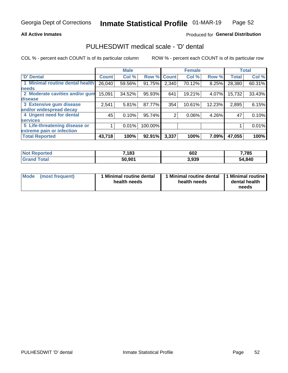#### **All Active Inmates**

### Produced for General Distribution

### PULHESDWIT medical scale - 'D' dental

COL % - percent each COUNT is of its particular column

|                                 |              | <b>Male</b> |         |              | <b>Female</b> |        |              | <b>Total</b> |
|---------------------------------|--------------|-------------|---------|--------------|---------------|--------|--------------|--------------|
| <b>D'</b> Dental                | <b>Count</b> | Col %       | Row %   | <b>Count</b> | Col %         | Row %  | <b>Total</b> | Col %        |
| 1 Minimal routine dental health | 26,040       | 59.56%      | 91.75%  | 2,340        | 70.12%        | 8.25%  | 28,380       | 60.31%       |
| <b>needs</b>                    |              |             |         |              |               |        |              |              |
| 2 Moderate cavities and/or gum  | 15,091       | 34.52%      | 95.93%  | 641          | 19.21%        | 4.07%  | 15,732       | 33.43%       |
| disease                         |              |             |         |              |               |        |              |              |
| 3 Extensive gum disease         | 2,541        | 5.81%       | 87.77%  | 354          | 10.61%        | 12.23% | 2,895        | 6.15%        |
| and/or widespread decay         |              |             |         |              |               |        |              |              |
| 4 Urgent need for dental        | 45           | 0.10%       | 95.74%  | 2            | $0.06\%$      | 4.26%  | 47           | 0.10%        |
| <b>services</b>                 |              |             |         |              |               |        |              |              |
| 5 Life-threatening disease or   |              | 0.01%       | 100.00% |              |               |        |              | 0.01%        |
| extreme pain or infection       |              |             |         |              |               |        |              |              |
| <b>Total Reported</b>           | 43,718       | 100%        | 92.91%  | 3,337        | 100%          | 7.09%  | 47,055       | 100%         |

| <b>Not Reported</b> | 7,183  | 602   | 7,785  |
|---------------------|--------|-------|--------|
| Total<br>Grand      | 50,901 | 3,939 | 54,840 |

| 1 Minimal routine dental<br>Mode<br>(most frequent)<br>health needs | 1 Minimal routine dental 1 Minimal routine<br>health needs | dental health<br>needs |
|---------------------------------------------------------------------|------------------------------------------------------------|------------------------|
|---------------------------------------------------------------------|------------------------------------------------------------|------------------------|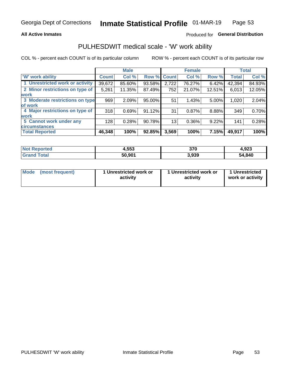#### **All Active Inmates**

### Produced for General Distribution

### PULHESDWIT medical scale - 'W' work ability

COL % - percent each COUNT is of its particular column

|                                 |                    | <b>Male</b> |        |             | <b>Female</b> |        |              | <b>Total</b> |
|---------------------------------|--------------------|-------------|--------|-------------|---------------|--------|--------------|--------------|
| 'W' work ability                | Count <sup>1</sup> | Col %       |        | Row % Count | Col %         | Row %  | <b>Total</b> | Col %        |
| 1 Unrestricted work or activity | 39,672             | 85.60%      | 93.58% | 2,722       | 76.27%        | 6.42%  | 42,394       | 84.93%       |
| 2 Minor restrictions on type of | 5,261              | 11.35%      | 87.49% | 752         | 21.07%        | 12.51% | 6,013        | 12.05%       |
| <b>work</b>                     |                    |             |        |             |               |        |              |              |
| 3 Moderate restrictions on type | 969                | 2.09%       | 95.00% | 51          | 1.43%         | 5.00%  | 1,020        | 2.04%        |
| lof work                        |                    |             |        |             |               |        |              |              |
| 4 Major restrictions on type of | 318                | 0.69%       | 91.12% | 31          | 0.87%         | 8.88%  | 349          | 0.70%        |
| <b>work</b>                     |                    |             |        |             |               |        |              |              |
| 5 Cannot work under any         | 128                | 0.28%       | 90.78% | 13          | 0.36%         | 9.22%  | 141          | 0.28%        |
| <b>circumstances</b>            |                    |             |        |             |               |        |              |              |
| <b>Total Reported</b>           | 46,348             | 100%        | 92.85% | 3,569       | 100%          | 7.15%  | 49,917       | 100%         |

| <b>Not Reported</b>   | 4,553  | 370   | 4,923  |
|-----------------------|--------|-------|--------|
| Total<br><b>Grand</b> | 50,901 | 3,939 | 54,840 |

| Mode (most frequent) | 1 Unrestricted work or | 1 Unrestricted work or | 1 Unrestricted   |
|----------------------|------------------------|------------------------|------------------|
|                      | activity               | activity               | work or activity |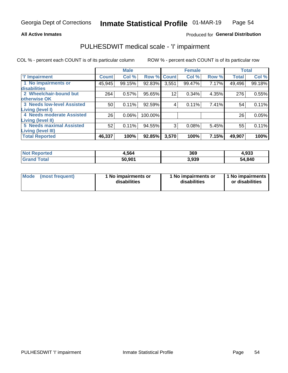#### **All Active Inmates**

### Produced for General Distribution

## PULHESDWIT medical scale - 'I' impairment

COL % - percent each COUNT is of its particular column

|                                   |              | <b>Male</b> |             |                 | <b>Female</b> |       |              | <b>Total</b> |
|-----------------------------------|--------------|-------------|-------------|-----------------|---------------|-------|--------------|--------------|
| <b>T' Impairment</b>              | <b>Count</b> | Col %       | Row % Count |                 | Col %         | Row % | <b>Total</b> | Col %        |
| 1 No impairments or               | 45,945       | 99.15%      | 92.83%      | 3,551           | 99.47%        | 7.17% | 49,496       | 99.18%       |
| disabilities                      |              |             |             |                 |               |       |              |              |
| 2 Wheelchair-bound but            | 264          | 0.57%       | 95.65%      | 12 <sup>2</sup> | 0.34%         | 4.35% | 276          | 0.55%        |
| otherwise OK                      |              |             |             |                 |               |       |              |              |
| <b>3 Needs low-level Assisted</b> | 50           | 0.11%       | 92.59%      | 4               | 0.11%         | 7.41% | 54           | 0.11%        |
| Living (level I)                  |              |             |             |                 |               |       |              |              |
| 4 Needs moderate Assisted         | 26           | 0.06%       | 100.00%     |                 |               |       | 26           | 0.05%        |
| <b>Living (level II)</b>          |              |             |             |                 |               |       |              |              |
| <b>5 Needs maximal Assisted</b>   | 52           | 0.11%       | 94.55%      | 3               | 0.08%         | 5.45% | 55           | 0.11%        |
| <b>Living (level III)</b>         |              |             |             |                 |               |       |              |              |
| <b>Total Reported</b>             | 46,337       | 100%        | 92.85%      | 3,570           | 100%          | 7.15% | 49,907       | 100%         |

| <b>Not F</b><br>Reported | 4,564  | 369   | 4,933  |
|--------------------------|--------|-------|--------|
| <b>Total</b>             | 50,901 | 3,939 | 54,840 |

| Mode | (most frequent) | 1 No impairments or<br>disabilities | 1 No impairments or<br>disabilities | 1 No impairments<br>or disabilities |
|------|-----------------|-------------------------------------|-------------------------------------|-------------------------------------|
|------|-----------------|-------------------------------------|-------------------------------------|-------------------------------------|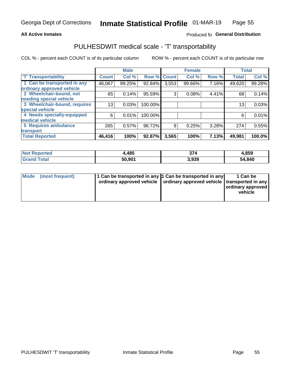#### **All Active Inmates**

### Produced fo General Distribution

### PULHESDWIT medical scale - 'T' transportability

COL % - percent each COUNT is of its particular column

|                              |                    | <b>Male</b> |         |              | <b>Female</b> |       |              | <b>Total</b> |
|------------------------------|--------------------|-------------|---------|--------------|---------------|-------|--------------|--------------|
| <b>T' Transportability</b>   | Count <sup>!</sup> | Col %       | Row %   | <b>Count</b> | Col %         | Row % | <b>Total</b> | Col %        |
| 1 Can be transported in any  | 46,067             | 99.25%      | 92.84%  | 3,553        | 99.66%        | 7.16% | 49,620       | 99.28%       |
| ordinary approved vehicle    |                    |             |         |              |               |       |              |              |
| 2 Wheelchair-bound, not      | 65                 | 0.14%       | 95.59%  | 3            | 0.08%         | 4.41% | 68           | 0.14%        |
| needing special vehicle      |                    |             |         |              |               |       |              |              |
| 3 Wheelchair-bound, requires | 13 <sub>1</sub>    | 0.03%       | 100.00% |              |               |       | 13           | 0.03%        |
| special vehicle              |                    |             |         |              |               |       |              |              |
| 4 Needs specially-equipped   | 6                  | 0.01%       | 100.00% |              |               |       | 6            | 0.01%        |
| medical vehicle              |                    |             |         |              |               |       |              |              |
| <b>5 Requires ambulance</b>  | 265                | 0.57%       | 96.72%  | 9            | 0.25%         | 3.28% | 274          | 0.55%        |
| transport                    |                    |             |         |              |               |       |              |              |
| <b>Total Reported</b>        | 46,416             | 100%        | 92.87%  | 3,565        | 100%          | 7.13% | 49,981       | 100.0%       |

| <b>Not</b><br><b>Reported</b> | .,485  | 374   | 4,859  |
|-------------------------------|--------|-------|--------|
| Total<br>' Grang              | 50,901 | 3,939 | 54,840 |

|  | Mode (most frequent) | 1 Can be transported in any 1 Can be transported in any<br>ordinary approved vehicle   ordinary approved vehicle   transported in any |  | 1 Can be<br>  ordinary approved  <br>vehicle |
|--|----------------------|---------------------------------------------------------------------------------------------------------------------------------------|--|----------------------------------------------|
|--|----------------------|---------------------------------------------------------------------------------------------------------------------------------------|--|----------------------------------------------|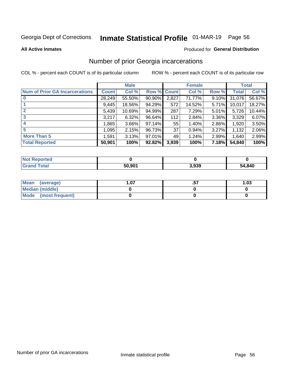## Inmate Statistical Profile 01-MAR-19 Page 56

**All Active Inmates** 

#### **Produced for General Distribution**

### Number of prior Georgia incarcerations

COL % - percent each COUNT is of its particular column

|                                       |              | <b>Male</b> |             |                 | <b>Female</b> |       |        | <b>Total</b> |
|---------------------------------------|--------------|-------------|-------------|-----------------|---------------|-------|--------|--------------|
| <b>Num of Prior GA Incarcerations</b> | <b>Count</b> | Col %       | Row % Count |                 | Col %         | Row % | Total  | Col %        |
| $\bf{0}$                              | 28,249       | 55.50%      | 90.90%      | 2,827           | 71.77%        | 9.10% | 31,076 | 56.67%       |
|                                       | 9,445        | 18.56%      | 94.29%      | 572             | 14.52%        | 5.71% | 10,017 | 18.27%       |
| $\mathbf{2}$                          | 5,439        | 10.69%      | 94.99%      | 287             | 7.29%         | 5.01% | 5,726  | 10.44%       |
| 3                                     | 3,217        | 6.32%       | $96.64\%$   | 112             | 2.84%         | 3.36% | 3,329  | 6.07%        |
| $\boldsymbol{4}$                      | 1,865        | 3.66%       | $97.14\%$   | 55              | 1.40%         | 2.86% | 1,920  | 3.50%        |
| 5                                     | 1,095        | 2.15%       | 96.73%      | 37 <sup>2</sup> | 0.94%         | 3.27% | 1,132  | 2.06%        |
| <b>More Than 5</b>                    | 1,591        | 3.13%       | $97.01\%$   | 49              | 1.24%         | 2.99% | 1,640  | 2.99%        |
| <b>Total Reported</b>                 | 50,901       | 100%        | 92.82%      | 3,939           | 100%          | 7.18% | 54,840 | 100%         |

| <b>Not Reported</b>   |        |       |        |
|-----------------------|--------|-------|--------|
| <b>Total</b><br>Grand | 50,901 | 3,939 | 54,840 |

| Mean (average)       | .07 | 1.03 |
|----------------------|-----|------|
| Median (middle)      |     |      |
| Mode (most frequent) |     |      |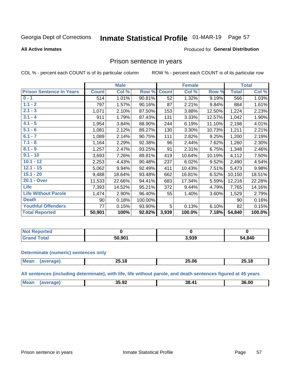## Inmate Statistical Profile 01-MAR-19 Page 57

#### **All Active Inmates**

#### Produced for General Distribution

### Prison sentence in years

COL % - percent each COUNT is of its particular column

ROW % - percent each COUNT is of its particular row

|                                 |              | <b>Male</b> |         |              | <b>Female</b> |        |              | <b>Total</b> |
|---------------------------------|--------------|-------------|---------|--------------|---------------|--------|--------------|--------------|
| <b>Prison Sentence In Years</b> | <b>Count</b> | Col %       | Row %   | <b>Count</b> | Col %         | Row %  | <b>Total</b> | Col %        |
| $0 - 1$                         | 514          | 1.01%       | 90.81%  | 52           | 1.32%         | 9.19%  | 566          | 1.03%        |
| $1.1 - 2$                       | 797          | 1.57%       | 90.16%  | 87           | 2.21%         | 9.84%  | 884          | 1.61%        |
| $2.1 - 3$                       | 1,071        | 2.10%       | 87.50%  | 153          | 3.88%         | 12.50% | 1,224        | 2.23%        |
| $3.1 - 4$                       | 911          | 1.79%       | 87.43%  | 131          | 3.33%         | 12.57% | 1,042        | 1.90%        |
| $4.1 - 5$                       | 1,954        | 3.84%       | 88.90%  | 244          | 6.19%         | 11.10% | 2,198        | 4.01%        |
| $5.1 - 6$                       | 1,081        | 2.12%       | 89.27%  | 130          | 3.30%         | 10.73% | 1,211        | 2.21%        |
| $6.1 - 7$                       | 1,089        | 2.14%       | 90.75%  | 111          | 2.82%         | 9.25%  | 1,200        | 2.19%        |
| $7.1 - 8$                       | 1,164        | 2.29%       | 92.38%  | 96           | 2.44%         | 7.62%  | 1,260        | 2.30%        |
| $8.1 - 9$                       | 1,257        | 2.47%       | 93.25%  | 91           | 2.31%         | 6.75%  | 1,348        | 2.46%        |
| $9.1 - 10$                      | 3,693        | 7.26%       | 89.81%  | 419          | 10.64%        | 10.19% | 4,112        | 7.50%        |
| $10.1 - 12$                     | 2,253        | 4.43%       | 90.48%  | 237          | 6.02%         | 9.52%  | 2,490        | 4.54%        |
| $12.1 - 15$                     | 5,062        | 9.94%       | 92.49%  | 411          | 10.43%        | 7.51%  | 5,473        | 9.98%        |
| $15.1 - 20$                     | 9,488        | 18.64%      | 93.48%  | 662          | 16.81%        | 6.52%  | 10,150       | 18.51%       |
| 20.1 - Over                     | 11,533       | 22.66%      | 94.41%  | 683          | 17.34%        | 5.59%  | 12,216       | 22.28%       |
| <b>Life</b>                     | 7,393        | 14.52%      | 95.21%  | 372          | 9.44%         | 4.79%  | 7,765        | 14.16%       |
| <b>Life Without Parole</b>      | 1,474        | 2.90%       | 96.40%  | 55           | 1.40%         | 3.60%  | 1,529        | 2.79%        |
| <b>Death</b>                    | 90           | 0.18%       | 100.00% |              |               |        | 90           | 0.16%        |
| <b>Youthful Offenders</b>       | 77           | 0.15%       | 93.90%  | 5            | 0.13%         | 6.10%  | 82           | 0.15%        |
| <b>Total Reported</b>           | 50,901       | 100%        | 92.82%  | 3,939        | 100.0%        | 7.18%  | 54,840       | 100.0%       |

| <b>Not Reported</b> |        |       |        |
|---------------------|--------|-------|--------|
| 'otal<br>$C$ ron    | 50.901 | 3,939 | 54,840 |

#### **Determinate (numeric) sentences only**

| <b>Mear</b> | --<br>. .<br>∠ు.1ర | ∠ວ.06 | 25.18 |
|-------------|--------------------|-------|-------|
|             |                    |       |       |

All sentences (including determinate), with life, life without parole, and death sentences figured at 45 years

| <b>Me</b> | 35.92 | $\mathbf{A}^{\prime}$<br>38<br>$ -$ | 36.00 |
|-----------|-------|-------------------------------------|-------|
|           |       |                                     |       |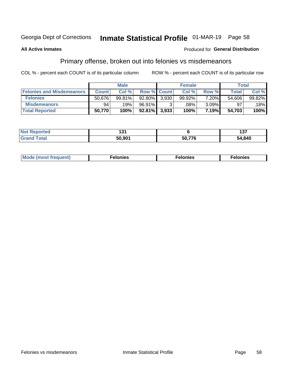## Inmate Statistical Profile 01-MAR-19 Page 58

#### **All Active Inmates**

#### **Produced for General Distribution**

### Primary offense, broken out into felonies vs misdemeanors

COL % - percent each COUNT is of its particular column

|                                  |              | <b>Male</b> |           |                    | <b>Female</b> |          | Total  |        |
|----------------------------------|--------------|-------------|-----------|--------------------|---------------|----------|--------|--------|
| <b>Felonies and Misdemeanors</b> | <b>Count</b> | Col%        |           | <b>Row % Count</b> | Col%          | Row %    | Total, | Col %  |
| <b>Felonies</b>                  | 50,676       | 99.81%      | 92.80%    | 3.930              | 99.92%        | $7.20\%$ | 54,606 | 99.82% |
| <b>Misdemeanors</b>              | 94           | 19%         | $96.91\%$ |                    | .08%          | $3.09\%$ | 97     | 18%    |
| <b>Total Reported</b>            | 50,770       | 100%        | $92.81\%$ | 3.933              | 100%          | 7.19%    | 54,703 | 100%   |

| <b>Not</b><br>rted. |        |        | .<br>וטו |
|---------------------|--------|--------|----------|
| Gran<br>™otaï       | 50.901 | こへ ララア | 54,840   |

| <b>Mo</b><br>requent)<br>$\sim$ | nıes | າເes | elonies |
|---------------------------------|------|------|---------|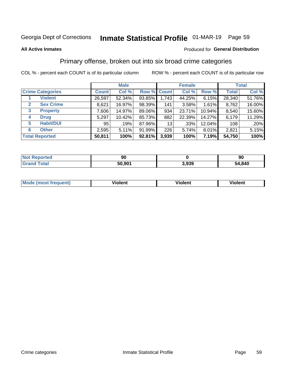## Inmate Statistical Profile 01-MAR-19 Page 59

#### **All Active Inmates**

#### Produced for General Distribution

### Primary offense, broken out into six broad crime categories

COL % - percent each COUNT is of its particular column

|                                 |              | <b>Male</b> |           |             | <b>Female</b> |        |              | <b>Total</b> |
|---------------------------------|--------------|-------------|-----------|-------------|---------------|--------|--------------|--------------|
| <b>Crime Categories</b>         | <b>Count</b> | Col %       |           | Row % Count | Col %         | Row %  | <b>Total</b> | Col %        |
| <b>Violent</b>                  | 26,597       | 52.34%      | $93.85\%$ | 1,743       | 44.25%        | 6.15%  | 28,340       | 51.76%       |
| <b>Sex Crime</b><br>2           | 8,621        | 16.97%      | 98.39%    | 141         | 3.58%         | 1.61%  | 8,762        | 16.00%       |
| $\mathbf{3}$<br><b>Property</b> | 7,606        | 14.97%      | 89.06%    | 934         | 23.71%        | 10.94% | 8,540        | 15.60%       |
| <b>Drug</b><br>4                | 5,297        | 10.42%      | 85.73%    | 882         | 22.39%        | 14.27% | 6,179        | 11.29%       |
| <b>Habit/DUI</b><br>5           | 95           | .19%        | 87.96%    | 13          | .33%          | 12.04% | 108          | .20%         |
| <b>Other</b><br>6               | 2,595        | 5.11%       | 91.99%    | 226         | 5.74%         | 8.01%  | 2,821        | 5.15%        |
| <b>Total Reported</b>           | 50,811       | 100%        | 92.81%    | 3,939       | 100%          | 7.19%  | 54,750       | 100%         |

| <b>Poorted</b><br><b>NOT</b><br>16UL | 90     |       | 90     |
|--------------------------------------|--------|-------|--------|
| <b>Total</b>                         | 50,901 | 3,939 | 54,840 |

| M | - --<br>100011 | .<br><b>VIOIGIIL</b> | 1.91311 |
|---|----------------|----------------------|---------|
|   |                |                      |         |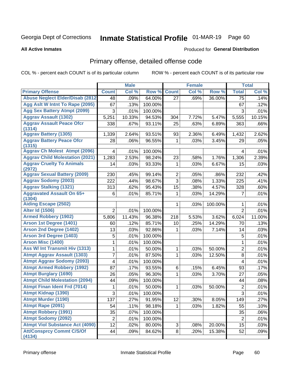# Inmate Statistical Profile 01-MAR-19 Page 60

**All Active Inmates** 

#### **Produced for General Distribution**

## Primary offense, detailed offense code

COL % - percent each COUNT is of its particular column

|                                            |                     | <b>Male</b> |         |                | <b>Female</b> |         |                | <b>Total</b> |
|--------------------------------------------|---------------------|-------------|---------|----------------|---------------|---------|----------------|--------------|
| <b>Primary Offense</b>                     | <b>Count</b>        | Col %       | Row %   | <b>Count</b>   | Col %         | Row %   | <b>Total</b>   | Col %        |
| <b>Abuse Neglect Elder/Disab (2812)</b>    | 48                  | .09%        | 64.00%  | 27             | .69%          | 36.00%  | 75             | .14%         |
| Agg Aslt W Intnt To Rape (2095)            | 67                  | .13%        | 100.00% |                |               |         | 67             | .12%         |
| <b>Agg Sex Battery Atmpt (2099)</b>        | 3                   | .01%        | 100.00% |                |               |         | 3              | .01%         |
| <b>Aggrav Assault (1302)</b>               | 5,251               | 10.33%      | 94.53%  | 304            | 7.72%         | 5.47%   | 5,555          | 10.15%       |
| <b>Aggrav Assault Peace Ofcr</b>           | 338                 | .67%        | 93.11%  | 25             | .63%          | 6.89%   | 363            | .66%         |
| (1314)<br><b>Aggrav Battery (1305)</b>     |                     |             |         |                |               |         |                |              |
| <b>Aggrav Battery Peace Ofcr</b>           | 1,339               | 2.64%       | 93.51%  | 93             | 2.36%         | 6.49%   | 1,432          | 2.62%        |
| (1315)                                     | 28                  | .06%        | 96.55%  | 1              | .03%          | 3.45%   | 29             | .05%         |
| <b>Aggrav Ch Molest Atmpt (2096)</b>       | 4                   | .01%        | 100.00% |                |               |         | 4              | .01%         |
| <b>Aggrav Child Molestation (2021)</b>     | 1,283               | 2.53%       | 98.24%  | 23             | .58%          | 1.76%   | 1,306          | 2.39%        |
| <b>Aggrav Cruelty To Animals</b>           | 14                  | .03%        | 93.33%  | 1              | .03%          | 6.67%   | 15             | .03%         |
| (2972)                                     |                     |             |         |                |               |         |                |              |
| <b>Aggrav Sexual Battery (2009)</b>        | 230                 | .45%        | 99.14%  | $\overline{2}$ | .05%          | .86%    | 232            | .42%         |
| <b>Aggrav Sodomy (2003)</b>                | 222                 | .44%        | 98.67%  | 3              | .08%          | 1.33%   | 225            | .41%         |
| <b>Aggrav Stalking (1321)</b>              | 313                 | .62%        | 95.43%  | 15             | .38%          | 4.57%   | 328            | .60%         |
| <b>Aggravated Assault On 65+</b><br>(1304) | 6                   | .01%        | 85.71%  | 1              | .03%          | 14.29%  | $\overline{7}$ | .01%         |
| <b>Aiding Escape (2502)</b>                |                     |             |         | 1              | .03%          | 100.00% | 1              | .01%         |
| <b>Alter Id (1506)</b>                     | $\overline{2}$      | .01%        | 100.00% |                |               |         | $\overline{2}$ | .01%         |
| <b>Armed Robbery (1902)</b>                | 5,806               | 11.43%      | 96.38%  | 218            | 5.53%         | 3.62%   | 6,024          | 11.00%       |
| Arson 1st Degree (1401)                    | 60                  | .12%        | 85.71%  | 10             | .25%          | 14.29%  | 70             | .13%         |
| <b>Arson 2nd Degree (1402)</b>             | 13                  | .03%        | 92.86%  | 1              | .03%          | 7.14%   | 14             | .03%         |
| <b>Arson 3rd Degree (1403)</b>             | 5                   | .01%        | 100.00% |                |               |         | 5              | .01%         |
| <b>Arson Misc (1400)</b>                   | 1                   | .01%        | 100.00% |                |               |         | $\mathbf{1}$   | .01%         |
| <b>Ass W/ Int Transmit Hiv (1313)</b>      | 1                   | .01%        | 50.00%  | 1              | .03%          | 50.00%  | $\overline{2}$ | .01%         |
| <b>Atmpt Aggrav Assault (1303)</b>         | 7                   | .01%        | 87.50%  | 1              | .03%          | 12.50%  | 8              | .01%         |
| <b>Atmpt Aggrav Sodomy (2093)</b>          | 4                   | .01%        | 100.00% |                |               |         | 4              | .01%         |
| <b>Atmpt Armed Robbery (1992)</b>          | 87                  | .17%        | 93.55%  | 6              | .15%          | 6.45%   | 93             | .17%         |
| <b>Atmpt Burglary (1690)</b>               | 26                  | .05%        | 96.30%  | 1              | .03%          | 3.70%   | 27             | .05%         |
| <b>Atmpt Child Molestation (2094)</b>      | 44                  | .09%        | 100.00% |                |               |         | 44             | .08%         |
| <b>Atmpt Finan Ident Frd (7014)</b>        | 1                   | .01%        | 50.00%  | 1              | .03%          | 50.00%  | 2              | .01%         |
| <b>Atmpt Kidnap (1390)</b>                 | $\overline{\omega}$ | .01%        | 100.00% |                |               |         | $\overline{3}$ | .01%         |
| <b>Atmpt Murder (1190)</b>                 | 137                 | .27%        | 91.95%  | 12             | .30%          | 8.05%   | 149            | .27%         |
| Atmpt Rape (2091)                          | 54                  | .11%        | 98.18%  | $\mathbf{1}$   | .03%          | 1.82%   | 55             | .10%         |
| <b>Atmpt Robbery (1991)</b>                | 35                  | .07%        | 100.00% |                |               |         | 35             | .06%         |
| <b>Atmpt Sodomy (2092)</b>                 | $\overline{2}$      | .01%        | 100.00% |                |               |         | $\overline{2}$ | .01%         |
| <b>Atmpt Viol Substance Act (4090)</b>     | 12                  | .02%        | 80.00%  | 3              | .08%          | 20.00%  | 15             | .03%         |
| <b>Att/Consprcy Commt C/S/Of</b><br>(4134) | 44                  | .09%        | 84.62%  | 8 <sup>1</sup> | .20%          | 15.38%  | 52             | .09%         |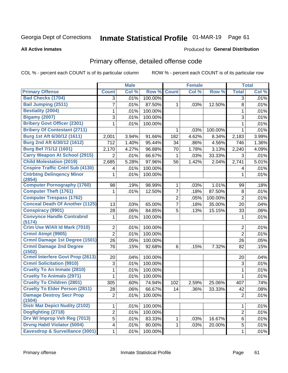# Inmate Statistical Profile 01-MAR-19 Page 61

**All Active Inmates** 

#### **Produced for General Distribution**

## Primary offense, detailed offense code

COL % - percent each COUNT is of its particular column

|                                            |                | <b>Male</b> |         |                | <b>Female</b> |         |                | <b>Total</b> |
|--------------------------------------------|----------------|-------------|---------|----------------|---------------|---------|----------------|--------------|
| <b>Primary Offense</b>                     | <b>Count</b>   | Col %       | Row %   | <b>Count</b>   | Col %         | Row %   | <b>Total</b>   | Col %        |
| <b>Bad Checks (1704)</b>                   | 3              | .01%        | 100.00% |                |               |         | 3              | .01%         |
| <b>Bail Jumping (2511)</b>                 | 7              | .01%        | 87.50%  | 1              | .03%          | 12.50%  | 8              | .01%         |
| <b>Bestiality (2004)</b>                   | 1              | .01%        | 100.00% |                |               |         | 1              | .01%         |
| <b>Bigamy (2007)</b>                       | 3              | .01%        | 100.00% |                |               |         | 3              | .01%         |
| <b>Bribery Govt Officer (2301)</b>         | 1              | .01%        | 100.00% |                |               |         | $\mathbf{1}$   | .01%         |
| <b>Bribery Of Contestant (2711)</b>        |                |             |         | 1              | .03%          | 100.00% | $\mathbf{1}$   | .01%         |
| Burg 1st Aft 6/30/12 (1611)                | 2,001          | 3.94%       | 91.66%  | 182            | 4.62%         | 8.34%   | 2,183          | 3.99%        |
| Burg 2nd Aft 6/30/12 (1612)                | 712            | 1.40%       | 95.44%  | 34             | .86%          | 4.56%   | 746            | 1.36%        |
| <b>Burg Bef 7/1/12 (1601)</b>              | 2,170          | 4.27%       | 96.88%  | 70             | 1.78%         | 3.13%   | 2,240          | 4.09%        |
| <b>Carry Weapon At School (2915)</b>       | $\overline{2}$ | .01%        | 66.67%  | 1              | .03%          | 33.33%  | 3              | .01%         |
| <b>Child Molestation (2019)</b>            | 2,685          | 5.28%       | 97.96%  | 56             | 1.42%         | 2.04%   | 2,741          | 5.01%        |
| <b>Cnspire Traffic Cntrl Sub (4130)</b>    | 4              | .01%        | 100.00% |                |               |         | 4              | .01%         |
| <b>Cntrbtng Delingency Minor</b><br>(2854) | 1              | .01%        | 100.00% |                |               |         | 1              | .01%         |
| <b>Computer Pornography (1760)</b>         | 98             | .19%        | 98.99%  | 1              | .03%          | 1.01%   | 99             | .18%         |
| <b>Computer Theft (1761)</b>               | 1              | .01%        | 12.50%  | $\overline{7}$ | .18%          | 87.50%  | $\,8\,$        | .01%         |
| <b>Computer Trespass (1762)</b>            |                |             |         | $\overline{2}$ | .05%          | 100.00% | $\overline{2}$ | .01%         |
| <b>Conceal Death Of Another (1125)</b>     | 13             | .03%        | 65.00%  | $\overline{7}$ | .18%          | 35.00%  | 20             | .04%         |
| <b>Conspiracy (9901)</b>                   | 28             | .06%        | 84.85%  | 5              | .13%          | 15.15%  | 33             | .06%         |
| <b>Convynce Handle Contrabnd</b><br>(5174) | 1              | .01%        | 100.00% |                |               |         | 1              | .01%         |
| Crim Use W/Alt Id Mark (7010)              | $\overline{2}$ | .01%        | 100.00% |                |               |         | 2              | .01%         |
| Crmnl Atmpt (9905)                         | $\overline{2}$ | .01%        | 100.00% |                |               |         | $\overline{2}$ | .01%         |
| Crmnl Damage 1st Degree (1501)             | 26             | .05%        | 100.00% |                |               |         | 26             | .05%         |
| <b>Crmnl Damage 2nd Degree</b><br>(1502)   | 76             | .15%        | 92.68%  | 6              | .15%          | 7.32%   | 82             | .15%         |
| <b>Crmnl Interfere Govt Prop (2613)</b>    | 20             | .04%        | 100.00% |                |               |         | 20             | .04%         |
| <b>Crmnl Solicitation (9910)</b>           | $\sqrt{3}$     | .01%        | 100.00% |                |               |         | $\sqrt{3}$     | .01%         |
| <b>Cruelty To An Inmate (2810)</b>         | 1              | .01%        | 100.00% |                |               |         | $\mathbf{1}$   | .01%         |
| <b>Cruelty To Animals (2971)</b>           | 1              | .01%        | 100.00% |                |               |         | 1              | .01%         |
| <b>Cruelty To Children (2801)</b>          | 305            | .60%        | 74.94%  | 102            | 2.59%         | 25.06%  | 407            | .74%         |
| <b>Cruelty To Elder Person (2811)</b>      | 28             | .06%        | 66.67%  | 14             | .36%          | 33.33%  | 42             | .08%         |
| <b>Damage Destroy Secr Prop</b><br>(1504)  | $\overline{2}$ | .01%        | 100.00% |                |               |         | $\overline{2}$ | .01%         |
| <b>Distr Mat Depict Nudity (2102)</b>      | 1              | .01%        | 100.00% |                |               |         | 1              | .01%         |
| Dogfighting (2718)                         | $\overline{2}$ | .01%        | 100.00% |                |               |         | $\overline{c}$ | .01%         |
| Drv W/ Improp Veh Reg (7013)               | 5              | .01%        | 83.33%  | 1              | .03%          | 16.67%  | 6              | .01%         |
| <b>Drvng Habtl Violator (5004)</b>         | 4              | .01%        | 80.00%  | 1              | .03%          | 20.00%  | 5              | .01%         |
| Eavesdrop & Surveillance (3001)            | $\mathbf{1}$   | .01%        | 100.00% |                |               |         | 1              | .01%         |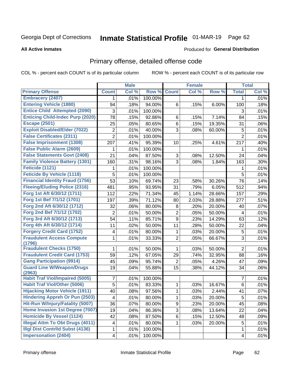# Inmate Statistical Profile 01-MAR-19 Page 62

#### **All Active Inmates**

#### **Produced for General Distribution**

## Primary offense, detailed offense code

COL % - percent each COUNT is of its particular column

|                                                  |                | <b>Male</b> |         |                | <b>Female</b> |        |                | <b>Total</b> |
|--------------------------------------------------|----------------|-------------|---------|----------------|---------------|--------|----------------|--------------|
| <b>Primary Offense</b>                           | <b>Count</b>   | Col %       | Row %   | <b>Count</b>   | Col %         | Row %  | <b>Total</b>   | Col %        |
| <b>Embracery (2407)</b>                          | $\mathbf 1$    | .01%        | 100.00% |                |               |        | 1              | .01%         |
| <b>Entering Vehicle (1880)</b>                   | 94             | .18%        | 94.00%  | 6              | .15%          | 6.00%  | 100            | .18%         |
| <b>Entice Child Attempted (2090)</b>             | 3              | .01%        | 100.00% |                |               |        | 3              | .01%         |
| <b>Enticing Child-Indec Purp (2020)</b>          | 78             | .15%        | 92.86%  | 6              | .15%          | 7.14%  | 84             | .15%         |
| <b>Escape (2501)</b>                             | 25             | .05%        | 80.65%  | 6              | .15%          | 19.35% | 31             | .06%         |
| <b>Exploit Disabled/Elder (7022)</b>             | 2              | .01%        | 40.00%  | 3              | .08%          | 60.00% | 5              | .01%         |
| <b>False Certificates (2311)</b>                 | $\overline{2}$ | .01%        | 100.00% |                |               |        | $\overline{2}$ | .01%         |
| <b>False Imprisonment (1308)</b>                 | 207            | .41%        | 95.39%  | 10             | .25%          | 4.61%  | 217            | .40%         |
| <b>False Public Alarm (2609)</b>                 | 1              | .01%        | 100.00% |                |               |        | 1              | .01%         |
| <b>False Statements Govt (2408)</b>              | 21             | .04%        | 87.50%  | 3              | .08%          | 12.50% | 24             | .04%         |
| <b>Family Violence Battery (1301)</b>            | 160            | .31%        | 98.16%  | 3              | .08%          | 1.84%  | 163            | .30%         |
| Feticide (1121)                                  | 1              | .01%        | 100.00% |                |               |        | 1              | .01%         |
| <b>Feticide By Vehicle (1118)</b>                | 5              | .01%        | 100.00% |                |               |        | 5              | .01%         |
| <b>Financial Identity Fraud (1756)</b>           | 53             | .10%        | 69.74%  | 23             | .58%          | 30.26% | 76             | .14%         |
| <b>Fleeing/Eluding Police (2316)</b>             | 481            | .95%        | 93.95%  | 31             | .79%          | 6.05%  | 512            | .94%         |
| Forg 1st Aft 6/30/12 (1711)                      | 112            | .22%        | 71.34%  | 45             | 1.14%         | 28.66% | 157            | .29%         |
| Forg 1st Bef 7/1/12 (1701)                       | 197            | .39%        | 71.12%  | 80             | 2.03%         | 28.88% | 277            | .51%         |
| Forg 2nd Aft 6/30/12 (1712)                      | 32             | .06%        | 80.00%  | 8              | .20%          | 20.00% | 40             | .07%         |
| Forg 2nd Bef 7/1/12 (1702)                       | 2              | .01%        | 50.00%  | $\overline{2}$ | .05%          | 50.00% | 4              | .01%         |
| Forg 3rd Aft 6/30/12 (1713)                      | 54             | .11%        | 85.71%  | 9              | .23%          | 14.29% | 63             | .12%         |
| Forg 4th Aft 6/30/12 (1714)                      | 11             | .02%        | 50.00%  | 11             | .28%          | 50.00% | 22             | .04%         |
| <b>Forgery Credit Card (1752)</b>                | 4              | .01%        | 80.00%  | 1              | .03%          | 20.00% | 5              | .01%         |
| <b>Fraudulent Access Compute</b><br>(1796)       | 1              | .01%        | 33.33%  | $\overline{2}$ | .05%          | 66.67% | 3              | .01%         |
| <b>Fraudulent Checks (1750)</b>                  | 1.             | .01%        | 50.00%  | 1              | .03%          | 50.00% | $\overline{2}$ | .01%         |
| <b>Fraudulent Credit Card (1753)</b>             | 59             | .12%        | 67.05%  | 29             | .74%          | 32.95% | 88             | .16%         |
| <b>Gang Participation (9914)</b>                 | 45             | .09%        | 95.74%  | $\overline{2}$ | .05%          | 4.26%  | 47             | .09%         |
| <b>Guard Line W/Weapon/Drugs</b>                 | 19             | .04%        | 55.88%  | 15             | .38%          | 44.12% | 34             | .06%         |
| (2963)<br><b>Habit Traf Viol/Impaired (5005)</b> | 7              | .01%        | 100.00% |                |               |        | 7              | .01%         |
| <b>Habit Traf Viol/Other (5006)</b>              | 5              | .01%        | 83.33%  | 1              | .03%          | 16.67% | 6              | .01%         |
| <b>Hijacking Motor Vehicle (1911)</b>            | 40             | .08%        | 97.56%  | 1              | .03%          | 2.44%  | 41             | .07%         |
| <b>Hindering Appreh Or Pun (2503)</b>            | 4              | .01%        | 80.00%  | 1              | .03%          | 20.00% | 5              | .01%         |
| Hit-Run W/Injury/Fatality (5007)                 | 36             | .07%        | 80.00%  | 9              | .23%          | 20.00% | 45             | .08%         |
| Home Invasion 1st Degree (7007)                  | 19             | .04%        | 86.36%  | 3              | .08%          | 13.64% | 22             | .04%         |
| <b>Homicide By Vessel (1124)</b>                 | 42             | .08%        | 87.50%  | 6              | .15%          | 12.50% | 48             | .09%         |
| <b>Illegal Attm To Obt Drugs (4011)</b>          | 4              | .01%        | 80.00%  | 1.             | .03%          | 20.00% | $\sqrt{5}$     | .01%         |
| <b>Illgl Dist Contrild Subst (4136)</b>          | 1              | .01%        | 100.00% |                |               |        | 1              | .01%         |
| <b>Impersonation (2404)</b>                      | 4              | .01%        | 100.00% |                |               |        | 4              | .01%         |
|                                                  |                |             |         |                |               |        |                |              |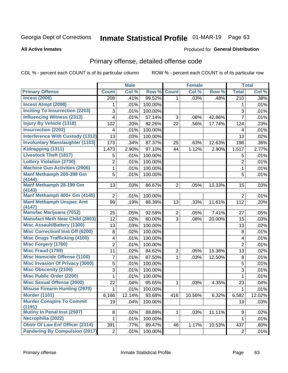# Inmate Statistical Profile 01-MAR-19 Page 63

#### **All Active Inmates**

#### **Produced for General Distribution**

## Primary offense, detailed offense code

COL % - percent each COUNT is of its particular column

|                                            |                | <b>Male</b> |         |                | <b>Female</b> |        |                           | <b>Total</b> |
|--------------------------------------------|----------------|-------------|---------|----------------|---------------|--------|---------------------------|--------------|
| <b>Primary Offense</b>                     | <b>Count</b>   | Col %       | Row %   | <b>Count</b>   | Col %         | Row %  | <b>Total</b>              | Col %        |
| <b>Incest (2006)</b>                       | 209            | .41%        | 99.52%  | 1 <sup>1</sup> | .03%          | .48%   | $\overline{210}$          | .38%         |
| <b>Incest Atmpt (2098)</b>                 | 1              | .01%        | 100.00% |                |               |        | 1                         | .01%         |
| <b>Inciting To Insurrection (2203)</b>     | 3              | .01%        | 100.00% |                |               |        | $\ensuremath{\mathsf{3}}$ | .01%         |
| <b>Influencing Witness (2313)</b>          | 4              | .01%        | 57.14%  | 3              | .08%          | 42.86% | $\overline{7}$            | .01%         |
| <b>Injury By Vehicle (1318)</b>            | 102            | .20%        | 82.26%  | 22             | .56%          | 17.74% | 124                       | .23%         |
| <b>Insurrection (2202)</b>                 | 4              | .01%        | 100.00% |                |               |        | 4                         | .01%         |
| <b>Interference With Custody (1312)</b>    | 13             | .03%        | 100.00% |                |               |        | 13                        | .02%         |
| <b>Involuntary Manslaughter (1103)</b>     | 173            | .34%        | 87.37%  | 25             | .63%          | 12.63% | 198                       | .36%         |
| Kidnapping (1311)                          | 1,473          | 2.90%       | 97.10%  | 44             | 1.12%         | 2.90%  | 1,517                     | 2.77%        |
| <b>Livestock Theft (1817)</b>              | 5              | .01%        | 100.00% |                |               |        | 5                         | .01%         |
| <b>Lottery Violation (2730)</b>            | $\overline{c}$ | .01%        | 100.00% |                |               |        | $\overline{2}$            | .01%         |
| <b>Machine Gun Activities (2906)</b>       | 1              | .01%        | 100.00% |                |               |        | 1                         | .01%         |
| Manf Methamph 200-399 Gm                   | 5              | .01%        | 100.00% |                |               |        | 5                         | .01%         |
| (4144)                                     |                |             |         |                |               |        |                           |              |
| Manf Methamph 28-199 Gm<br>(4143)          | 13             | .03%        | 86.67%  | $\overline{2}$ | .05%          | 13.33% | 15                        | .03%         |
| Manf Methamph 400+ Gm (4145)               | $\overline{2}$ | .01%        | 100.00% |                |               |        | $\overline{2}$            | .01%         |
| <b>Manf Methamph Unspec Amt</b>            | 99             | .19%        | 88.39%  | 13             | .33%          | 11.61% | 112                       | .20%         |
| (4147)                                     |                |             |         |                |               |        |                           |              |
| <b>Manufac Marijuana (7012)</b>            | 25             | .05%        | 92.59%  | $\overline{2}$ | .05%          | 7.41%  | 27                        | .05%         |
| <b>Manufact Meth Near Child (2803)</b>     | 12             | .02%        | 80.00%  | 3              | .08%          | 20.00% | 15                        | .03%         |
| <b>Misc Assault/Battery (1300)</b>         | 13             | .03%        | 100.00% |                |               |        | 13                        | .02%         |
| <b>Misc Correctionl Inst Off (6200)</b>    | 8              | .02%        | 100.00% |                |               |        | 8                         | .01%         |
| <b>Misc Drugs Trafficking (4100)</b>       | 4              | .01%        | 100.00% |                |               |        | 4                         | .01%         |
| <b>Misc Forgery (1700)</b>                 | $\overline{2}$ | .01%        | 100.00% |                |               |        | $\overline{2}$            | .01%         |
| <b>Misc Fraud (1799)</b>                   | 11             | .02%        | 84.62%  | $\overline{c}$ | .05%          | 15.38% | 13                        | .02%         |
| <b>Misc Homicide Offense (1100)</b>        | 7              | .01%        | 87.50%  | $\mathbf{1}$   | .03%          | 12.50% | 8                         | .01%         |
| <b>Misc Invasion Of Privacy (3000)</b>     | 5              | .01%        | 100.00% |                |               |        | 5                         | .01%         |
| <b>Misc Obscenity (2100)</b>               | 3              | .01%        | 100.00% |                |               |        | 3                         | .01%         |
| <b>Misc Public Order (2200)</b>            | 1              | .01%        | 100.00% |                |               |        | 1                         | .01%         |
| <b>Misc Sexual Offense (2000)</b>          | 22             | .04%        | 95.65%  | 1              | .03%          | 4.35%  | 23                        | .04%         |
| <b>Misuse Firearm Hunting (2970)</b>       | 1              | .01%        | 100.00% |                |               |        | 1                         | .01%         |
| <b>Murder (1101)</b>                       | 6,166          | 12.14%      | 93.68%  | 416            | 10.56%        | 6.32%  | 6,582                     | 12.02%       |
| <b>Murder Conspire To Commit</b><br>(1191) | 19             | .04%        | 100.00% |                |               |        | 19                        | .03%         |
| <b>Mutiny In Penal Inst (2507)</b>         | 8              | .02%        | 88.89%  | $\mathbf{1}$   | .03%          | 11.11% | 9                         | .02%         |
| Necrophilia (2022)                         | $\mathbf{1}$   | .01%        | 100.00% |                |               |        | $\mathbf{1}$              | .01%         |
| <b>Obstr Of Law Enf Officer (2314)</b>     | 391            | .77%        | 89.47%  | 46             | 1.17%         | 10.53% | 437                       | .80%         |
| <b>Pandering By Compulsion (2017)</b>      | $\mathbf{2}$   | .01%        | 100.00% |                |               |        | $\overline{2}$            | .01%         |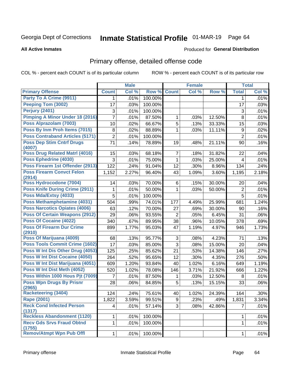# Inmate Statistical Profile 01-MAR-19 Page 64

#### **All Active Inmates**

#### **Produced for General Distribution**

## Primary offense, detailed offense code

COL % - percent each COUNT is of its particular column

|                                            |                | <b>Male</b> |         |                | <b>Female</b> |        |                | <b>Total</b> |
|--------------------------------------------|----------------|-------------|---------|----------------|---------------|--------|----------------|--------------|
| <b>Primary Offense</b>                     | <b>Count</b>   | Col %       | Row %   | <b>Count</b>   | Col %         | Row %  | <b>Total</b>   | Col %        |
| Party To A Crime (9911)                    | $\mathbf 1$    | .01%        | 100.00% |                |               |        | 1              | .01%         |
| <b>Peeping Tom (3002)</b>                  | 17             | .03%        | 100.00% |                |               |        | 17             | .03%         |
| Perjury (2401)                             | 3              | .01%        | 100.00% |                |               |        | 3              | .01%         |
| Pimping A Minor Under 18 (2016)            | 7              | .01%        | 87.50%  | 1              | .03%          | 12.50% | 8              | .01%         |
| Poss Alprazolam (7003)                     | 10             | .02%        | 66.67%  | 5              | .13%          | 33.33% | 15             | .03%         |
| Poss By Inm Proh Items (7015)              | $\,8\,$        | .02%        | 88.89%  | 1              | .03%          | 11.11% | 9              | .02%         |
| <b>Poss Contraband Articles (5171)</b>     | $\overline{2}$ | .01%        | 100.00% |                |               |        | $\overline{2}$ | .01%         |
| <b>Poss Dep Stim Cntrf Drugs</b><br>(4007) | 71             | .14%        | 78.89%  | 19             | .48%          | 21.11% | 90             | .16%         |
| <b>Poss Drug Related Matri (4016)</b>      | 15             | .03%        | 68.18%  | 7              | .18%          | 31.82% | 22             | .04%         |
| Poss Ephedrine (4030)                      | 3              | .01%        | 75.00%  | 1              | .03%          | 25.00% | 4              | .01%         |
| Poss Firearm 1st Offender (2913)           | 122            | .24%        | 91.04%  | 12             | .30%          | 8.96%  | 134            | .24%         |
| <b>Poss Firearm Convct Felon</b><br>(2914) | 1,152          | 2.27%       | 96.40%  | 43             | 1.09%         | 3.60%  | 1,195          | 2.18%        |
| Poss Hydrocodone (7004)                    | 14             | .03%        | 70.00%  | 6              | .15%          | 30.00% | 20             | .04%         |
| Poss Knife During Crime (2911)             | 1              | .01%        | 50.00%  | 1              | .03%          | 50.00% | $\overline{2}$ | .01%         |
| Poss Mda/Extsy (4033)                      | 5              | .01%        | 100.00% |                |               |        | 5              | .01%         |
| Poss Methamphetamine (4031)                | 504            | .99%        | 74.01%  | 177            | 4.49%         | 25.99% | 681            | 1.24%        |
| <b>Poss Narcotics Opiates (4006)</b>       | 63             | .12%        | 70.00%  | 27             | .69%          | 30.00% | 90             | .16%         |
| <b>Poss Of Certain Weapons (2912)</b>      | 29             | .06%        | 93.55%  | $\overline{2}$ | .05%          | 6.45%  | 31             | .06%         |
| <b>Poss Of Cocaine (4022)</b>              | 340            | .67%        | 89.95%  | 38             | .96%          | 10.05% | 378            | .69%         |
| <b>Poss Of Firearm Dur Crime</b><br>(2910) | 899            | 1.77%       | 95.03%  | 47             | 1.19%         | 4.97%  | 946            | 1.73%        |
| Poss Of Marijuana (4009)                   | 68             | .13%        | 95.77%  | 3              | .08%          | 4.23%  | 71             | .13%         |
| <b>Poss Tools Commit Crime (1602)</b>      | 17             | .03%        | 85.00%  | $\overline{3}$ | .08%          | 15.00% | 20             | .04%         |
| Poss W Int Dis Other Drug (4053)           | 125            | .25%        | 85.62%  | 21             | .53%          | 14.38% | 146            | .27%         |
| <b>Poss W Int Dist Cocaine (4050)</b>      | 264            | .52%        | 95.65%  | 12             | .30%          | 4.35%  | 276            | .50%         |
| Poss W Int Dist Marijuana (4051)           | 609            | 1.20%       | 93.84%  | 40             | 1.02%         | 6.16%  | 649            | 1.19%        |
| Poss W Int Dist Meth (4052)                | 520            | 1.02%       | 78.08%  | 146            | 3.71%         | 21.92% | 666            | 1.22%        |
| Poss Within 1000 Hous Pjt (7009)           | 7              | .01%        | 87.50%  | 1              | .03%          | 12.50% | 8              | .01%         |
| <b>Poss Wpn Drugs By Prisnr</b><br>(2965)  | 28             | .06%        | 84.85%  | 5              | .13%          | 15.15% | 33             | .06%         |
| Racketeering (3404)                        | 124            | .24%        | 75.61%  | 40             | 1.02%         | 24.39% | 164            | .30%         |
| <b>Rape (2001)</b>                         | 1,822          | 3.59%       | 99.51%  | 9              | .23%          | .49%   | 1,831          | 3.34%        |
| <b>Reck Cond Infected Person</b><br>(1317) | 4              | .01%        | 57.14%  | 3 <sup>1</sup> | .08%          | 42.86% | $\overline{7}$ | .01%         |
| <b>Reckless Abandonment (1120)</b>         | $\mathbf 1$    | .01%        | 100.00% |                |               |        | 1              | .01%         |
| <b>Recv Gds Srvs Fraud Obtnd</b><br>(1755) | $\mathbf{1}$   | .01%        | 100.00% |                |               |        | $\mathbf 1$    | .01%         |
| <b>Remov/Atmpt Wpn Pub Offl</b>            | 1              | .01%        | 100.00% |                |               |        | 1              | .01%         |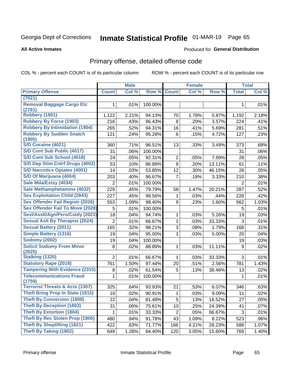# Inmate Statistical Profile 01-MAR-19 Page 65

#### **All Active Inmates**

### **Produced for General Distribution**

### Primary offense, detailed offense code

COL % - percent each COUNT is of its particular column

|                                            |                | <b>Male</b> |         |                | <b>Female</b> |        |                | <b>Total</b> |
|--------------------------------------------|----------------|-------------|---------|----------------|---------------|--------|----------------|--------------|
| <b>Primary Offense</b>                     | <b>Count</b>   | Col %       | Row %   | <b>Count</b>   | Col %         | Row %  | <b>Total</b>   | Col %        |
| (7021)                                     |                |             |         |                |               |        |                |              |
| <b>Removal Baggage Cargo Etc</b><br>(2761) | 1              | .01%        | 100.00% |                |               |        | 1              | .01%         |
| Robbery (1901)                             | 1,122          | 2.21%       | 94.13%  | 70             | 1.78%         | 5.87%  | 1,192          | 2.18%        |
| <b>Robbery By Force (1903)</b>             | 216            | .43%        | 96.43%  | 8              | .20%          | 3.57%  | 224            | .41%         |
| <b>Robbery By Intimidation (1904)</b>      | 265            | .52%        | 94.31%  | 16             | .41%          | 5.69%  | 281            | .51%         |
| <b>Robbery By Sudden Snatch</b>            | 121            | .24%        | 95.28%  | 6              | .15%          | 4.72%  | 127            | .23%         |
| (1905)                                     |                |             |         |                |               |        |                |              |
| S/D Cocaine (4021)                         | 360            | .71%        | 96.51%  | 13             | .33%          | 3.49%  | 373            | .68%         |
| S/D Cont Sub Public (4017)                 | 31             | .06%        | 100.00% |                |               |        | 31             | $.06\%$      |
| S/D Cont Sub School (4018)                 | 24             | .05%        | 92.31%  | $\overline{2}$ | .05%          | 7.69%  | 26             | .05%         |
| S/D Dep Stim Cntrf Drugs (4002)            | 53             | .10%        | 86.89%  | 8              | .20%          | 13.11% | 61             | .11%         |
| <b>S/D Narcotics Opiates (4001)</b>        | 14             | .03%        | 53.85%  | 12             | .30%          | 46.15% | 26             | .05%         |
| S/D Of Marijuana (4004)                    | 203            | .40%        | 96.67%  | $\overline{7}$ | .18%          | 3.33%  | 210            | .38%         |
| Sale Mda/Extsy (4034)                      | $\overline{2}$ | .01%        | 100.00% |                |               |        | $\overline{2}$ | .01%         |
| Sale Methamphetamine (4032)                | 229            | .45%        | 79.79%  | 58             | 1.47%         | 20.21% | 287            | .52%         |
| <b>Sex Exploitation Child (2843)</b>       | 227            | .45%        | 99.56%  | 1              | .03%          | .44%   | 228            | .42%         |
| <b>Sex Offender Fail Registr (2026)</b>    | 553            | 1.09%       | 98.40%  | 9              | .23%          | 1.60%  | 562            | 1.03%        |
| <b>Sex Offender Fail To Move (2028)</b>    | 5              | .01%        | 100.00% |                |               |        | 5              | .01%         |
| Sexl/Asslt/Agn/Pers/Cstdy (2023)           | 18             | .04%        | 94.74%  | 1              | .03%          | 5.26%  | 19             | .03%         |
| <b>Sexual Aslt By Therapist (2024)</b>     | $\overline{2}$ | .01%        | 66.67%  | $\mathbf{1}$   | .03%          | 33.33% | 3              | .01%         |
| <b>Sexual Battery (2011)</b>               | 165            | .32%        | 98.21%  | 3              | .08%          | 1.79%  | 168            | .31%         |
| <b>Simple Battery (1316)</b>               | 19             | .04%        | 95.00%  | 1              | .03%          | 5.00%  | 20             | .04%         |
| <b>Sodomy (2002)</b>                       | 19             | .04%        | 100.00% |                |               |        | 19             | .03%         |
| <b>Solicit Sodomy From Minor</b><br>(2025) | 8              | .02%        | 88.89%  | 1              | .03%          | 11.11% | 9              | .02%         |
| Stalking (1320)                            | $\overline{2}$ | .01%        | 66.67%  | 1              | .03%          | 33.33% | 3              | .01%         |
| <b>Statutory Rape (2018)</b>               | 761            | 1.50%       | 97.44%  | 20             | .51%          | 2.56%  | 781            | 1.43%        |
| <b>Tampering With Evidence (2315)</b>      | 8              | .02%        | 61.54%  | 5              | .13%          | 38.46% | 13             | .02%         |
| <b>Telecommunications Fraud</b>            | 1              | .01%        | 100.00% |                |               |        | 1              | .01%         |
| (1759)                                     |                |             |         |                |               |        |                |              |
| <b>Terrorist Threats &amp; Acts (1307)</b> | 325            | .64%        | 93.93%  | 21             | .53%          | 6.07%  | 346            | .63%         |
| <b>Theft Bring Prop In State (1815)</b>    | 10             | .02%        | 90.91%  | $\mathbf 1$    | .03%          | 9.09%  | 11             | .02%         |
| <b>Theft By Conversion (1808)</b>          | 22             | .04%        | 81.48%  | 5              | .13%          | 18.52% | 27             | .05%         |
| <b>Theft By Deception (1803)</b>           | 31             | .06%        | 75.61%  | 10             | .25%          | 24.39% | 41             | .07%         |
| <b>Theft By Extortion (1804)</b>           | 1              | .01%        | 33.33%  | $\overline{c}$ | .05%          | 66.67% | 3              | .01%         |
| Theft By Rec Stolen Prop (1806)            | 480            | .94%        | 91.78%  | 43             | 1.09%         | 8.22%  | 523            | .96%         |
| <b>Theft By Shoplifting (1821)</b>         | 422            | .83%        | 71.77%  | 166            | 4.21%         | 28.23% | 588            | 1.07%        |
| <b>Theft By Taking (1802)</b>              | 649            | 1.28%       | 84.40%  | 120            | 3.05%         | 15.60% | 769            | 1.40%        |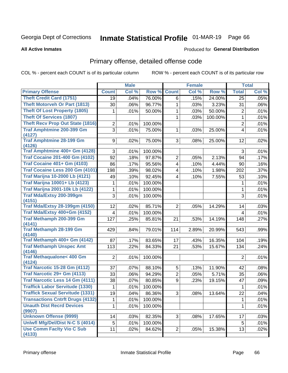# Inmate Statistical Profile 01-MAR-19 Page 66

#### **All Active Inmates**

#### **Produced for General Distribution**

### Primary offense, detailed offense code

COL % - percent each COUNT is of its particular column

|                                            |                | <b>Male</b> |         |                | <b>Female</b> |         |                  | <b>Total</b> |
|--------------------------------------------|----------------|-------------|---------|----------------|---------------|---------|------------------|--------------|
| <b>Primary Offense</b>                     | <b>Count</b>   | Col %       | Row %   | <b>Count</b>   | Col %         | Row %   | <b>Total</b>     | Col %        |
| <b>Theft Credit Card (1751)</b>            | 19             | .04%        | 76.00%  | 6              | .15%          | 24.00%  | 25               | .05%         |
| <b>Theft Motorveh Or Part (1813)</b>       | 30             | .06%        | 96.77%  | 1              | .03%          | 3.23%   | 31               | .06%         |
| <b>Theft Of Lost Property (1805)</b>       | 1              | .01%        | 50.00%  | 1              | .03%          | 50.00%  | $\overline{2}$   | .01%         |
| <b>Theft Of Services (1807)</b>            |                |             |         | 1              | .03%          | 100.00% | $\mathbf{1}$     | .01%         |
| <b>Theft Recv Prop Out State (1816)</b>    | $\overline{2}$ | .01%        | 100.00% |                |               |         | $\overline{2}$   | .01%         |
| <b>Traf Amphtmine 200-399 Gm</b>           | 3              | .01%        | 75.00%  | 1              | .03%          | 25.00%  | $\overline{4}$   | .01%         |
| (4127)                                     |                |             |         |                |               |         |                  |              |
| <b>Traf Amphtmine 28-199 Gm</b>            | 9              | .02%        | 75.00%  | 3              | .08%          | 25.00%  | 12               | .02%         |
| (4126)<br>Traf Amphtmine 400+ Gm (4128)    | 3              | .01%        | 100.00% |                |               |         | 3                | .01%         |
| <b>Traf Cocaine 201-400 Gm (4102)</b>      | 92             | .18%        | 97.87%  | $\overline{2}$ | .05%          | 2.13%   | 94               | .17%         |
| <b>Traf Cocaine 401+ Gm (4103)</b>         | 86             | .17%        | 95.56%  | 4              | .10%          | 4.44%   | 90               | .16%         |
| Traf Cocaine Less 200 Gm (4101)            | 198            | .39%        | 98.02%  | 4              | .10%          | 1.98%   | 202              | .37%         |
| <b>Traf Marijna 10-2000 Lb (4121)</b>      | 49             | .10%        | 92.45%  | 4              | .10%          | 7.55%   | 53               | .10%         |
| <b>Traf Marijna 10001+ Lb (4123)</b>       | 1              | .01%        | 100.00% |                |               |         | 1                | .01%         |
| <b>Traf Marijna 2001-10k Lb (4122)</b>     |                |             | 100.00% |                |               |         |                  | .01%         |
| Traf Mda/Extsy 200-399gm                   | 1<br>3         | .01%        |         |                |               |         | $\mathbf 1$<br>3 |              |
| (4151)                                     |                | .01%        | 100.00% |                |               |         |                  | .01%         |
| <b>Traf Mda/Extsy 28-199gm (4150)</b>      | 12             | .02%        | 85.71%  | $\overline{2}$ | .05%          | 14.29%  | 14               | .03%         |
| Traf Mda/Extsy 400+Gm (4152)               | 4              | .01%        | 100.00% |                |               |         | 4                | .01%         |
| Traf Methamph 200-399 Gm                   | 127            | .25%        | 85.81%  | 21             | .53%          | 14.19%  | 148              | .27%         |
| (4141)                                     |                |             |         |                |               |         |                  |              |
| <b>Traf Methamph 28-199 Gm</b>             | 429            | .84%        | 79.01%  | 114            | 2.89%         | 20.99%  | 543              | .99%         |
| (4140)                                     |                |             |         |                |               |         |                  |              |
| Traf Methamph 400+ Gm (4142)               | 87             | .17%        | 83.65%  | 17             | .43%          | 16.35%  | 104              | .19%         |
| <b>Traf Methamph Unspec Amt</b><br>(4146)  | 113            | .22%        | 84.33%  | 21             | .53%          | 15.67%  | 134              | .24%         |
| <b>Traf Methaqualone&lt; 400 Gm</b>        | $\overline{2}$ | .01%        | 100.00% |                |               |         | $\overline{2}$   | .01%         |
| (4124)                                     |                |             |         |                |               |         |                  |              |
| <b>Traf Narcotic 15-28 Gm (4112)</b>       | 37             | .07%        | 88.10%  | 5              | .13%          | 11.90%  | 42               | .08%         |
| Traf Narcotic 29+ Gm (4113)                | 33             | .06%        | 94.29%  | 2              | .05%          | 5.71%   | 35               | .06%         |
| Traf Narcotic Less 14 Gm (4111)            | 38             | .07%        | 80.85%  | 9              | .23%          | 19.15%  | 47               | .09%         |
| <b>Traffick Labor Servitude (1330)</b>     | 1              | .01%        | 100.00% |                |               |         | 1                | .01%         |
| <b>Traffick Sexual Servitude (1331)</b>    | 19             | .04%        | 86.36%  | $\overline{3}$ | .08%          | 13.64%  | $\overline{22}$  | .04%         |
| <b>Transactions Cntrft Drugs (4132)</b>    | 1              | .01%        | 100.00% |                |               |         | 1                | .01%         |
| <b>Unauth Dist Recrd Devices</b>           | 1              | .01%        | 100.00% |                |               |         | $\mathbf{1}$     | .01%         |
| (9907)                                     |                |             |         |                |               |         |                  |              |
| <b>Unknown Offense (9999)</b>              | 14             | .03%        | 82.35%  | 3              | .08%          | 17.65%  | 17               | .03%         |
| Uniwfl Mfg/Del/Dist N-C S (4014)           | 5              | .01%        | 100.00% |                |               |         | 5                | .01%         |
| <b>Use Comm Facity Vio C Sub</b><br>(4133) | 11             | .02%        | 84.62%  | $\overline{2}$ | .05%          | 15.38%  | 13               | .02%         |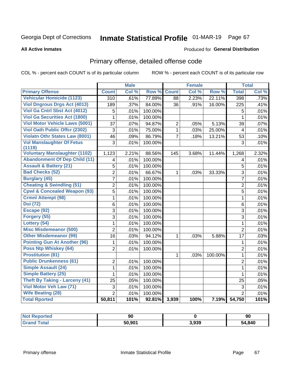# Inmate Statistical Profile 01-MAR-19 Page 67

**All Active Inmates** 

#### **Produced for General Distribution**

## Primary offense, detailed offense code

COL % - percent each COUNT is of its particular column

|                                            |                 | <b>Male</b> |         |                | <b>Female</b> |         |                | <b>Total</b> |
|--------------------------------------------|-----------------|-------------|---------|----------------|---------------|---------|----------------|--------------|
| <b>Primary Offense</b>                     | <b>Count</b>    | Col %       | Row %   | <b>Count</b>   | Col %         | Row %   | <b>Total</b>   | Col %        |
| <b>Vehicular Homicide (1123)</b>           | 310             | .61%        | 77.89%  | 88             | 2.23%         | 22.11%  | 398            | .73%         |
| <b>Viol Dngrous Drgs Act (4013)</b>        | 189             | .37%        | 84.00%  | 36             | .91%          | 16.00%  | 225            | .41%         |
| Viol Ga Cntrl Sbst Act (4012)              | 5               | .01%        | 100.00% |                |               |         | 5              | .01%         |
| <b>Viol Ga Securities Act (1800)</b>       | $\mathbf{1}$    | .01%        | 100.00% |                |               |         | $\mathbf{1}$   | .01%         |
| Viol Motor Vehicle Laws (5001)             | 37              | .07%        | 94.87%  | $\overline{c}$ | .05%          | 5.13%   | 39             | .07%         |
| <b>Viol Oath Public Offcr (2302)</b>       | 3               | .01%        | 75.00%  | $\mathbf{1}$   | .03%          | 25.00%  | 4              | .01%         |
| <b>Violatn Othr States Law (8001)</b>      | 46              | .09%        | 86.79%  | $\overline{7}$ | .18%          | 13.21%  | 53             | .10%         |
| <b>Vol Manslaughter Of Fetus</b><br>(1119) | $\overline{3}$  | .01%        | 100.00% |                |               |         | $\overline{3}$ | .01%         |
| <b>Voluntary Manslaughter (1102)</b>       | 1,123           | 2.21%       | 88.56%  | 145            | 3.68%         | 11.44%  | 1,268          | 2.32%        |
| <b>Abandonment Of Dep Child (11)</b>       | 4               | .01%        | 100.00% |                |               |         | 4              | .01%         |
| <b>Assault &amp; Battery (21)</b>          | 5               | .01%        | 100.00% |                |               |         | 5              | .01%         |
| <b>Bad Checks (52)</b>                     | $\overline{2}$  | .01%        | 66.67%  | $\mathbf{1}$   | .03%          | 33.33%  | 3              | .01%         |
| <b>Burglary (45)</b>                       | $\overline{7}$  | .01%        | 100.00% |                |               |         | $\overline{7}$ | .01%         |
| <b>Cheating &amp; Swindling (51)</b>       | $\overline{2}$  | .01%        | 100.00% |                |               |         | $\overline{2}$ | .01%         |
| <b>Cpwl &amp; Concealed Weapon (93)</b>    | $\overline{5}$  | .01%        | 100.00% |                |               |         | $\overline{5}$ | .01%         |
| <b>Crmnl Attempt (98)</b>                  | $\mathbf{1}$    | .01%        | 100.00% |                |               |         | $\mathbf{1}$   | .01%         |
| <b>Dui</b> (72)                            | 6               | .01%        | 100.00% |                |               |         | 6              | .01%         |
| Escape (92)                                | 3               | .01%        | 100.00% |                |               |         | 3              | .01%         |
| Forgery (55)                               | 3               | .01%        | 100.00% |                |               |         | 3              | .01%         |
| Lottery (54)                               | 1               | .01%        | 100.00% |                |               |         | 1              | .01%         |
| <b>Misc Misdemeanor (500)</b>              | $\overline{2}$  | .01%        | 100.00% |                |               |         | $\overline{2}$ | .01%         |
| <b>Other Misdemeanor (99)</b>              | $\overline{16}$ | .03%        | 94.12%  | $\mathbf 1$    | .03%          | 5.88%   | 17             | .03%         |
| <b>Pointing Gun At Another (96)</b>        | $\mathbf{1}$    | .01%        | 100.00% |                |               |         | $\mathbf{1}$   | .01%         |
| Poss Ntp Whiskey (64)                      | $\overline{2}$  | .01%        | 100.00% |                |               |         | $\overline{2}$ | .01%         |
| <b>Prostitution (81)</b>                   |                 |             |         | $\mathbf{1}$   | .03%          | 100.00% | $\mathbf{1}$   | .01%         |
| <b>Public Drunkenness (61)</b>             | 2               | .01%        | 100.00% |                |               |         | $\overline{2}$ | .01%         |
| <b>Simple Assault (24)</b>                 | $\mathbf 1$     | .01%        | 100.00% |                |               |         | $\mathbf{1}$   | .01%         |
| <b>Simple Battery (25)</b>                 | 1               | .01%        | 100.00% |                |               |         | $\mathbf{1}$   | .01%         |
| <b>Theft By Taking - Larceny (41)</b>      | 25              | .05%        | 100.00% |                |               |         | 25             | .05%         |
| Viol Motor Veh Law (71)                    | 3               | .01%        | 100.00% |                |               |         | $\mathfrak{S}$ | .01%         |
| <b>Wife Beating (28)</b>                   | $\overline{2}$  | .01%        | 100.00% |                |               |         | $\overline{2}$ | .01%         |
| <b>Total Rported</b>                       | 50,811          | 101%        | 92.81%  | 3,939          | 100%          | 7.19%   | 54,750         | 101%         |

| Reported<br><b>NOT</b> | ഹ<br>Ju |       | 90     |
|------------------------|---------|-------|--------|
| otal                   | 50.901  | 3,939 | 54,840 |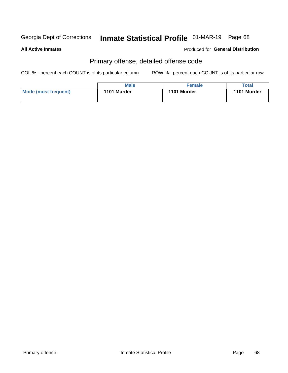# Inmate Statistical Profile 01-MAR-19 Page 68

#### **All Active Inmates**

#### **Produced for General Distribution**

## Primary offense, detailed offense code

COL % - percent each COUNT is of its particular column

|                      | <b>Male</b> | <b>Female</b> | Total       |
|----------------------|-------------|---------------|-------------|
| Mode (most frequent) | 1101 Murder | 1101 Murder   | 1101 Murder |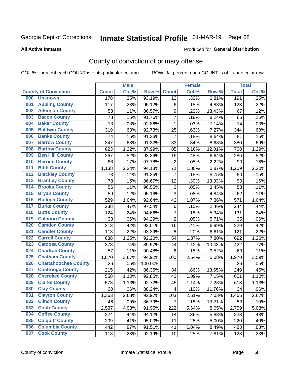## Inmate Statistical Profile 01-MAR-19 Page 68

**All Active Inmates** 

#### Produced for General Distribution

## County of conviction of primary offense

COL % - percent each COUNT is of its particular column

|     |                             |              | <b>Male</b> |         |                         | <b>Female</b> |        |              | <b>Total</b> |
|-----|-----------------------------|--------------|-------------|---------|-------------------------|---------------|--------|--------------|--------------|
|     | <b>County of Conviction</b> | <b>Count</b> | Col %       | Row %   | <b>Count</b>            | Col %         | Row %  | <b>Total</b> | Col %        |
| 000 | <b>Unknown</b>              | 178          | .35%        | 93.19%  | 13                      | .33%          | 6.81%  | 191          | .35%         |
| 001 | <b>Appling County</b>       | 117          | .23%        | 95.12%  | 6                       | .15%          | 4.88%  | 123          | .22%         |
| 002 | <b>Atkinson County</b>      | 58           | .11%        | 86.57%  | $\boldsymbol{9}$        | .23%          | 13.43% | 67           | .12%         |
| 003 | <b>Bacon County</b>         | 78           | .15%        | 91.76%  | $\overline{7}$          | .18%          | 8.24%  | 85           | .15%         |
| 004 | <b>Baker County</b>         | 13           | .03%        | 92.86%  | $\mathbf{1}$            | .03%          | 7.14%  | 14           | .03%         |
| 005 | <b>Baldwin County</b>       | 319          | .63%        | 92.73%  | 25                      | .63%          | 7.27%  | 344          | .63%         |
| 006 | <b>Banks County</b>         | 74           | .15%        | 91.36%  | $\overline{7}$          | .18%          | 8.64%  | 81           | .15%         |
| 007 | <b>Barrow County</b>        | 347          | .68%        | 91.32%  | 33                      | .84%          | 8.68%  | 380          | .69%         |
| 008 | <b>Bartow County</b>        | 623          | 1.22%       | 87.99%  | 85                      | 2.16%         | 12.01% | 708          | 1.29%        |
| 009 | <b>Ben Hill County</b>      | 267          | .52%        | 93.36%  | 19                      | .48%          | 6.64%  | 286          | .52%         |
| 010 | <b>Berrien County</b>       | 88           | .17%        | 97.78%  | $\mathbf 2$             | .05%          | 2.22%  | 90           | .16%         |
| 011 | <b>Bibb County</b>          | 1,138        | 2.24%       | 94.13%  | 71                      | 1.80%         | 5.87%  | 1,209        | 2.20%        |
| 012 | <b>Bleckley County</b>      | 73           | .14%        | 91.25%  | $\overline{7}$          | .18%          | 8.75%  | 80           | .15%         |
| 013 | <b>Brantley County</b>      | 78           | .15%        | 86.67%  | 12                      | .30%          | 13.33% | 90           | .16%         |
| 014 | <b>Brooks County</b>        | 56           | .11%        | 96.55%  | $\mathbf 2$             | .05%          | 3.45%  | 58           | .11%         |
| 015 | <b>Bryan County</b>         | 59           | .12%        | 95.16%  | 3                       | .08%          | 4.84%  | 62           | .11%         |
| 016 | <b>Bulloch County</b>       | 529          | 1.04%       | 92.64%  | 42                      | 1.07%         | 7.36%  | 571          | 1.04%        |
| 017 | <b>Burke County</b>         | 238          | .47%        | 97.54%  | $\,6$                   | .15%          | 2.46%  | 244          | .44%         |
| 018 | <b>Butts County</b>         | 124          | .24%        | 94.66%  | $\overline{7}$          | .18%          | 5.34%  | 131          | .24%         |
| 019 | <b>Calhoun County</b>       | 33           | .06%        | 94.29%  | $\overline{2}$          | .05%          | 5.71%  | 35           | .06%         |
| 020 | <b>Camden County</b>        | 213          | .42%        | 93.01%  | 16                      | .41%          | 6.99%  | 229          | .42%         |
| 021 | <b>Candler County</b>       | 113          | .22%        | 93.39%  | 8                       | .20%          | 6.61%  | 121          | .22%         |
| 022 | <b>Carroll County</b>       | 638          | 1.25%       | 92.20%  | 54                      | 1.37%         | 7.80%  | 692          | 1.26%        |
| 023 | <b>Catoosa County</b>       | 378          | .74%        | 89.57%  | 44                      | 1.12%         | 10.43% | 422          | .77%         |
| 024 | <b>Charlton County</b>      | 57           | .11%        | 90.48%  | 6                       | .15%          | 9.52%  | 63           | .11%         |
| 025 | <b>Chatham County</b>       | 1,870        | 3.67%       | 94.92%  | 100                     | 2.54%         | 5.08%  | 1,970        | 3.59%        |
| 026 | <b>Chattahoochee County</b> | 26           | .05%        | 100.00% |                         |               |        | 26           | .05%         |
| 027 | <b>Chattooga County</b>     | 215          | .42%        | 86.35%  | 34                      | .86%          | 13.65% | 249          | .45%         |
| 028 | <b>Cherokee County</b>      | 558          | 1.10%       | 92.85%  | 43                      | 1.09%         | 7.15%  | 601          | 1.10%        |
| 029 | <b>Clarke County</b>        | 573          | 1.13%       | 92.72%  | 45                      | 1.14%         | 7.28%  | 618          | 1.13%        |
| 030 | <b>Clay County</b>          | 30           | .06%        | 88.24%  | $\overline{\mathbf{4}}$ | .10%          | 11.76% | 34           | .06%         |
| 031 | <b>Clayton County</b>       | 1,363        | 2.68%       | 92.97%  | 103                     | 2.61%         | 7.03%  | 1,466        | 2.67%        |
| 032 | <b>Clinch County</b>        | 46           | .09%        | 86.79%  | $\overline{7}$          | .18%          | 13.21% | 53           | .10%         |
| 033 | <b>Cobb County</b>          | 2,537        | 4.98%       | 91.95%  | 222                     | 5.64%         | 8.05%  | 2,759        | 5.03%        |
| 034 | <b>Coffee County</b>        | 224          | .44%        | 94.12%  | 14                      | .36%          | 5.88%  | 238          | .43%         |
| 035 | <b>Colquitt County</b>      | 209          | .41%        | 95.00%  | 11                      | .28%          | 5.00%  | 220          | .40%         |
| 036 | <b>Columbia County</b>      | 442          | .87%        | 91.51%  | 41                      | 1.04%         | 8.49%  | 483          | .88%         |
| 037 | <b>Cook County</b>          | 118          | .23%        | 92.19%  | 10                      | .25%          | 7.81%  | 128          | .23%         |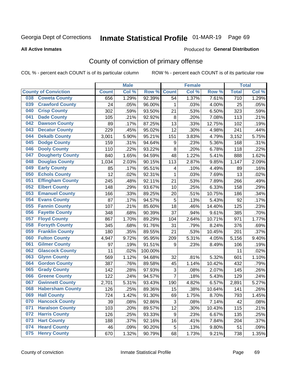## Inmate Statistical Profile 01-MAR-19 Page 69

Produced for General Distribution

#### **All Active Inmates**

### County of conviction of primary offense

COL % - percent each COUNT is of its particular column

|                                |              | <b>Male</b> |         |                  | <b>Female</b> |        |              | <b>Total</b> |
|--------------------------------|--------------|-------------|---------|------------------|---------------|--------|--------------|--------------|
| <b>County of Conviction</b>    | <b>Count</b> | Col %       | Row %   | <b>Count</b>     | Col %         | Row %  | <b>Total</b> | Col %        |
| <b>Coweta County</b><br>038    | 656          | 1.29%       | 92.39%  | 54               | 1.37%         | 7.61%  | 710          | 1.29%        |
| <b>Crawford County</b><br>039  | 24           | .05%        | 96.00%  | 1                | .03%          | 4.00%  | 25           | .05%         |
| <b>Crisp County</b><br>040     | 302          | .59%        | 93.50%  | 21               | .53%          | 6.50%  | 323          | .59%         |
| <b>Dade County</b><br>041      | 105          | .21%        | 92.92%  | 8                | .20%          | 7.08%  | 113          | .21%         |
| 042<br><b>Dawson County</b>    | 89           | .17%        | 87.25%  | 13               | .33%          | 12.75% | 102          | .19%         |
| <b>Decatur County</b><br>043   | 229          | .45%        | 95.02%  | 12               | .30%          | 4.98%  | 241          | .44%         |
| <b>Dekalb County</b><br>044    | 3,001        | 5.90%       | 95.21%  | 151              | 3.83%         | 4.79%  | 3,152        | 5.75%        |
| <b>Dodge County</b><br>045     | 159          | .31%        | 94.64%  | $\boldsymbol{9}$ | .23%          | 5.36%  | 168          | .31%         |
| 046<br><b>Dooly County</b>     | 110          | .22%        | 93.22%  | 8                | .20%          | 6.78%  | 118          | .22%         |
| <b>Dougherty County</b><br>047 | 840          | 1.65%       | 94.59%  | 48               | 1.22%         | 5.41%  | 888          | 1.62%        |
| 048<br><b>Douglas County</b>   | 1,034        | 2.03%       | 90.15%  | 113              | 2.87%         | 9.85%  | 1,147        | 2.09%        |
| <b>Early County</b><br>049     | 85           | .17%        | 95.51%  | 4                | .10%          | 4.49%  | 89           | .16%         |
| <b>Echols County</b><br>050    | 12           | .02%        | 92.31%  | $\mathbf{1}$     | .03%          | 7.69%  | 13           | .02%         |
| <b>Effingham County</b><br>051 | 245          | .48%        | 92.11%  | 21               | .53%          | 7.89%  | 266          | .49%         |
| <b>Elbert County</b><br>052    | 148          | .29%        | 93.67%  | 10               | .25%          | 6.33%  | 158          | .29%         |
| <b>Emanuel County</b><br>053   | 166          | .33%        | 89.25%  | 20               | .51%          | 10.75% | 186          | .34%         |
| 054<br><b>Evans County</b>     | 87           | .17%        | 94.57%  | $\mathbf 5$      | .13%          | 5.43%  | 92           | .17%         |
| 055<br><b>Fannin County</b>    | 107          | .21%        | 85.60%  | 18               | .46%          | 14.40% | 125          | .23%         |
| <b>Fayette County</b><br>056   | 348          | .68%        | 90.39%  | 37               | .94%          | 9.61%  | 385          | .70%         |
| <b>Floyd County</b><br>057     | 867          | 1.70%       | 89.29%  | 104              | 2.64%         | 10.71% | 971          | 1.77%        |
| <b>Forsyth County</b><br>058   | 345          | .68%        | 91.76%  | 31               | .79%          | 8.24%  | 376          | .69%         |
| <b>Franklin County</b><br>059  | 180          | .35%        | 89.55%  | 21               | .53%          | 10.45% | 201          | .37%         |
| <b>Fulton County</b><br>060    | 4,947        | 9.72%       | 95.95%  | 209              | 5.31%         | 4.05%  | 5,156        | 9.40%        |
| <b>Gilmer County</b><br>061    | 97           | .19%        | 91.51%  | 9                | .23%          | 8.49%  | 106          | .19%         |
| <b>Glascock County</b><br>062  | 11           | .02%        | 100.00% |                  |               |        | 11           | .02%         |
| <b>Glynn County</b><br>063     | 569          | 1.12%       | 94.68%  | 32               | .81%          | 5.32%  | 601          | 1.10%        |
| <b>Gordon County</b><br>064    | 387          | .76%        | 89.58%  | 45               | 1.14%         | 10.42% | 432          | .79%         |
| 065<br><b>Grady County</b>     | 142          | .28%        | 97.93%  | $\sqrt{3}$       | .08%          | 2.07%  | 145          | .26%         |
| <b>Greene County</b><br>066    | 122          | .24%        | 94.57%  | $\overline{7}$   | .18%          | 5.43%  | 129          | .24%         |
| <b>Gwinnett County</b><br>067  | 2,701        | 5.31%       | 93.43%  | 190              | 4.82%         | 6.57%  | 2,891        | 5.27%        |
| 068<br><b>Habersham County</b> | 126          | .25%        | 89.36%  | 15               | .38%          | 10.64% | 141          | .26%         |
| 069<br><b>Hall County</b>      | 724          | 1.42%       | 91.30%  | 69               | 1.75%         | 8.70%  | 793          | 1.45%        |
| <b>Hancock County</b><br>070   | 39           | .08%        | 92.86%  | 3                | .08%          | 7.14%  | 42           | .08%         |
| <b>Haralson County</b><br>071  | 103          | .20%        | 89.57%  | 12               | .30%          | 10.43% | 115          | .21%         |
| 072<br><b>Harris County</b>    | 126          | .25%        | 93.33%  | 9                | .23%          | 6.67%  | 135          | .25%         |
| <b>Hart County</b><br>073      | 188          | .37%        | 92.16%  | 16               | .41%          | 7.84%  | 204          | .37%         |
| <b>Heard County</b><br>074     | 46           | .09%        | 90.20%  | 5                | .13%          | 9.80%  | 51           | .09%         |
| <b>Henry County</b><br>075     | 670          | 1.32%       | 90.79%  | 68               | 1.73%         | 9.21%  | 738          | 1.35%        |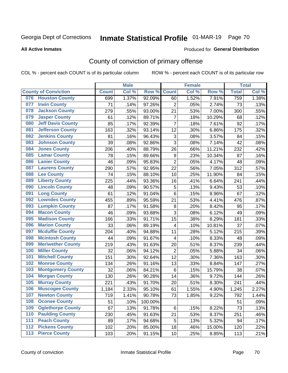# Inmate Statistical Profile 01-MAR-19 Page 70

#### **All Active Inmates**

#### **Produced for General Distribution**

## County of conviction of primary offense

COL % - percent each COUNT is of its particular column

|     |                             |              | <b>Male</b> |         |                           | <b>Female</b> |        |              | <b>Total</b> |
|-----|-----------------------------|--------------|-------------|---------|---------------------------|---------------|--------|--------------|--------------|
|     | <b>County of Conviction</b> | <b>Count</b> | Col %       | Row %   | <b>Count</b>              | Col %         | Row %  | <b>Total</b> | Col %        |
| 076 | <b>Houston County</b>       | 699          | 1.37%       | 92.09%  | 60                        | 1.52%         | 7.91%  | 759          | 1.38%        |
| 077 | <b>Irwin County</b>         | 71           | .14%        | 97.26%  | $\overline{2}$            | .05%          | 2.74%  | 73           | .13%         |
| 078 | <b>Jackson County</b>       | 279          | .55%        | 93.00%  | 21                        | .53%          | 7.00%  | 300          | .55%         |
| 079 | <b>Jasper County</b>        | 61           | .12%        | 89.71%  | $\overline{7}$            | .18%          | 10.29% | 68           | .12%         |
| 080 | <b>Jeff Davis County</b>    | 85           | .17%        | 92.39%  | $\overline{7}$            | .18%          | 7.61%  | 92           | .17%         |
| 081 | <b>Jefferson County</b>     | 163          | .32%        | 93.14%  | 12                        | .30%          | 6.86%  | 175          | .32%         |
| 082 | <b>Jenkins County</b>       | 81           | .16%        | 96.43%  | $\ensuremath{\mathsf{3}}$ | .08%          | 3.57%  | 84           | .15%         |
| 083 | <b>Johnson County</b>       | 39           | .08%        | 92.86%  | 3                         | .08%          | 7.14%  | 42           | .08%         |
| 084 | <b>Jones County</b>         | 206          | .40%        | 88.79%  | 26                        | .66%          | 11.21% | 232          | .42%         |
| 085 | <b>Lamar County</b>         | 78           | .15%        | 89.66%  | 9                         | .23%          | 10.34% | 87           | .16%         |
| 086 | <b>Lanier County</b>        | 46           | .09%        | 95.83%  | $\overline{2}$            | .05%          | 4.17%  | 48           | .09%         |
| 087 | <b>Laurens County</b>       | 290          | .57%        | 92.95%  | 22                        | .56%          | 7.05%  | 312          | .57%         |
| 088 | <b>Lee County</b>           | 74           | .15%        | 88.10%  | 10                        | .25%          | 11.90% | 84           | .15%         |
| 089 | <b>Liberty County</b>       | 225          | .44%        | 93.36%  | 16                        | .41%          | 6.64%  | 241          | .44%         |
| 090 | <b>Lincoln County</b>       | 48           | .09%        | 90.57%  | $\mathbf 5$               | .13%          | 9.43%  | 53           | .10%         |
| 091 | <b>Long County</b>          | 61           | .12%        | 91.04%  | 6                         | .15%          | 8.96%  | 67           | .12%         |
| 092 | <b>Lowndes County</b>       | 455          | .89%        | 95.59%  | 21                        | .53%          | 4.41%  | 476          | .87%         |
| 093 | <b>Lumpkin County</b>       | 87           | .17%        | 91.58%  | 8                         | .20%          | 8.42%  | 95           | .17%         |
| 094 | <b>Macon County</b>         | 46           | .09%        | 93.88%  | $\overline{3}$            | .08%          | 6.12%  | 49           | .09%         |
| 095 | <b>Madison County</b>       | 166          | .33%        | 91.71%  | 15                        | .38%          | 8.29%  | 181          | .33%         |
| 096 | <b>Marion County</b>        | 33           | .06%        | 89.19%  | 4                         | .10%          | 10.81% | 37           | .07%         |
| 097 | <b>Mcduffie County</b>      | 204          | .40%        | 94.88%  | 11                        | .28%          | 5.12%  | 215          | .39%         |
| 098 | <b>Mcintosh County</b>      | 44           | .09%        | 91.67%  | $\overline{\mathbf{4}}$   | .10%          | 8.33%  | 48           | .09%         |
| 099 | <b>Meriwether County</b>    | 219          | .43%        | 91.63%  | 20                        | .51%          | 8.37%  | 239          | .44%         |
| 100 | <b>Miller County</b>        | 32           | .06%        | 94.12%  | $\overline{2}$            | .05%          | 5.88%  | 34           | .06%         |
| 101 | <b>Mitchell County</b>      | 151          | .30%        | 92.64%  | 12                        | .30%          | 7.36%  | 163          | .30%         |
| 102 | <b>Monroe County</b>        | 134          | .26%        | 91.16%  | 13                        | .33%          | 8.84%  | 147          | .27%         |
| 103 | <b>Montgomery County</b>    | 32           | .06%        | 84.21%  | 6                         | .15%          | 15.79% | 38           | .07%         |
| 104 | <b>Morgan County</b>        | 130          | .26%        | 90.28%  | 14                        | .36%          | 9.72%  | 144          | .26%         |
| 105 | <b>Murray County</b>        | 221          | .43%        | 91.70%  | 20                        | .51%          | 8.30%  | 241          | .44%         |
| 106 | <b>Muscogee County</b>      | 1,184        | 2.33%       | 95.10%  | 61                        | 1.55%         | 4.90%  | 1,245        | 2.27%        |
| 107 | <b>Newton County</b>        | 719          | 1.41%       | 90.78%  | 73                        | 1.85%         | 9.22%  | 792          | 1.44%        |
| 108 | <b>Oconee County</b>        | 51           | .10%        | 100.00% |                           |               |        | 51           | .09%         |
| 109 | <b>Oglethorpe County</b>    | 67           | .13%        | 91.78%  | 6                         | .15%          | 8.22%  | 73           | .13%         |
| 110 | <b>Paulding County</b>      | 230          | .45%        | 91.63%  | 21                        | .53%          | 8.37%  | 251          | .46%         |
| 111 | <b>Peach County</b>         | 89           | .17%        | 94.68%  | 5                         | .13%          | 5.32%  | 94           | .17%         |
| 112 | <b>Pickens County</b>       | 102          | .20%        | 85.00%  | 18                        | .46%          | 15.00% | 120          | .22%         |
| 113 | <b>Pierce County</b>        | 103          | .20%        | 91.15%  | 10                        | .25%          | 8.85%  | 113          | .21%         |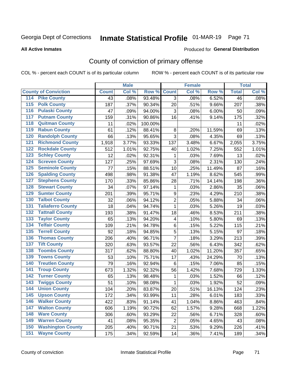# Inmate Statistical Profile 01-MAR-19 Page 71

Produced for General Distribution

#### **All Active Inmates**

### County of conviction of primary offense

COL % - percent each COUNT is of its particular column

|                                          |              | <b>Male</b> |         |                         | <b>Female</b> |        |                 | <b>Total</b> |
|------------------------------------------|--------------|-------------|---------|-------------------------|---------------|--------|-----------------|--------------|
| <b>County of Conviction</b>              | <b>Count</b> | Col %       | Row %   | <b>Count</b>            | Col %         | Row %  | <b>Total</b>    | Col %        |
| <b>Pike County</b><br>114                | 43           | .08%        | 93.48%  | 3                       | .08%          | 6.52%  | $\overline{46}$ | .08%         |
| <b>Polk County</b><br>$\overline{115}$   | 187          | .37%        | 90.34%  | 20                      | .51%          | 9.66%  | 207             | .38%         |
| <b>Pulaski County</b><br>116             | 47           | .09%        | 94.00%  | 3                       | .08%          | 6.00%  | 50              | .09%         |
| <b>Putnam County</b><br>117              | 159          | .31%        | 90.86%  | 16                      | .41%          | 9.14%  | 175             | .32%         |
| <b>Quitman County</b><br>118             | 11           | .02%        | 100.00% |                         |               |        | 11              | .02%         |
| <b>Rabun County</b><br>119               | 61           | .12%        | 88.41%  | 8                       | .20%          | 11.59% | 69              | .13%         |
| <b>Randolph County</b><br>120            | 66           | .13%        | 95.65%  | 3                       | .08%          | 4.35%  | 69              | .13%         |
| <b>Richmond County</b><br>121            | 1,918        | 3.77%       | 93.33%  | 137                     | 3.48%         | 6.67%  | 2,055           | 3.75%        |
| <b>Rockdale County</b><br>122            | 512          | 1.01%       | 92.75%  | 40                      | 1.02%         | 7.25%  | 552             | 1.01%        |
| <b>Schley County</b><br>123              | 12           | .02%        | 92.31%  | 1                       | .03%          | 7.69%  | 13              | .02%         |
| <b>Screven County</b><br>124             | 127          | .25%        | 97.69%  | 3                       | .08%          | 2.31%  | 130             | .24%         |
| <b>Seminole County</b><br>125            | 77           | .15%        | 88.51%  | 10                      | .25%          | 11.49% | 87              | .16%         |
| <b>Spalding County</b><br>126            | 498          | .98%        | 91.38%  | 47                      | 1.19%         | 8.62%  | 545             | .99%         |
| <b>Stephens County</b><br>127            | 170          | .33%        | 85.86%  | 28                      | .71%          | 14.14% | 198             | .36%         |
| <b>Stewart County</b><br>128             | 34           | .07%        | 97.14%  | 1                       | .03%          | 2.86%  | 35              | .06%         |
| <b>Sumter County</b><br>129              | 201          | .39%        | 95.71%  | 9                       | .23%          | 4.29%  | 210             | .38%         |
| <b>Talbot County</b><br>130              | 32           | .06%        | 94.12%  | $\overline{2}$          | .05%          | 5.88%  | 34              | .06%         |
| <b>Taliaferro County</b><br>131          | 18           | .04%        | 94.74%  | 1                       | .03%          | 5.26%  | 19              | .03%         |
| <b>Tattnall County</b><br>132            | 193          | .38%        | 91.47%  | 18                      | .46%          | 8.53%  | 211             | .38%         |
| <b>Taylor County</b><br>133              | 65           | .13%        | 94.20%  | $\overline{\mathbf{4}}$ | .10%          | 5.80%  | 69              | .13%         |
| <b>Telfair County</b><br>134             | 109          | .21%        | 94.78%  | 6                       | .15%          | 5.22%  | 115             | .21%         |
| <b>Terrell County</b><br>135             | 92           | .18%        | 94.85%  | 5                       | .13%          | 5.15%  | 97              | .18%         |
| <b>Thomas County</b><br>136              | 206          | .40%        | 96.71%  | $\overline{7}$          | .18%          | 3.29%  | 213             | .39%         |
| <b>Tift County</b><br>137                | 320          | .63%        | 93.57%  | 22                      | .56%          | 6.43%  | 342             | .62%         |
| <b>Toombs County</b><br>138              | 317          | .62%        | 88.80%  | 40                      | 1.02%         | 11.20% | 357             | .65%         |
| <b>Towns County</b><br>139               | 53           | .10%        | 75.71%  | 17                      | .43%          | 24.29% | 70              | .13%         |
| <b>Treutlen County</b><br>140            | 79           | .16%        | 92.94%  | 6                       | .15%          | 7.06%  | 85              | .15%         |
| <b>Troup County</b><br>141               | 673          | 1.32%       | 92.32%  | 56                      | 1.42%         | 7.68%  | 729             | 1.33%        |
| <b>Turner County</b><br>142              | 65           | .13%        | 98.48%  | 1                       | .03%          | 1.52%  | 66              | .12%         |
| <b>Twiggs County</b><br>$\overline{143}$ | 51           | .10%        | 98.08%  | 1                       | .03%          | 1.92%  | 52              | .09%         |
| <b>Union County</b><br>144               | 104          | .20%        | 83.87%  | 20                      | .51%          | 16.13% | 124             | .23%         |
| 145<br><b>Upson County</b>               | 172          | .34%        | 93.99%  | 11                      | .28%          | 6.01%  | 183             | .33%         |
| <b>Walker County</b><br>146              | 422          | .83%        | 91.14%  | 41                      | 1.04%         | 8.86%  | 463             | .84%         |
| <b>Walton County</b><br>147              | 606          | 1.19%       | 90.72%  | 62                      | 1.57%         | 9.28%  | 668             | 1.22%        |
| <b>Ware County</b><br>148                | 306          | .60%        | 93.29%  | 22                      | .56%          | 6.71%  | 328             | .60%         |
| <b>Warren County</b><br>149              | 41           | .08%        | 95.35%  | $\overline{2}$          | .05%          | 4.65%  | 43              | .08%         |
| <b>Washington County</b><br>150          | 205          | .40%        | 90.71%  | 21                      | .53%          | 9.29%  | 226             | .41%         |
| <b>Wayne County</b><br>151               | 175          | .34%        | 92.59%  | 14                      | .36%          | 7.41%  | 189             | .34%         |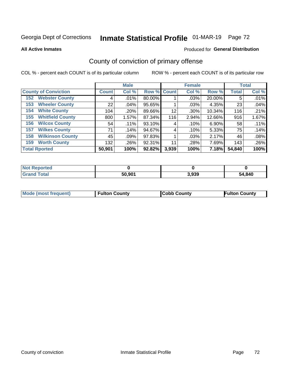# Inmate Statistical Profile 01-MAR-19 Page 72

**All Active Inmates** 

#### **Produced for General Distribution**

## County of conviction of primary offense

COL % - percent each COUNT is of its particular column

|                                | <b>Male</b>  |       |             | <b>Female</b> |       |        | <b>Total</b> |       |
|--------------------------------|--------------|-------|-------------|---------------|-------|--------|--------------|-------|
| <b>County of Conviction</b>    | <b>Count</b> | Col % | Row % Count |               | Col % | Row %  | <b>Total</b> | Col % |
| <b>Webster County</b><br>152   | 4            | .01%  | 80.00%      |               | .03%  | 20.00% | 5            | .01%  |
| <b>Wheeler County</b><br>153   | 22           | .04%  | 95.65%      |               | .03%  | 4.35%  | 23           | .04%  |
| <b>White County</b><br>154     | 104          | .20%  | 89.66%      | 12            | .30%  | 10.34% | 116          | .21%  |
| <b>Whitfield County</b><br>155 | 800          | 1.57% | 87.34%      | 116           | 2.94% | 12.66% | 916          | 1.67% |
| <b>Wilcox County</b><br>156    | 54           | .11%  | 93.10%      | 4             | .10%  | 6.90%  | 58           | .11%  |
| <b>Wilkes County</b><br>157    | 71           | .14%  | 94.67%      | 4             | .10%  | 5.33%  | 75           | .14%  |
| <b>Wilkinson County</b><br>158 | 45           | .09%  | 97.83%      |               | .03%  | 2.17%  | 46           | .08%  |
| <b>Worth County</b><br>159     | 132          | .26%  | 92.31%      | 11            | .28%  | 7.69%  | 143          | .26%  |
| <b>Total Rported</b>           | 50,901       | 100%  | 92.82%      | 3,939         | 100%  | 7.18%  | 54,840       | 100%  |

| <b>Not Reported</b> |        |       |        |
|---------------------|--------|-------|--------|
| <b>Grand Total</b>  | 50,901 | 3,939 | 54,840 |

| <b>Mode (most frequent)</b> | <b>Fulton County</b> | <b>ICobb County</b> | <b>Fulton County</b> |
|-----------------------------|----------------------|---------------------|----------------------|
|                             |                      |                     |                      |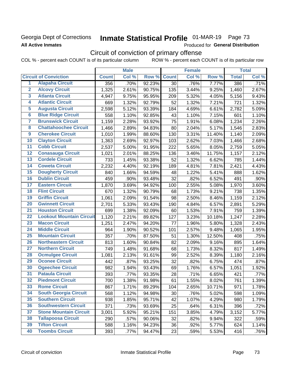### **Georgia Dept of Corrections All Active Inmates**

# Inmate Statistical Profile 01-MAR-19 Page 73

Produced for General Distribution

## Circuit of conviction of primary offense

COL % - percent each COUNT is of its particular column ROW % - percent each COUNT is of its particular row

|                         |                                 |              | <b>Male</b> |        |              | <b>Female</b> |        |              | <b>Total</b> |
|-------------------------|---------------------------------|--------------|-------------|--------|--------------|---------------|--------|--------------|--------------|
|                         | <b>Circuit of Conviction</b>    | <b>Count</b> | Col %       | Row %  | <b>Count</b> | Col %         | Row %  | <b>Total</b> | Col %        |
| 1                       | <b>Alapaha Circuit</b>          | 356          | .70%        | 92.23% | 30           | .76%          | 7.77%  | 386          | .71%         |
| $\overline{2}$          | <b>Alcovy Circuit</b>           | 1,325        | 2.61%       | 90.75% | 135          | 3.44%         | 9.25%  | 1,460        | 2.67%        |
| $\overline{\mathbf{3}}$ | <b>Atlanta Circuit</b>          | 4,947        | 9.75%       | 95.95% | 209          | 5.32%         | 4.05%  | 5,156        | 9.43%        |
| 4                       | <b>Atlantic Circuit</b>         | 669          | 1.32%       | 92.79% | 52           | 1.32%         | 7.21%  | 721          | 1.32%        |
| $\overline{5}$          | <b>Augusta Circuit</b>          | 2,598        | 5.12%       | 93.39% | 184          | 4.69%         | 6.61%  | 2,782        | 5.09%        |
| $\overline{\bf{6}}$     | <b>Blue Ridge Circuit</b>       | 558          | 1.10%       | 92.85% | 43           | 1.10%         | 7.15%  | 601          | 1.10%        |
| 7                       | <b>Brunswick Circuit</b>        | 1,159        | 2.28%       | 93.92% | 75           | 1.91%         | 6.08%  | 1,234        | 2.26%        |
| $\overline{\mathbf{8}}$ | <b>Chattahoochee Circuit</b>    | 1,466        | 2.89%       | 94.83% | 80           | 2.04%         | 5.17%  | 1,546        | 2.83%        |
| $\overline{9}$          | <b>Cherokee Circuit</b>         | 1,010        | 1.99%       | 88.60% | 130          | 3.31%         | 11.40% | 1,140        | 2.09%        |
| 10                      | <b>Clayton Circuit</b>          | 1,363        | 2.69%       | 92.97% | 103          | 2.62%         | 7.03%  | 1,466        | 2.68%        |
| $\overline{11}$         | <b>Cobb Circuit</b>             | 2,537        | 5.00%       | 91.95% | 222          | 5.65%         | 8.05%  | 2,759        | 5.05%        |
| $\overline{12}$         | <b>Conasauga Circuit</b>        | 1,021        | 2.01%       | 88.25% | 136          | 3.46%         | 11.75% | 1,157        | 2.12%        |
| 13                      | <b>Cordele Circuit</b>          | 733          | 1.45%       | 93.38% | 52           | 1.32%         | 6.62%  | 785          | 1.44%        |
| $\overline{14}$         | <b>Coweta Circuit</b>           | 2,232        | 4.40%       | 92.19% | 189          | 4.81%         | 7.81%  | 2,421        | 4.43%        |
| 15                      | <b>Dougherty Circuit</b>        | 840          | 1.66%       | 94.59% | 48           | 1.22%         | 5.41%  | 888          | 1.62%        |
| 16                      | <b>Dublin Circuit</b>           | 459          | .90%        | 93.48% | 32           | .82%          | 6.52%  | 491          | .90%         |
| 17                      | <b>Eastern Circuit</b>          | 1,870        | 3.69%       | 94.92% | 100          | 2.55%         | 5.08%  | 1,970        | 3.60%        |
| $\overline{18}$         | <b>Flint Circuit</b>            | 670          | 1.32%       | 90.79% | 68           | 1.73%         | 9.21%  | 738          | 1.35%        |
| 19                      | <b>Griffin Circuit</b>          | 1,061        | 2.09%       | 91.54% | 98           | 2.50%         | 8.46%  | 1,159        | 2.12%        |
| $\overline{20}$         | <b>Gwinnett Circuit</b>         | 2,701        | 5.33%       | 93.43% | 190          | 4.84%         | 6.57%  | 2,891        | 5.29%        |
| $\overline{21}$         | <b>Houston Circuit</b>          | 699          | 1.38%       | 92.09% | 60           | 1.53%         | 7.91%  | 759          | 1.39%        |
| $\overline{22}$         | <b>Lookout Mountain Circuit</b> | 1,120        | 2.21%       | 89.82% | 127          | 3.23%         | 10.18% | 1,247        | 2.28%        |
| 23                      | <b>Macon Circuit</b>            | 1,251        | 2.47%       | 94.20% | 77           | 1.96%         | 5.80%  | 1,328        | 2.43%        |
| $\overline{24}$         | <b>Middle Circuit</b>           | 964          | 1.90%       | 90.52% | 101          | 2.57%         | 9.48%  | 1,065        | 1.95%        |
| $\overline{25}$         | <b>Mountain Circuit</b>         | 357          | .70%        | 87.50% | 51           | 1.30%         | 12.50% | 408          | .75%         |
| 26                      | <b>Northeastern Circuit</b>     | 813          | 1.60%       | 90.84% | 82           | 2.09%         | 9.16%  | 895          | 1.64%        |
| $\overline{27}$         | <b>Northern Circuit</b>         | 749          | 1.48%       | 91.68% | 68           | 1.73%         | 8.32%  | 817          | 1.49%        |
| 28                      | <b>Ocmulgee Circuit</b>         | 1,081        | 2.13%       | 91.61% | 99           | 2.52%         | 8.39%  | 1,180        | 2.16%        |
| 29                      | <b>Oconee Circuit</b>           | 442          | .87%        | 93.25% | 32           | .82%          | 6.75%  | 474          | .87%         |
| 30                      | <b>Ogeechee Circuit</b>         | 982          | 1.94%       | 93.43% | 69           | 1.76%         | 6.57%  | 1,051        | 1.92%        |
| $\overline{31}$         | <b>Pataula Circuit</b>          | 393          | .77%        | 93.35% | 28           | .71%          | 6.65%  | 421          | .77%         |
| 32                      | <b>Piedmont Circuit</b>         | 700          | 1.38%       | 91.98% | 61           | 1.55%         | 8.02%  | 761          | 1.39%        |
| 33                      | <b>Rome Circuit</b>             | 867          | 1.71%       | 89.29% | 104          | 2.65%         | 10.71% | 971          | 1.78%        |
| 34                      | <b>South Georgia Circuit</b>    | 568          | 1.12%       | 94.98% | 30           | .76%          | 5.02%  | 598          | 1.09%        |
| 35                      | <b>Southern Circuit</b>         | 938          | 1.85%       | 95.71% | 42           | 1.07%         | 4.29%  | 980          | 1.79%        |
| 36                      | <b>Southwestern Circuit</b>     | 371          | .73%        | 93.69% | 25           | .64%          | 6.31%  | 396          | .72%         |
| 37                      | <b>Stone Mountain Circuit</b>   | 3,001        | 5.92%       | 95.21% | 151          | 3.85%         | 4.79%  | 3,152        | 5.77%        |
| 38                      | <b>Tallapoosa Circuit</b>       | 290          | .57%        | 90.06% | 32           | .82%          | 9.94%  | 322          | .59%         |
| 39                      | <b>Tifton Circuit</b>           | 588          | 1.16%       | 94.23% | 36           | .92%          | 5.77%  | 624          | 1.14%        |
| 40                      | <b>Toombs Circuit</b>           | 393          | .77%        | 94.47% | 23           | .59%          | 5.53%  | 416          | .76%         |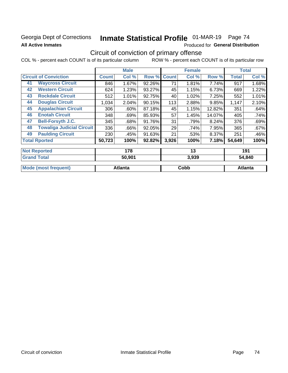### Georgia Dept of Corrections **All Active Inmates**

# Inmate Statistical Profile 01-MAR-19 Page 74

Produced for General Distribution

### Circuit of conviction of primary offense

|    |                                  |              | <b>Male</b> |        |              | <b>Female</b> |        |              | <b>Total</b> |  |
|----|----------------------------------|--------------|-------------|--------|--------------|---------------|--------|--------------|--------------|--|
|    | <b>Circuit of Conviction</b>     | <b>Count</b> | Col %       | Row %  | <b>Count</b> | Col %         | Row %  | <b>Total</b> | Col %        |  |
| 41 | <b>Waycross Circuit</b>          | 846          | 1.67%       | 92.26% | 71           | 1.81%         | 7.74%  | 917          | 1.68%        |  |
| 42 | <b>Western Circuit</b>           | 624          | 1.23%       | 93.27% | 45           | 1.15%         | 6.73%  | 669          | 1.22%        |  |
| 43 | <b>Rockdale Circuit</b>          | 512          | 1.01%       | 92.75% | 40           | 1.02%         | 7.25%  | 552          | 1.01%        |  |
| 44 | <b>Douglas Circuit</b>           | 1,034        | 2.04%       | 90.15% | 113          | 2.88%         | 9.85%  | 1,147        | 2.10%        |  |
| 45 | <b>Appalachian Circuit</b>       | 306          | $.60\%$     | 87.18% | 45           | 1.15%         | 12.82% | 351          | .64%         |  |
| 46 | <b>Enotah Circuit</b>            | 348          | .69%        | 85.93% | 57           | 1.45%         | 14.07% | 405          | .74%         |  |
| 47 | <b>Bell-Forsyth J.C.</b>         | 345          | .68%        | 91.76% | 31           | .79%          | 8.24%  | 376          | .69%         |  |
| 48 | <b>Towaliga Judicial Circuit</b> | 336          | .66%        | 92.05% | 29           | .74%          | 7.95%  | 365          | .67%         |  |
| 49 | <b>Paulding Circuit</b>          | 230          | .45%        | 91.63% | 21           | .53%          | 8.37%  | 251          | .46%         |  |
|    | <b>Total Rported</b>             | 50,723       | 100%        | 92.82% | 3,926        | 100%          | 7.18%  | 54,649       | 100%         |  |
|    | <b>Not Reported</b>              |              | 178         |        |              | 13            |        |              | 191          |  |
|    | <b>Grand Total</b>               |              | 50.901      |        |              | 3.939         |        |              | 54.840       |  |

| otal              | 50.901  | 3.939 | 54.840  |
|-------------------|---------|-------|---------|
| Mode<br>frequent) | Atlanta | Copp  | Atlanta |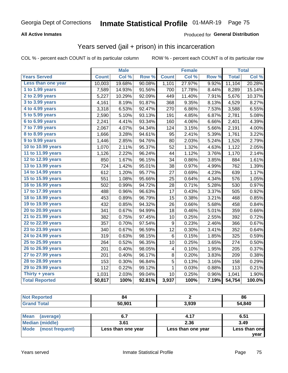#### **All Active Inmates**

#### Produced for **General Distribution**

### Years served (jail + prison) in this incarceration

|                              |              | <b>Male</b> |        |                  | <b>Female</b> |                  |              | <b>Total</b> |
|------------------------------|--------------|-------------|--------|------------------|---------------|------------------|--------------|--------------|
| <b>Years Served</b>          | <b>Count</b> | Col %       | Row %  | <b>Count</b>     | Col %         | Row <sub>%</sub> | <b>Total</b> | Col%         |
| Less than one year           | 10,003       | 19.68%      | 90.08% | 1,101            | 27.97%        | 9.92%            | 11,104       | 20.28%       |
| 1 to 1.99 years              | 7,589        | 14.93%      | 91.56% | 700              | 17.78%        | 8.44%            | 8,289        | 15.14%       |
| 2 to 2.99 years              | 5,227        | 10.29%      | 92.09% | 449              | 11.40%        | 7.91%            | 5,676        | 10.37%       |
| 3 to 3.99 years              | 4,161        | 8.19%       | 91.87% | 368              | 9.35%         | 8.13%            | 4,529        | 8.27%        |
| 4 to 4.99 years              | 3,318        | 6.53%       | 92.47% | 270              | 6.86%         | 7.53%            | 3,588        | 6.55%        |
| $\overline{5}$ to 5.99 years | 2,590        | 5.10%       | 93.13% | 191              | 4.85%         | 6.87%            | 2,781        | 5.08%        |
| 6 to 6.99 years              | 2,241        | 4.41%       | 93.34% | 160              | 4.06%         | 6.66%            | 2,401        | 4.39%        |
| 7 to 7.99 years              | 2,067        | 4.07%       | 94.34% | 124              | 3.15%         | 5.66%            | 2,191        | 4.00%        |
| <b>8 to 8.99 years</b>       | 1,666        | 3.28%       | 94.61% | 95               | 2.41%         | 5.39%            | 1,761        | 3.22%        |
| 9 to 9.99 years              | 1,446        | 2.85%       | 94.76% | 80               | 2.03%         | 5.24%            | 1,526        | 2.79%        |
| 10 to 10.99 years            | 1,070        | 2.11%       | 95.37% | 52               | 1.32%         | 4.63%            | 1,122        | 2.05%        |
| 11 to 11.99 years            | 1,126        | 2.22%       | 96.24% | 44               | 1.12%         | 3.76%            | 1,170        | 2.14%        |
| 12 to 12.99 years            | 850          | 1.67%       | 96.15% | 34               | 0.86%         | 3.85%            | 884          | 1.61%        |
| 13 to 13.99 years            | 724          | 1.42%       | 95.01% | 38               | 0.97%         | 4.99%            | 762          | 1.39%        |
| 14 to 14.99 years            | 612          | 1.20%       | 95.77% | 27               | 0.69%         | 4.23%            | 639          | 1.17%        |
| 15 to 15.99 years            | 551          | 1.08%       | 95.66% | 25               | 0.64%         | 4.34%            | 576          | 1.05%        |
| 16 to 16.99 years            | 502          | 0.99%       | 94.72% | 28               | 0.71%         | 5.28%            | 530          | 0.97%        |
| 17 to 17.99 years            | 488          | 0.96%       | 96.63% | 17               | 0.43%         | 3.37%            | 505          | 0.92%        |
| 18 to 18.99 years            | 453          | 0.89%       | 96.79% | 15               | 0.38%         | 3.21%            | 468          | 0.85%        |
| 19 to 19.99 years            | 432          | 0.85%       | 94.32% | 26               | 0.66%         | 5.68%            | 458          | 0.84%        |
| 20 to 20.99 years            | 341          | 0.67%       | 94.99% | 18               | 0.46%         | 5.01%            | 359          | 0.66%        |
| 21 to 21.99 years            | 382          | 0.75%       | 97.45% | 10               | 0.25%         | 2.55%            | 392          | 0.72%        |
| 22 to 22.99 years            | 357          | 0.70%       | 97.54% | $\boldsymbol{9}$ | 0.23%         | 2.46%            | 366          | 0.67%        |
| 23 to 23.99 years            | 340          | 0.67%       | 96.59% | 12               | 0.30%         | 3.41%            | 352          | 0.64%        |
| 24 to 24.99 years            | 319          | 0.63%       | 98.15% | $\,6$            | 0.15%         | 1.85%            | 325          | 0.59%        |
| 25 to 25.99 years            | 264          | 0.52%       | 96.35% | 10               | 0.25%         | 3.65%            | 274          | 0.50%        |
| 26 to 26.99 years            | 201          | 0.40%       | 98.05% | 4                | 0.10%         | 1.95%            | 205          | 0.37%        |
| 27 to 27.99 years            | 201          | 0.40%       | 96.17% | 8                | 0.20%         | 3.83%            | 209          | 0.38%        |
| 28 to 28.99 years            | 153          | 0.30%       | 96.84% | 5                | 0.13%         | 3.16%            | 158          | 0.29%        |
| 29 to 29.99 years            | 112          | 0.22%       | 99.12% | 1                | 0.03%         | 0.88%            | 113          | 0.21%        |
| Thirty + years               | 1,031        | 2.03%       | 99.04% | 10               | 0.25%         | 0.96%            | 1,041        | 1.90%        |
| <b>Total Reported</b>        | 50,817       | 100%        | 92.81% | 3,937            | 100%          | 7.19%            | 54,754       | 100.0%       |

| <b>Not</b><br><b>' Reported</b> |        |       | 86     |
|---------------------------------|--------|-------|--------|
| <b>Total</b>                    | 50.901 | 3,939 | 54,840 |

| Mean<br>(average)    |                    | 4.17               | 6.51          |
|----------------------|--------------------|--------------------|---------------|
| Median (middle)      | 3.61               | 2.36               | 3.49          |
| Mode (most frequent) | Less than one year | Less than one year | Less than one |
|                      |                    |                    | vear          |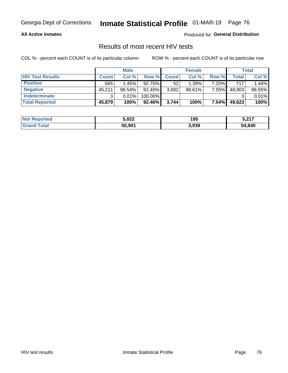#### **All Active Inmates**

Produced for **General Distribution**

### Results of most recent HIV tests

|                         | <b>Male</b>  |        | <b>Female</b> |              |           | Total |        |        |
|-------------------------|--------------|--------|---------------|--------------|-----------|-------|--------|--------|
| <b>HIV Test Results</b> | <b>Count</b> | Col %  | Row %I        | <b>Count</b> | Col %     | Row % | Total  | Col %  |
| <b>Positive</b>         | 665          | 1.45%  | $92.75\%$     | 52           | 1.39%     | 7.25% | 717    | 1.44%  |
| <b>Negative</b>         | 45,211       | 98.54% | 92.45%        | 3,692        | $98.61\%$ | 7.55% | 48,903 | 98.55% |
| Indeterminate           | ◠            | 0.01%  | 100.00%       |              |           |       |        | 0.01%  |
| <b>Total Reported</b>   | 45,879       | 100%   | $92.46\%$     | 3,744        | 100%      | 7.54% | 49,623 | 100%   |

| <b>Not Reported</b>     | 5,022  | 195   | 5,217  |
|-------------------------|--------|-------|--------|
| <b>Total</b><br>' Grand | 50,901 | 3,939 | 54,840 |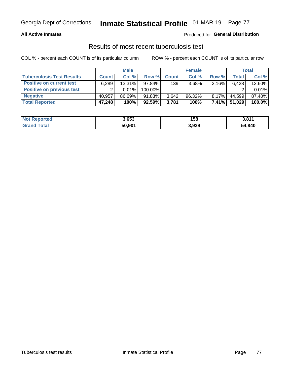#### **All Active Inmates**

#### Produced for **General Distribution**

### Results of most recent tuberculosis test

|                                  | <b>Male</b>  |           | <b>Female</b> |              |           | Total    |        |        |
|----------------------------------|--------------|-----------|---------------|--------------|-----------|----------|--------|--------|
| <b>Tuberculosis Test Results</b> | <b>Count</b> | Col%      | Row %I        | <b>Count</b> | Col %     | Row %    | Total  | Col %  |
| <b>Positive on current test</b>  | 6,289        | $13.31\%$ | 97.84%        | 139          | 3.68%     | 2.16%    | 6,428  | 12.60% |
| <b>Positive on previous test</b> | ົ            | $0.01\%$  | 100.00%       |              |           |          |        | 0.01%  |
| <b>Negative</b>                  | 40.957       | 86.69%    | 91.83%        | 3,642        | $96.32\%$ | $8.17\%$ | 44.599 | 87.40% |
| <b>Total Reported</b>            | 47,248       | 100%      | 92.59%        | 3.781        | 100%      | $7.41\%$ | 51,029 | 100.0% |

| <b>Not Reported</b>     | 3,653  | 158   | 3,811  |
|-------------------------|--------|-------|--------|
| <b>Total</b><br>' Grand | 50,901 | 3,939 | 54,840 |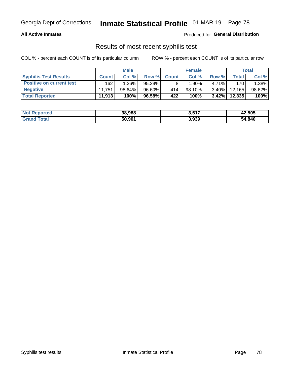#### **All Active Inmates**

Produced for **General Distribution**

### Results of most recent syphilis test

|                                 | <b>Male</b>  |           | <b>Female</b> |              |           | Total    |         |        |
|---------------------------------|--------------|-----------|---------------|--------------|-----------|----------|---------|--------|
| <b>Syphilis Test Results</b>    | <b>Count</b> | Col%      | Row %         | <b>Count</b> | Col %     | Row %    | Total I | Col %  |
| <b>Positive on current test</b> | 162          | $1.36\%$  | $95.29\%$     |              | $1.90\%$  | $4.71\%$ | 170     | 1.38%  |
| <b>Negative</b>                 | 11.751       | $98.64\%$ | 96.60%        | 414          | $98.10\%$ | $3.40\%$ | 12.165  | 98.62% |
| <b>Total Reported</b>           | 11,913       | 100%      | 96.58%        | 422          | 100%      | $3.42\%$ | 12,335  | 100%   |

| <b>Not Reported</b> | 38,988 | 3,517 | 42,505 |
|---------------------|--------|-------|--------|
| <b>Grand Total</b>  | 50,901 | 3,939 | 54,840 |